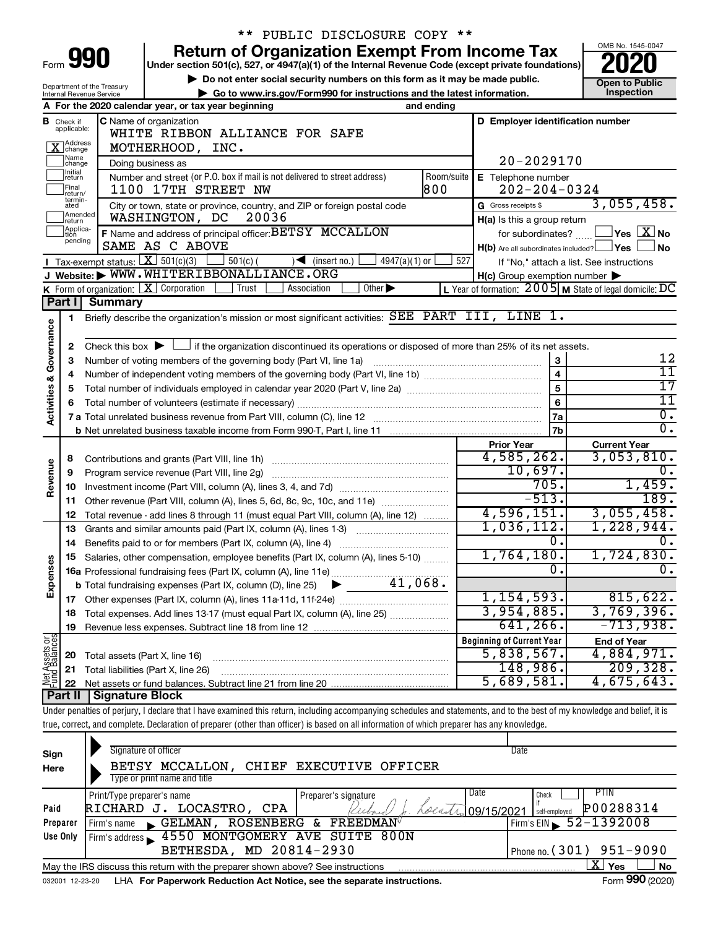|                                                                                             |                                                                                                                                            | 990                                                             | <b>Return of Organization Exempt From Income Tax</b><br>Under section 501(c), 527, or 4947(a)(1) of the Internal Revenue Code (except private foundations)                 |            |                                                                                              | OMB No. 1545-0047                                                               |  |  |  |  |  |  |
|---------------------------------------------------------------------------------------------|--------------------------------------------------------------------------------------------------------------------------------------------|-----------------------------------------------------------------|----------------------------------------------------------------------------------------------------------------------------------------------------------------------------|------------|----------------------------------------------------------------------------------------------|---------------------------------------------------------------------------------|--|--|--|--|--|--|
|                                                                                             | Do not enter social security numbers on this form as it may be made public.<br>Department of the Treasury                                  |                                                                 |                                                                                                                                                                            |            |                                                                                              |                                                                                 |  |  |  |  |  |  |
|                                                                                             |                                                                                                                                            | Internal Revenue Service                                        | Go to www.irs.gov/Form990 for instructions and the latest information.                                                                                                     |            |                                                                                              | <b>Open to Public</b><br><b>Inspection</b>                                      |  |  |  |  |  |  |
|                                                                                             |                                                                                                                                            |                                                                 | A For the 2020 calendar year, or tax year beginning                                                                                                                        | and ending |                                                                                              |                                                                                 |  |  |  |  |  |  |
| C Name of organization<br>D Employer identification number<br><b>B</b> Check if applicable: |                                                                                                                                            |                                                                 |                                                                                                                                                                            |            |                                                                                              |                                                                                 |  |  |  |  |  |  |
|                                                                                             | WHITE RIBBON ALLIANCE FOR SAFE                                                                                                             |                                                                 |                                                                                                                                                                            |            |                                                                                              |                                                                                 |  |  |  |  |  |  |
|                                                                                             | X Address                                                                                                                                  |                                                                 | MOTHERHOOD, INC.                                                                                                                                                           |            |                                                                                              |                                                                                 |  |  |  |  |  |  |
|                                                                                             | Name<br>change                                                                                                                             |                                                                 | Doing business as                                                                                                                                                          |            | 20-2029170                                                                                   |                                                                                 |  |  |  |  |  |  |
|                                                                                             | <b>Initial</b><br>Number and street (or P.O. box if mail is not delivered to street address)<br>Room/suite<br>E Telephone number<br>return |                                                                 |                                                                                                                                                                            |            |                                                                                              |                                                                                 |  |  |  |  |  |  |
|                                                                                             | 800<br>Final<br>1100 17TH STREET NW<br>$202 - 204 - 0324$<br>return/<br>termin-                                                            |                                                                 |                                                                                                                                                                            |            |                                                                                              |                                                                                 |  |  |  |  |  |  |
|                                                                                             | ated<br>Amended                                                                                                                            |                                                                 | City or town, state or province, country, and ZIP or foreign postal code                                                                                                   |            | G Gross receipts \$                                                                          | 3,055,458.                                                                      |  |  |  |  |  |  |
|                                                                                             | Ireturn<br>Applica-<br>Ition                                                                                                               |                                                                 | 20036<br>WASHINGTON, DC                                                                                                                                                    |            | H(a) Is this a group return                                                                  |                                                                                 |  |  |  |  |  |  |
|                                                                                             | pending                                                                                                                                    |                                                                 | F Name and address of principal officer: BETSY MCCALLON<br>SAME AS C ABOVE                                                                                                 |            | for subordinates? $\Box$                                                                     | $\mathsf{\rfloor\mathsf{Yes}} \mathbin{\lfloor}\mathbf{X} \mathbin{\rfloor}$ No |  |  |  |  |  |  |
|                                                                                             |                                                                                                                                            |                                                                 | Tax-exempt status: $X \ 501(c)(3)$<br>$501(c)$ (<br>$4947(a)(1)$ or<br>$\sqrt{\bullet}$ (insert no.)                                                                       | 527        | $H(b)$ Are all subordinates included? $\Box$ Yes<br>If "No," attach a list. See instructions | No                                                                              |  |  |  |  |  |  |
|                                                                                             |                                                                                                                                            |                                                                 | Website: WWW.WHITERIBBONALLIANCE.ORG                                                                                                                                       |            | $H(c)$ Group exemption number $\blacktriangleright$                                          |                                                                                 |  |  |  |  |  |  |
|                                                                                             |                                                                                                                                            | <b>K</b> Form of organization: $\boxed{\textbf{X}}$ Corporation | Trust<br>Association<br>Other $\blacktriangleright$                                                                                                                        |            | L Year of formation: $2005$ M State of legal domicile: DC                                    |                                                                                 |  |  |  |  |  |  |
|                                                                                             | <b>Part I</b>                                                                                                                              | <b>Summary</b>                                                  |                                                                                                                                                                            |            |                                                                                              |                                                                                 |  |  |  |  |  |  |
|                                                                                             | 1                                                                                                                                          |                                                                 | Briefly describe the organization's mission or most significant activities: SEE PART III, LINE 1.                                                                          |            |                                                                                              |                                                                                 |  |  |  |  |  |  |
| Governance                                                                                  |                                                                                                                                            |                                                                 |                                                                                                                                                                            |            |                                                                                              |                                                                                 |  |  |  |  |  |  |
|                                                                                             | 2                                                                                                                                          |                                                                 | Check this box $\blacktriangleright$ $\Box$ if the organization discontinued its operations or disposed of more than 25% of its net assets.                                |            |                                                                                              |                                                                                 |  |  |  |  |  |  |
|                                                                                             | 3                                                                                                                                          |                                                                 | Number of voting members of the governing body (Part VI, line 1a)                                                                                                          |            | 3                                                                                            | 12                                                                              |  |  |  |  |  |  |
|                                                                                             | 4                                                                                                                                          |                                                                 |                                                                                                                                                                            |            | $\overline{4}$                                                                               | 11                                                                              |  |  |  |  |  |  |
|                                                                                             | 5                                                                                                                                          |                                                                 | 17                                                                                                                                                                         |            |                                                                                              |                                                                                 |  |  |  |  |  |  |
|                                                                                             |                                                                                                                                            |                                                                 |                                                                                                                                                                            |            | $6\phantom{a}$                                                                               | 11                                                                              |  |  |  |  |  |  |
| <b>Activities &amp;</b>                                                                     |                                                                                                                                            |                                                                 |                                                                                                                                                                            |            | 7a                                                                                           | $\overline{0}$ .                                                                |  |  |  |  |  |  |
|                                                                                             |                                                                                                                                            |                                                                 |                                                                                                                                                                            |            | 7b                                                                                           | 0.                                                                              |  |  |  |  |  |  |
|                                                                                             |                                                                                                                                            |                                                                 |                                                                                                                                                                            |            | <b>Prior Year</b>                                                                            | <b>Current Year</b>                                                             |  |  |  |  |  |  |
|                                                                                             | 8                                                                                                                                          |                                                                 |                                                                                                                                                                            |            | 4,585,262.                                                                                   | 3,053,810.                                                                      |  |  |  |  |  |  |
|                                                                                             | 9                                                                                                                                          |                                                                 | Program service revenue (Part VIII, line 2g)                                                                                                                               |            | 10,697.                                                                                      |                                                                                 |  |  |  |  |  |  |
| Revenue                                                                                     | 10                                                                                                                                         |                                                                 |                                                                                                                                                                            |            | 705.                                                                                         | 1,459.                                                                          |  |  |  |  |  |  |
|                                                                                             | 11                                                                                                                                         |                                                                 | Other revenue (Part VIII, column (A), lines 5, 6d, 8c, 9c, 10c, and 11e)                                                                                                   |            | $-513.$                                                                                      | 189.                                                                            |  |  |  |  |  |  |
|                                                                                             | 12                                                                                                                                         |                                                                 | Total revenue - add lines 8 through 11 (must equal Part VIII, column (A), line 12)                                                                                         |            | 4,596,151.                                                                                   | 3,055,458.                                                                      |  |  |  |  |  |  |
|                                                                                             | 13                                                                                                                                         |                                                                 | Grants and similar amounts paid (Part IX, column (A), lines 1-3)                                                                                                           |            | 1,036,112.                                                                                   | 1,228,944.                                                                      |  |  |  |  |  |  |
|                                                                                             | 14                                                                                                                                         |                                                                 | Benefits paid to or for members (Part IX, column (A), line 4)                                                                                                              |            | Ω.                                                                                           |                                                                                 |  |  |  |  |  |  |
| <b>Ses</b>                                                                                  |                                                                                                                                            |                                                                 | 15 Salaries, other compensation, employee benefits (Part IX, column (A), lines 5-10)                                                                                       |            | 1,764,180.                                                                                   | 1,724,830.                                                                      |  |  |  |  |  |  |
|                                                                                             |                                                                                                                                            |                                                                 |                                                                                                                                                                            |            | $\overline{0}$ .                                                                             | $\overline{0}$ .                                                                |  |  |  |  |  |  |
| Expens                                                                                      |                                                                                                                                            |                                                                 | 41,068.<br><b>b</b> Total fundraising expenses (Part IX, column (D), line 25)                                                                                              |            | 1, 154, 593.                                                                                 |                                                                                 |  |  |  |  |  |  |
|                                                                                             | 17                                                                                                                                         |                                                                 |                                                                                                                                                                            |            | 3,954,885.                                                                                   | 815,622.<br>3,769,396.                                                          |  |  |  |  |  |  |
|                                                                                             |                                                                                                                                            |                                                                 | Total expenses. Add lines 13-17 (must equal Part IX, column (A), line 25) <i></i>                                                                                          |            | 641, 266.                                                                                    | $-713,938.$                                                                     |  |  |  |  |  |  |
|                                                                                             | 19                                                                                                                                         |                                                                 |                                                                                                                                                                            |            |                                                                                              |                                                                                 |  |  |  |  |  |  |
|                                                                                             |                                                                                                                                            |                                                                 |                                                                                                                                                                            |            | <b>Beginning of Current Year</b><br>5,838,567.                                               | <b>End of Year</b><br>4,884,971.                                                |  |  |  |  |  |  |
|                                                                                             | 20                                                                                                                                         | Total assets (Part X, line 16)                                  |                                                                                                                                                                            |            | 148,986.                                                                                     | 209, 328.                                                                       |  |  |  |  |  |  |
| Net Assets or                                                                               | 21                                                                                                                                         |                                                                 | Total liabilities (Part X, line 26)                                                                                                                                        |            | 5,689,581.                                                                                   | 4,675,643.                                                                      |  |  |  |  |  |  |
|                                                                                             | 22<br><b>Part II</b>                                                                                                                       | Signature Block                                                 |                                                                                                                                                                            |            |                                                                                              |                                                                                 |  |  |  |  |  |  |
|                                                                                             |                                                                                                                                            |                                                                 | Under penalties of perjury, I declare that I have examined this return, including accompanying schedules and statements, and to the best of my knowledge and belief, it is |            |                                                                                              |                                                                                 |  |  |  |  |  |  |
|                                                                                             |                                                                                                                                            |                                                                 | true, correct, and complete. Declaration of preparer (other than officer) is based on all information of which preparer has any knowledge.                                 |            |                                                                                              |                                                                                 |  |  |  |  |  |  |

\*\* PUBLIC DISCLOSURE COPY \*\*

| Sign<br>Here | Signature of officer<br>BETSY MCCALLON,<br>CHIEF<br>Type or print name and title     | <b>EXECUTIVE OFFICER</b>            | Date                                |
|--------------|--------------------------------------------------------------------------------------|-------------------------------------|-------------------------------------|
|              | Print/Type preparer's name                                                           | Date<br>Preparer's signature        | PTIN<br>Check                       |
| Paid         | LOCASTRO,<br>RICHARD J.<br>CPA                                                       | lebores'                            | P00288314<br>self-employed          |
| Preparer     | <b>ROSENBERG</b><br><b>GELMAN</b><br>&<br>Firm's name                                | $\mathbf{F}\mathbf{REEDMAN}^{\vee}$ | Firm's EIN $\frac{52 - 1392008}{ }$ |
| Use Only     | 4550 MONTGOMERY AVE SUITE 800N<br>Firm's address                                     |                                     |                                     |
|              | BETHESDA, MD 20814-2930                                                              |                                     | Phone no. $(301)$ 951-9090          |
|              | May the IRS discuss this return with the preparer shown above? See instructions      |                                     | ΧI<br>Yes<br>No                     |
|              | cossources of the Fau Department Deduction Act Notice and the conquete inctrustions. |                                     | $F_{\text{arm}}$ 000 (2020)         |

032001 12-23-20 LHA **For Paperwork Reduction Act Notice, see the separate instructions.** Form 990 (2020)

Form **990** (2020)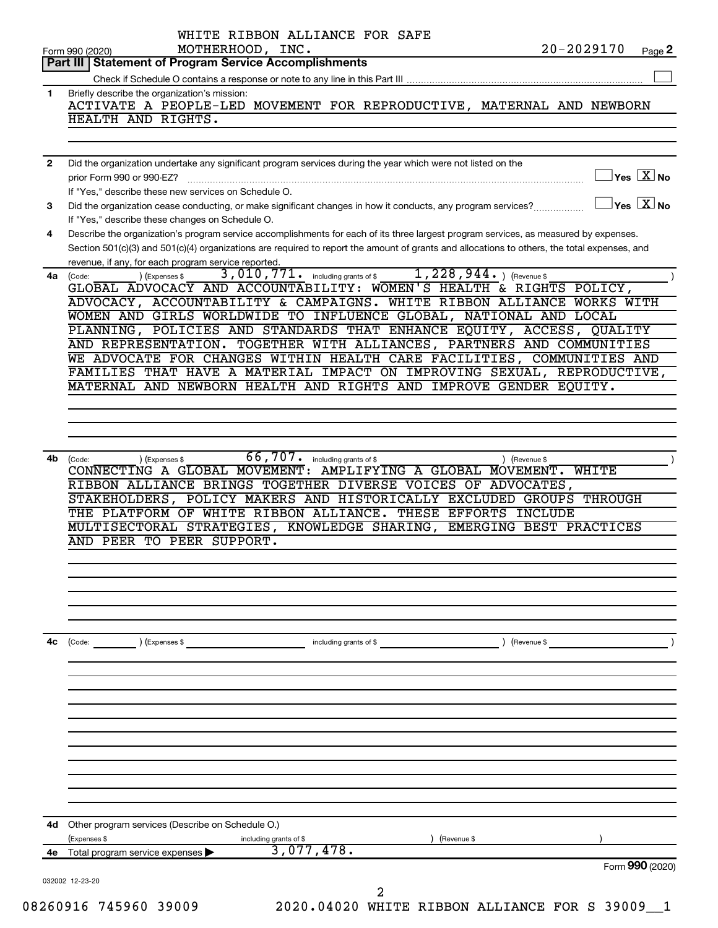| Part III     | $20 - 2029170$<br>MOTHERHOOD, INC.<br>Page 2<br>Form 990 (2020)                                                                                                                                                                                                                                                                                                      |
|--------------|----------------------------------------------------------------------------------------------------------------------------------------------------------------------------------------------------------------------------------------------------------------------------------------------------------------------------------------------------------------------|
|              | <b>Statement of Program Service Accomplishments</b>                                                                                                                                                                                                                                                                                                                  |
| $\mathbf 1$  | Briefly describe the organization's mission:                                                                                                                                                                                                                                                                                                                         |
|              | ACTIVATE A PEOPLE-LED MOVEMENT FOR REPRODUCTIVE, MATERNAL AND NEWBORN                                                                                                                                                                                                                                                                                                |
|              | HEALTH AND RIGHTS.                                                                                                                                                                                                                                                                                                                                                   |
|              |                                                                                                                                                                                                                                                                                                                                                                      |
| $\mathbf{2}$ | Did the organization undertake any significant program services during the year which were not listed on the                                                                                                                                                                                                                                                         |
|              | $\sqrt{}$ Yes $\sqrt{}\frac{\text{X}}{\text{N}}$ No<br>prior Form 990 or 990-EZ?                                                                                                                                                                                                                                                                                     |
|              | If "Yes," describe these new services on Schedule O.                                                                                                                                                                                                                                                                                                                 |
| 3            | $\exists$ Yes $\boxed{\text{X}}$ No<br>Did the organization cease conducting, or make significant changes in how it conducts, any program services?                                                                                                                                                                                                                  |
|              | If "Yes," describe these changes on Schedule O.                                                                                                                                                                                                                                                                                                                      |
| 4            | Describe the organization's program service accomplishments for each of its three largest program services, as measured by expenses.                                                                                                                                                                                                                                 |
|              | Section 501(c)(3) and 501(c)(4) organizations are required to report the amount of grants and allocations to others, the total expenses, and                                                                                                                                                                                                                         |
|              | revenue, if any, for each program service reported.                                                                                                                                                                                                                                                                                                                  |
| 4a           | $1,228,944.$ (Revenue \$)<br>$\overline{3}$ , $010$ , $771$ . including grants of \$<br>) (Expenses \$<br>(Code:                                                                                                                                                                                                                                                     |
|              | GLOBAL ADVOCACY AND ACCOUNTABILITY: WOMEN'S HEALTH & RIGHTS POLICY,                                                                                                                                                                                                                                                                                                  |
|              | ADVOCACY, ACCOUNTABILITY & CAMPAIGNS. WHITE RIBBON ALLIANCE WORKS WITH                                                                                                                                                                                                                                                                                               |
|              | WOMEN AND GIRLS WORLDWIDE TO INFLUENCE GLOBAL, NATIONAL AND LOCAL                                                                                                                                                                                                                                                                                                    |
|              | PLANNING, POLICIES AND STANDARDS THAT ENHANCE EQUITY, ACCESS, QUALITY                                                                                                                                                                                                                                                                                                |
|              | AND REPRESENTATION. TOGETHER WITH ALLIANCES, PARTNERS AND COMMUNITIES                                                                                                                                                                                                                                                                                                |
|              | WE ADVOCATE FOR CHANGES WITHIN HEALTH CARE FACILITIES, COMMUNITIES AND                                                                                                                                                                                                                                                                                               |
|              | FAMILIES THAT HAVE A MATERIAL IMPACT ON IMPROVING SEXUAL, REPRODUCTIVE,                                                                                                                                                                                                                                                                                              |
|              | MATERNAL AND NEWBORN HEALTH AND RIGHTS AND IMPROVE GENDER EQUITY.                                                                                                                                                                                                                                                                                                    |
|              |                                                                                                                                                                                                                                                                                                                                                                      |
|              |                                                                                                                                                                                                                                                                                                                                                                      |
|              |                                                                                                                                                                                                                                                                                                                                                                      |
|              | CONNECTING A GLOBAL MOVEMENT:<br>WHITE<br>AMPLIFYING A GLOBAL MOVEMENT.<br>RIBBON ALLIANCE BRINGS TOGETHER DIVERSE VOICES OF ADVOCATES,<br><b>THROUGH</b><br>STAKEHOLDERS, POLICY MAKERS AND HISTORICALLY EXCLUDED GROUPS<br>THE PLATFORM OF WHITE RIBBON ALLIANCE.<br>THESE EFFORTS INCLUDE<br>MULTISECTORAL STRATEGIES, KNOWLEDGE SHARING, EMERGING BEST PRACTICES |
|              | AND PEER TO PEER SUPPORT.                                                                                                                                                                                                                                                                                                                                            |
|              |                                                                                                                                                                                                                                                                                                                                                                      |
|              |                                                                                                                                                                                                                                                                                                                                                                      |
|              |                                                                                                                                                                                                                                                                                                                                                                      |
|              | ) (Revenue \$<br>(Code:<br>) (Expenses \$<br>including grants of \$                                                                                                                                                                                                                                                                                                  |
|              |                                                                                                                                                                                                                                                                                                                                                                      |
|              |                                                                                                                                                                                                                                                                                                                                                                      |
|              |                                                                                                                                                                                                                                                                                                                                                                      |
|              |                                                                                                                                                                                                                                                                                                                                                                      |
|              |                                                                                                                                                                                                                                                                                                                                                                      |
|              |                                                                                                                                                                                                                                                                                                                                                                      |
|              |                                                                                                                                                                                                                                                                                                                                                                      |
|              | 4d Other program services (Describe on Schedule O.)                                                                                                                                                                                                                                                                                                                  |
|              | (Expenses \$<br>) (Revenue \$<br>including grants of \$                                                                                                                                                                                                                                                                                                              |
| 4с           | 3,077,478.<br>4e Total program service expenses >                                                                                                                                                                                                                                                                                                                    |
|              | Form 990 (2020)<br>032002 12-23-20                                                                                                                                                                                                                                                                                                                                   |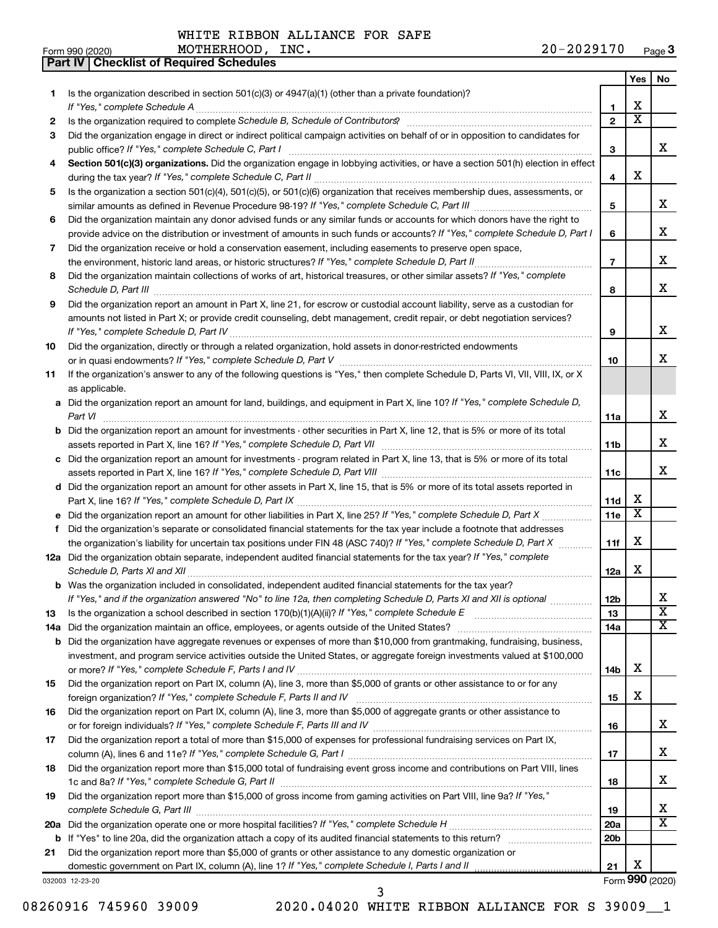**Part IV Checklist of Required Schedules**

|     |                                                                                                                                                                                                                                |                 | Yes                     | No                           |
|-----|--------------------------------------------------------------------------------------------------------------------------------------------------------------------------------------------------------------------------------|-----------------|-------------------------|------------------------------|
| 1   | Is the organization described in section 501(c)(3) or $4947(a)(1)$ (other than a private foundation)?                                                                                                                          |                 |                         |                              |
|     | If "Yes." complete Schedule A                                                                                                                                                                                                  | 1               | х                       |                              |
| 2   | Is the organization required to complete Schedule B, Schedule of Contributors? [111] [12] the organization required to complete Schedule B, Schedule of Contributors? [11] [12] [12] the organization required to complete Sch | $\mathbf{2}$    | $\overline{\textbf{x}}$ |                              |
| 3   | Did the organization engage in direct or indirect political campaign activities on behalf of or in opposition to candidates for                                                                                                |                 |                         |                              |
|     | public office? If "Yes," complete Schedule C, Part I                                                                                                                                                                           | 3               |                         | x                            |
| 4   | Section 501(c)(3) organizations. Did the organization engage in lobbying activities, or have a section 501(h) election in effect                                                                                               |                 |                         |                              |
|     |                                                                                                                                                                                                                                | 4               | х                       |                              |
| 5   | Is the organization a section 501(c)(4), 501(c)(5), or 501(c)(6) organization that receives membership dues, assessments, or                                                                                                   |                 |                         |                              |
|     |                                                                                                                                                                                                                                | 5               |                         | x                            |
| 6   | Did the organization maintain any donor advised funds or any similar funds or accounts for which donors have the right to                                                                                                      |                 |                         |                              |
|     | provide advice on the distribution or investment of amounts in such funds or accounts? If "Yes," complete Schedule D, Part I                                                                                                   | 6               |                         | x                            |
| 7   | Did the organization receive or hold a conservation easement, including easements to preserve open space,                                                                                                                      |                 |                         |                              |
|     | the environment, historic land areas, or historic structures? If "Yes," complete Schedule D, Part II                                                                                                                           | $\overline{7}$  |                         | x                            |
| 8   | Did the organization maintain collections of works of art, historical treasures, or other similar assets? If "Yes," complete                                                                                                   |                 |                         |                              |
|     |                                                                                                                                                                                                                                | 8               |                         | x                            |
| 9   | Did the organization report an amount in Part X, line 21, for escrow or custodial account liability, serve as a custodian for                                                                                                  |                 |                         |                              |
|     | amounts not listed in Part X; or provide credit counseling, debt management, credit repair, or debt negotiation services?                                                                                                      |                 |                         |                              |
|     |                                                                                                                                                                                                                                | 9               |                         | x                            |
| 10  | Did the organization, directly or through a related organization, hold assets in donor-restricted endowments                                                                                                                   |                 |                         |                              |
|     |                                                                                                                                                                                                                                | 10              |                         | x                            |
| 11  | If the organization's answer to any of the following questions is "Yes," then complete Schedule D, Parts VI, VII, VIII, IX, or X                                                                                               |                 |                         |                              |
|     | as applicable.                                                                                                                                                                                                                 |                 |                         |                              |
|     | a Did the organization report an amount for land, buildings, and equipment in Part X, line 10? If "Yes," complete Schedule D,                                                                                                  |                 |                         |                              |
|     | Part VI                                                                                                                                                                                                                        | 11a             |                         | x                            |
|     | <b>b</b> Did the organization report an amount for investments - other securities in Part X, line 12, that is 5% or more of its total                                                                                          |                 |                         |                              |
|     |                                                                                                                                                                                                                                | 11b             |                         | x                            |
|     | c Did the organization report an amount for investments - program related in Part X, line 13, that is 5% or more of its total                                                                                                  |                 |                         |                              |
|     |                                                                                                                                                                                                                                | 11c             |                         | x                            |
|     | d Did the organization report an amount for other assets in Part X, line 15, that is 5% or more of its total assets reported in                                                                                                |                 |                         |                              |
|     |                                                                                                                                                                                                                                | 11d             | х                       |                              |
|     |                                                                                                                                                                                                                                | 11e             | $\overline{\textbf{x}}$ |                              |
| f   | Did the organization's separate or consolidated financial statements for the tax year include a footnote that addresses                                                                                                        |                 |                         |                              |
|     | the organization's liability for uncertain tax positions under FIN 48 (ASC 740)? If "Yes," complete Schedule D, Part X                                                                                                         | 11f             | X                       |                              |
|     | 12a Did the organization obtain separate, independent audited financial statements for the tax year? If "Yes," complete                                                                                                        |                 |                         |                              |
|     | Schedule D, Parts XI and XII                                                                                                                                                                                                   | 12a             | х                       |                              |
|     | <b>b</b> Was the organization included in consolidated, independent audited financial statements for the tax year?                                                                                                             |                 |                         |                              |
|     | If "Yes," and if the organization answered "No" to line 12a, then completing Schedule D, Parts XI and XII is optional                                                                                                          | 12b             |                         | ▵<br>$\overline{\textbf{x}}$ |
| 13  | Is the organization a school described in section 170(b)(1)(A)(ii)? If "Yes," complete Schedule E manual content content of the organization a school described in section 170(b)(1)(A)(ii)? If "Yes," complete Schedule E     | 13              |                         | х                            |
| 14a | Did the organization maintain an office, employees, or agents outside of the United States?                                                                                                                                    | 14a             |                         |                              |
| b   | Did the organization have aggregate revenues or expenses of more than \$10,000 from grantmaking, fundraising, business,                                                                                                        |                 |                         |                              |
|     | investment, and program service activities outside the United States, or aggregate foreign investments valued at \$100,000                                                                                                     |                 | х                       |                              |
|     | Did the organization report on Part IX, column (A), line 3, more than \$5,000 of grants or other assistance to or for any                                                                                                      | 14b             |                         |                              |
| 15  |                                                                                                                                                                                                                                |                 | х                       |                              |
|     | Did the organization report on Part IX, column (A), line 3, more than \$5,000 of aggregate grants or other assistance to                                                                                                       | 15              |                         |                              |
| 16  |                                                                                                                                                                                                                                | 16              |                         | x                            |
|     | Did the organization report a total of more than \$15,000 of expenses for professional fundraising services on Part IX,                                                                                                        |                 |                         |                              |
| 17  |                                                                                                                                                                                                                                | 17              |                         | х                            |
| 18  | Did the organization report more than \$15,000 total of fundraising event gross income and contributions on Part VIII, lines                                                                                                   |                 |                         |                              |
|     |                                                                                                                                                                                                                                | 18              |                         | х                            |
| 19  | Did the organization report more than \$15,000 of gross income from gaming activities on Part VIII, line 9a? If "Yes,"                                                                                                         |                 |                         |                              |
|     |                                                                                                                                                                                                                                | 19              |                         | x                            |
|     |                                                                                                                                                                                                                                | 20a             |                         | X                            |
|     |                                                                                                                                                                                                                                | 20 <sub>b</sub> |                         |                              |
| 21  | Did the organization report more than \$5,000 of grants or other assistance to any domestic organization or                                                                                                                    |                 |                         |                              |
|     |                                                                                                                                                                                                                                | 21              | х                       |                              |
|     | 032003 12-23-20                                                                                                                                                                                                                |                 |                         | Form 990 (2020)              |

08260916 745960 39009 2020.04020 WHITE RIBBON ALLIANCE FOR S 39009\_\_1

3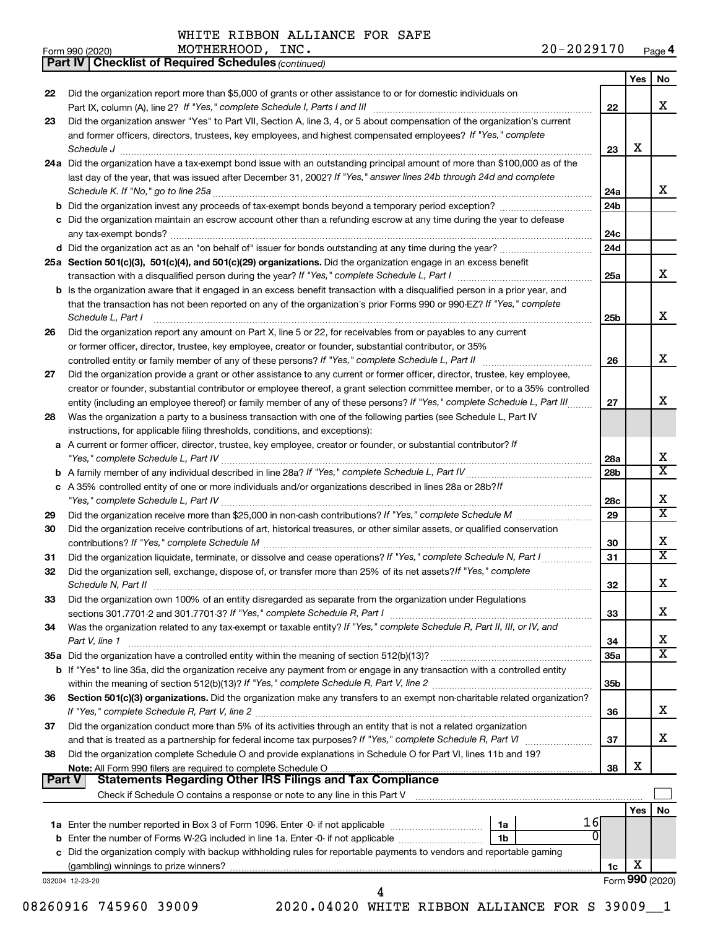*(continued)* **Part IV Checklist of Required Schedules**

|    |                                                                                                                                             |                 | Yes             | No                      |
|----|---------------------------------------------------------------------------------------------------------------------------------------------|-----------------|-----------------|-------------------------|
| 22 | Did the organization report more than \$5,000 of grants or other assistance to or for domestic individuals on                               | 22              |                 | x                       |
| 23 | Did the organization answer "Yes" to Part VII, Section A, line 3, 4, or 5 about compensation of the organization's current                  |                 |                 |                         |
|    | and former officers, directors, trustees, key employees, and highest compensated employees? If "Yes," complete<br>Schedule J                | 23              | х               |                         |
|    | 24a Did the organization have a tax-exempt bond issue with an outstanding principal amount of more than \$100,000 as of the                 |                 |                 |                         |
|    | last day of the year, that was issued after December 31, 2002? If "Yes," answer lines 24b through 24d and complete                          |                 |                 |                         |
|    | Schedule K. If "No," go to line 25a                                                                                                         | 24a             |                 | x                       |
|    |                                                                                                                                             | 24 <sub>b</sub> |                 |                         |
|    | c Did the organization maintain an escrow account other than a refunding escrow at any time during the year to defease                      |                 |                 |                         |
|    | any tax-exempt bonds?                                                                                                                       | 24c             |                 |                         |
|    | d Did the organization act as an "on behalf of" issuer for bonds outstanding at any time during the year?                                   | 24d             |                 |                         |
|    | 25a Section 501(c)(3), 501(c)(4), and 501(c)(29) organizations. Did the organization engage in an excess benefit                            |                 |                 |                         |
|    |                                                                                                                                             | 25a             |                 | x                       |
|    | b Is the organization aware that it engaged in an excess benefit transaction with a disqualified person in a prior year, and                |                 |                 |                         |
|    | that the transaction has not been reported on any of the organization's prior Forms 990 or 990-EZ? If "Yes," complete<br>Schedule L, Part I | 25b             |                 | x                       |
| 26 | Did the organization report any amount on Part X, line 5 or 22, for receivables from or payables to any current                             |                 |                 |                         |
|    | or former officer, director, trustee, key employee, creator or founder, substantial contributor, or 35%                                     |                 |                 |                         |
|    | controlled entity or family member of any of these persons? If "Yes," complete Schedule L, Part II                                          | 26              |                 | x                       |
| 27 | Did the organization provide a grant or other assistance to any current or former officer, director, trustee, key employee,                 |                 |                 |                         |
|    | creator or founder, substantial contributor or employee thereof, a grant selection committee member, or to a 35% controlled                 |                 |                 |                         |
|    | entity (including an employee thereof) or family member of any of these persons? If "Yes," complete Schedule L, Part III                    | 27              |                 | x                       |
| 28 | Was the organization a party to a business transaction with one of the following parties (see Schedule L, Part IV                           |                 |                 |                         |
|    | instructions, for applicable filing thresholds, conditions, and exceptions):                                                                |                 |                 |                         |
|    | a A current or former officer, director, trustee, key employee, creator or founder, or substantial contributor? If                          |                 |                 |                         |
|    | "Yes," complete Schedule L, Part IV                                                                                                         | 28a             |                 | х                       |
|    |                                                                                                                                             | 28 <sub>b</sub> |                 | $\overline{\mathbf{X}}$ |
|    | c A 35% controlled entity of one or more individuals and/or organizations described in lines 28a or 28b?If                                  |                 |                 |                         |
|    | "Yes," complete Schedule L, Part IV                                                                                                         | 28c             |                 | х                       |
| 29 |                                                                                                                                             | 29              |                 | $\overline{\textbf{x}}$ |
| 30 | Did the organization receive contributions of art, historical treasures, or other similar assets, or qualified conservation                 | 30              |                 | х                       |
| 31 | Did the organization liquidate, terminate, or dissolve and cease operations? If "Yes," complete Schedule N, Part I                          | 31              |                 | $\overline{\textbf{x}}$ |
| 32 | Did the organization sell, exchange, dispose of, or transfer more than 25% of its net assets? If "Yes," complete<br>Schedule N, Part II     | 32              |                 | х                       |
| 33 | Did the organization own 100% of an entity disregarded as separate from the organization under Regulations                                  |                 |                 |                         |
|    |                                                                                                                                             | 33              |                 | х                       |
| 34 | Was the organization related to any tax-exempt or taxable entity? If "Yes," complete Schedule R, Part II, III, or IV, and                   |                 |                 |                         |
|    | Part V, line 1                                                                                                                              | 34              |                 | х                       |
|    | 35a Did the organization have a controlled entity within the meaning of section 512(b)(13)?                                                 | 35a             |                 | $\overline{\mathbf{X}}$ |
|    | b If "Yes" to line 35a, did the organization receive any payment from or engage in any transaction with a controlled entity                 |                 |                 |                         |
|    |                                                                                                                                             | 35b             |                 |                         |
| 36 | Section 501(c)(3) organizations. Did the organization make any transfers to an exempt non-charitable related organization?                  |                 |                 |                         |
|    |                                                                                                                                             | 36              |                 | х                       |
| 37 | Did the organization conduct more than 5% of its activities through an entity that is not a related organization                            |                 |                 |                         |
|    | and that is treated as a partnership for federal income tax purposes? If "Yes," complete Schedule R, Part VI                                | 37              |                 | x                       |
| 38 | Did the organization complete Schedule O and provide explanations in Schedule O for Part VI, lines 11b and 19?                              |                 |                 |                         |
|    |                                                                                                                                             | 38              | X               |                         |
|    | <b>Statements Regarding Other IRS Filings and Tax Compliance</b><br><b>Part V</b>                                                           |                 |                 |                         |
|    |                                                                                                                                             |                 |                 |                         |
|    |                                                                                                                                             |                 | Yes             | No                      |
|    | 16<br>1a                                                                                                                                    |                 |                 |                         |
|    | 0l<br>1 <sub>b</sub>                                                                                                                        |                 |                 |                         |
|    | c Did the organization comply with backup withholding rules for reportable payments to vendors and reportable gaming                        |                 |                 |                         |
|    |                                                                                                                                             | 1c              | х               |                         |
|    | 032004 12-23-20                                                                                                                             |                 | Form 990 (2020) |                         |
|    | 4                                                                                                                                           |                 |                 |                         |

08260916 745960 39009 2020.04020 WHITE RIBBON ALLIANCE FOR S 39009\_1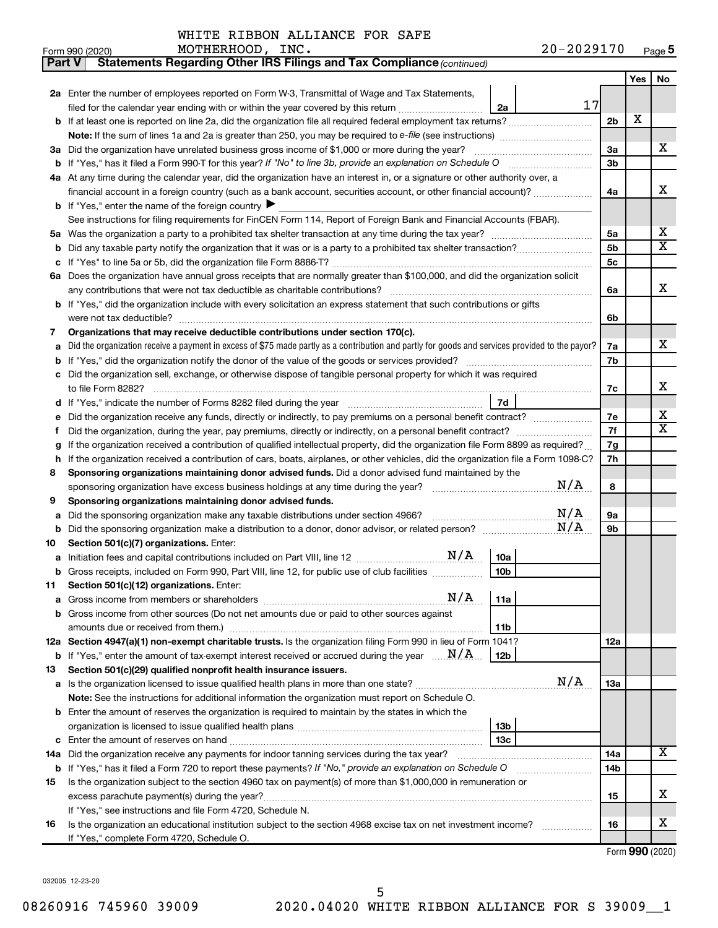| Part V | <b>Statements Regarding Other IRS Filings and Tax Compliance (continued)</b>                                                                    |                |     |                              |  |  |  |  |  |
|--------|-------------------------------------------------------------------------------------------------------------------------------------------------|----------------|-----|------------------------------|--|--|--|--|--|
|        |                                                                                                                                                 |                | Yes | No                           |  |  |  |  |  |
|        | 2a Enter the number of employees reported on Form W-3, Transmittal of Wage and Tax Statements,                                                  |                |     |                              |  |  |  |  |  |
|        | 17<br>filed for the calendar year ending with or within the year covered by this return<br>2a                                                   |                |     |                              |  |  |  |  |  |
| b      |                                                                                                                                                 | 2 <sub>b</sub> | X   |                              |  |  |  |  |  |
|        | Note: If the sum of lines 1a and 2a is greater than 250, you may be required to e-file (see instructions) <i></i>                               |                |     |                              |  |  |  |  |  |
|        | 3a Did the organization have unrelated business gross income of \$1,000 or more during the year?                                                | За             |     | x                            |  |  |  |  |  |
| b      |                                                                                                                                                 |                |     |                              |  |  |  |  |  |
|        | 4a At any time during the calendar year, did the organization have an interest in, or a signature or other authority over, a                    |                |     |                              |  |  |  |  |  |
|        | financial account in a foreign country (such as a bank account, securities account, or other financial account)?                                | 4a             |     | X                            |  |  |  |  |  |
|        | <b>b</b> If "Yes," enter the name of the foreign country $\blacktriangleright$                                                                  |                |     |                              |  |  |  |  |  |
|        | See instructions for filing requirements for FinCEN Form 114, Report of Foreign Bank and Financial Accounts (FBAR).                             |                |     |                              |  |  |  |  |  |
| 5a     |                                                                                                                                                 | 5a             |     | x                            |  |  |  |  |  |
| b      |                                                                                                                                                 | 5 <sub>b</sub> |     | $\overline{\texttt{x}}$      |  |  |  |  |  |
|        |                                                                                                                                                 | 5c             |     |                              |  |  |  |  |  |
|        | 6a Does the organization have annual gross receipts that are normally greater than \$100,000, and did the organization solicit                  |                |     |                              |  |  |  |  |  |
|        |                                                                                                                                                 | 6a             |     | X                            |  |  |  |  |  |
| b      | If "Yes," did the organization include with every solicitation an express statement that such contributions or gifts                            |                |     |                              |  |  |  |  |  |
|        | were not tax deductible?                                                                                                                        | 6b             |     |                              |  |  |  |  |  |
| 7      | Organizations that may receive deductible contributions under section 170(c).                                                                   |                |     |                              |  |  |  |  |  |
| a      | Did the organization receive a payment in excess of \$75 made partly as a contribution and partly for goods and services provided to the payor? | 7a             |     | x                            |  |  |  |  |  |
| b      |                                                                                                                                                 | 7b             |     |                              |  |  |  |  |  |
|        | Did the organization sell, exchange, or otherwise dispose of tangible personal property for which it was required                               |                |     |                              |  |  |  |  |  |
|        | to file Form 8282?                                                                                                                              | 7с             |     | X                            |  |  |  |  |  |
| d      | 7d                                                                                                                                              |                |     |                              |  |  |  |  |  |
|        | Did the organization receive any funds, directly or indirectly, to pay premiums on a personal benefit contract?                                 | 7е             |     | х<br>$\overline{\texttt{x}}$ |  |  |  |  |  |
| f      |                                                                                                                                                 |                |     |                              |  |  |  |  |  |
| g      | If the organization received a contribution of qualified intellectual property, did the organization file Form 8899 as required?                |                |     |                              |  |  |  |  |  |
| h      | If the organization received a contribution of cars, boats, airplanes, or other vehicles, did the organization file a Form 1098-C?              | 7h             |     |                              |  |  |  |  |  |
| 8      | Sponsoring organizations maintaining donor advised funds. Did a donor advised fund maintained by the                                            |                |     |                              |  |  |  |  |  |
|        | N/A<br>sponsoring organization have excess business holdings at any time during the year? [[[[[[[[[[[[[[[[[[[[[[[[[[                            | 8              |     |                              |  |  |  |  |  |
| 9      | Sponsoring organizations maintaining donor advised funds.                                                                                       |                |     |                              |  |  |  |  |  |
| а      | N/A<br>Did the sponsoring organization make any taxable distributions under section 4966?                                                       | 9а             |     |                              |  |  |  |  |  |
| b      | N/A                                                                                                                                             | 9b             |     |                              |  |  |  |  |  |
| 10     | Section 501(c)(7) organizations. Enter:                                                                                                         |                |     |                              |  |  |  |  |  |
| а      | 10a                                                                                                                                             |                |     |                              |  |  |  |  |  |
|        | 10 <sub>b</sub><br>Gross receipts, included on Form 990, Part VIII, line 12, for public use of club facilities                                  |                |     |                              |  |  |  |  |  |
| 11,    | Section 501(c)(12) organizations. Enter:                                                                                                        |                |     |                              |  |  |  |  |  |
| а      | N/A<br>11a                                                                                                                                      |                |     |                              |  |  |  |  |  |
| b      | Gross income from other sources (Do not net amounts due or paid to other sources against                                                        |                |     |                              |  |  |  |  |  |
|        | amounts due or received from them.)<br>11b                                                                                                      |                |     |                              |  |  |  |  |  |
|        | 12a Section 4947(a)(1) non-exempt charitable trusts. Is the organization filing Form 990 in lieu of Form 1041?                                  | 12a            |     |                              |  |  |  |  |  |
|        | <b>b</b> If "Yes," enter the amount of tax-exempt interest received or accrued during the year $\ldots \mathbf{N}/\mathbf{A}$ .<br>12b          |                |     |                              |  |  |  |  |  |
| 13     | Section 501(c)(29) qualified nonprofit health insurance issuers.                                                                                |                |     |                              |  |  |  |  |  |
|        | N/A<br>a Is the organization licensed to issue qualified health plans in more than one state?                                                   | <b>13a</b>     |     |                              |  |  |  |  |  |
|        | <b>Note:</b> See the instructions for additional information the organization must report on Schedule O.                                        |                |     |                              |  |  |  |  |  |
| b      | Enter the amount of reserves the organization is required to maintain by the states in which the                                                |                |     |                              |  |  |  |  |  |
|        | 13 <sub>b</sub>                                                                                                                                 |                |     |                              |  |  |  |  |  |
| с      | 13c                                                                                                                                             |                |     | x                            |  |  |  |  |  |
|        | 14a Did the organization receive any payments for indoor tanning services during the tax year?                                                  | 14a            |     |                              |  |  |  |  |  |
|        | <b>b</b> If "Yes," has it filed a Form 720 to report these payments? If "No," provide an explanation on Schedule O                              | 14b            |     |                              |  |  |  |  |  |
| 15     | Is the organization subject to the section 4960 tax on payment(s) of more than \$1,000,000 in remuneration or                                   |                |     |                              |  |  |  |  |  |
|        |                                                                                                                                                 | 15             |     | x                            |  |  |  |  |  |
|        | If "Yes," see instructions and file Form 4720, Schedule N.                                                                                      |                |     |                              |  |  |  |  |  |
| 16     | Is the organization an educational institution subject to the section 4968 excise tax on net investment income?                                 | 16             |     | x                            |  |  |  |  |  |
|        | If "Yes," complete Form 4720, Schedule O.                                                                                                       |                |     |                              |  |  |  |  |  |

Form (2020) **990**

032005 12-23-20

l,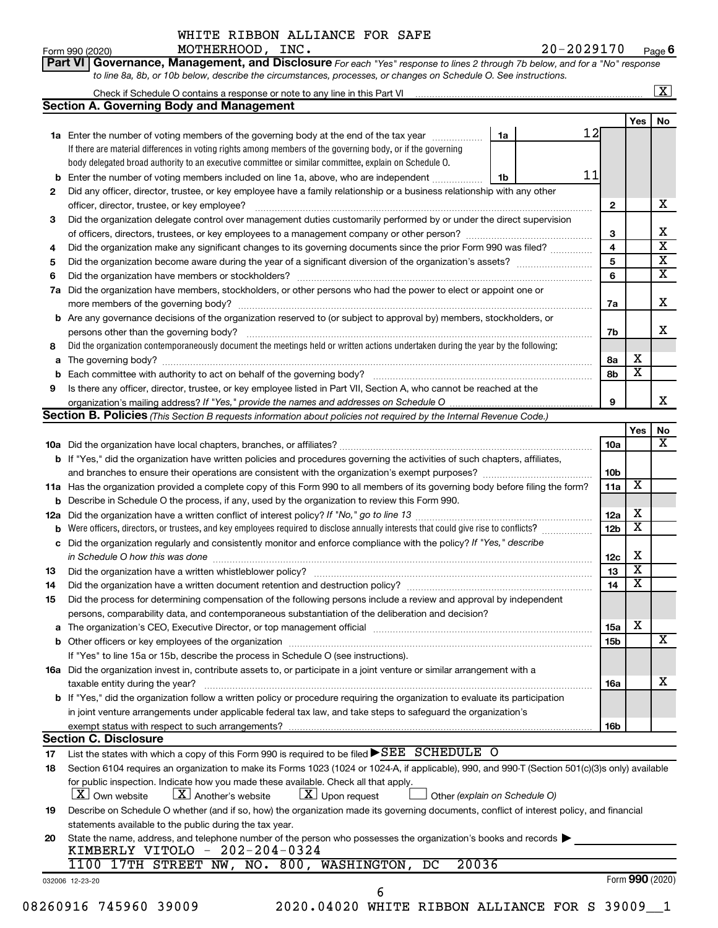**Part VI** Governance, Management, and Disclosure For each "Yes" response to lines 2 through 7b below, and for a "No" response *to line 8a, 8b, or 10b below, describe the circumstances, processes, or changes on Schedule O. See instructions.*

|    | <b>Section A. Governing Body and Management</b>                                                                                                              |                               |    |                 |                         |  |
|----|--------------------------------------------------------------------------------------------------------------------------------------------------------------|-------------------------------|----|-----------------|-------------------------|--|
|    |                                                                                                                                                              |                               |    |                 | Yes                     |  |
|    | <b>1a</b> Enter the number of voting members of the governing body at the end of the tax year                                                                | 1a                            | 12 |                 |                         |  |
|    | If there are material differences in voting rights among members of the governing body, or if the governing                                                  |                               |    |                 |                         |  |
|    | body delegated broad authority to an executive committee or similar committee, explain on Schedule O.                                                        |                               |    |                 |                         |  |
| b  | Enter the number of voting members included on line 1a, above, who are independent                                                                           | 1b                            | 11 |                 |                         |  |
| 2  | Did any officer, director, trustee, or key employee have a family relationship or a business relationship with any other                                     |                               |    |                 |                         |  |
|    | officer, director, trustee, or key employee?                                                                                                                 |                               |    | $\mathbf{2}$    |                         |  |
| З  | Did the organization delegate control over management duties customarily performed by or under the direct supervision                                        |                               |    |                 |                         |  |
|    |                                                                                                                                                              |                               |    | 3               |                         |  |
| 4  | Did the organization make any significant changes to its governing documents since the prior Form 990 was filed?                                             |                               |    | 4               |                         |  |
| 5  |                                                                                                                                                              |                               |    | 5               |                         |  |
|    |                                                                                                                                                              |                               |    | 6               |                         |  |
| 6  |                                                                                                                                                              |                               |    |                 |                         |  |
| 7a | Did the organization have members, stockholders, or other persons who had the power to elect or appoint one or                                               |                               |    |                 |                         |  |
|    |                                                                                                                                                              |                               |    | 7a              |                         |  |
|    | <b>b</b> Are any governance decisions of the organization reserved to (or subject to approval by) members, stockholders, or                                  |                               |    |                 |                         |  |
|    |                                                                                                                                                              |                               |    | 7b              |                         |  |
| 8  | Did the organization contemporaneously document the meetings held or written actions undertaken during the year by the following:                            |                               |    |                 |                         |  |
|    |                                                                                                                                                              |                               |    | 8а              | х                       |  |
|    |                                                                                                                                                              |                               |    | 8b              | $\overline{\text{x}}$   |  |
| 9  | Is there any officer, director, trustee, or key employee listed in Part VII, Section A, who cannot be reached at the                                         |                               |    |                 |                         |  |
|    |                                                                                                                                                              |                               |    | 9               |                         |  |
|    | <b>Section B. Policies</b> (This Section B requests information about policies not required by the Internal Revenue Code.)                                   |                               |    |                 |                         |  |
|    |                                                                                                                                                              |                               |    |                 | Yes                     |  |
|    |                                                                                                                                                              |                               |    | 10a             |                         |  |
|    |                                                                                                                                                              |                               |    |                 |                         |  |
|    | b If "Yes," did the organization have written policies and procedures governing the activities of such chapters, affiliates,                                 |                               |    |                 |                         |  |
|    |                                                                                                                                                              |                               |    | 10 <sub>b</sub> | $\overline{\mathbf{X}}$ |  |
|    | 11a Has the organization provided a complete copy of this Form 990 to all members of its governing body before filing the form?                              |                               |    | 11a             |                         |  |
|    | <b>b</b> Describe in Schedule O the process, if any, used by the organization to review this Form 990.                                                       |                               |    |                 |                         |  |
|    |                                                                                                                                                              |                               |    | 12a             | X                       |  |
|    | <b>b</b> Were officers, directors, or trustees, and key employees required to disclose annually interests that could give rise to conflicts?                 |                               |    | 12 <sub>b</sub> | $\overline{\mathbf{X}}$ |  |
|    | c Did the organization regularly and consistently monitor and enforce compliance with the policy? If "Yes," describe                                         |                               |    |                 |                         |  |
|    | in Schedule O how this was done <i>manufacture contract to the set of the set of the set of the set of the set of t</i>                                      |                               |    | 12c             | х                       |  |
| 13 |                                                                                                                                                              |                               |    | 13              | $\overline{\textbf{x}}$ |  |
| 14 | Did the organization have a written document retention and destruction policy?<br>The organization have a written document retention and destruction policy? |                               |    | 14              | $\overline{\mathbf{X}}$ |  |
| 15 | Did the process for determining compensation of the following persons include a review and approval by independent                                           |                               |    |                 |                         |  |
|    | persons, comparability data, and contemporaneous substantiation of the deliberation and decision?                                                            |                               |    |                 |                         |  |
|    |                                                                                                                                                              |                               |    | <b>15a</b>      | х                       |  |
|    |                                                                                                                                                              |                               |    |                 |                         |  |
|    |                                                                                                                                                              |                               |    | 15 <sub>b</sub> |                         |  |
|    | If "Yes" to line 15a or 15b, describe the process in Schedule O (see instructions).                                                                          |                               |    |                 |                         |  |
|    | 16a Did the organization invest in, contribute assets to, or participate in a joint venture or similar arrangement with a                                    |                               |    |                 |                         |  |
|    | taxable entity during the year?                                                                                                                              |                               |    | 16a             |                         |  |
|    | b If "Yes," did the organization follow a written policy or procedure requiring the organization to evaluate its participation                               |                               |    |                 |                         |  |
|    | in joint venture arrangements under applicable federal tax law, and take steps to safeguard the organization's                                               |                               |    |                 |                         |  |
|    | exempt status with respect to such arrangements?                                                                                                             |                               |    | 16b             |                         |  |
|    | <b>Section C. Disclosure</b>                                                                                                                                 |                               |    |                 |                         |  |
| 17 | List the states with which a copy of this Form 990 is required to be filed $\blacktriangleright$ SEE SCHEDULE O                                              |                               |    |                 |                         |  |
| 18 | Section 6104 requires an organization to make its Forms 1023 (1024 or 1024-A, if applicable), 990, and 990-T (Section 501(c)(3)s only) available             |                               |    |                 |                         |  |
|    | for public inspection. Indicate how you made these available. Check all that apply.                                                                          |                               |    |                 |                         |  |
|    | $\lfloor x \rfloor$ Upon request<br><b>X</b> Own website<br>$ \mathbf{X} $ Another's website                                                                 | Other (explain on Schedule O) |    |                 |                         |  |
|    |                                                                                                                                                              |                               |    |                 |                         |  |
| 19 | Describe on Schedule O whether (and if so, how) the organization made its governing documents, conflict of interest policy, and financial                    |                               |    |                 |                         |  |
|    | statements available to the public during the tax year.                                                                                                      |                               |    |                 |                         |  |
| 20 | State the name, address, and telephone number of the person who possesses the organization's books and records                                               |                               |    |                 |                         |  |
|    | KIMBERLY VITOLO - 202-204-0324                                                                                                                               |                               |    |                 |                         |  |
|    |                                                                                                                                                              |                               |    |                 |                         |  |
|    | 1100 17TH STREET NW, NO. 800, WASHINGTON,<br>20036<br>DC                                                                                                     |                               |    |                 | Form 990 (2020)         |  |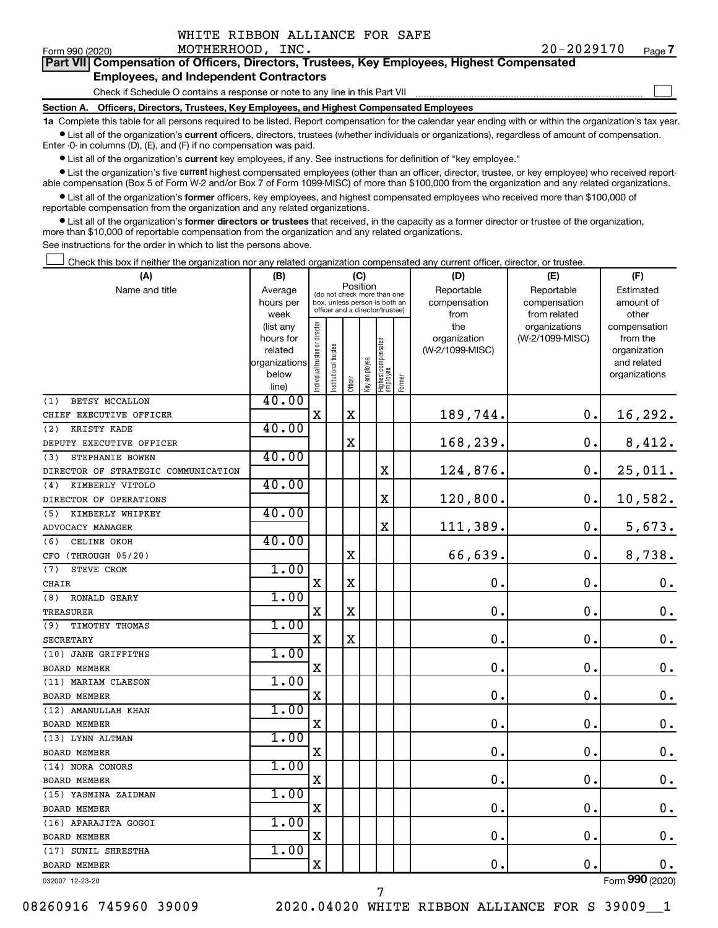|  | WHITE RIBBON ALLIANCE FOR SAFE |  |
|--|--------------------------------|--|
|  |                                |  |

 $\Box$ 

|  | Part VII Compensation of Officers, Directors, Trustees, Key Employees, Highest Compensated |
|--|--------------------------------------------------------------------------------------------|
|  | <b>Employees, and Independent Contractors</b>                                              |

Check if Schedule O contains a response or note to any line in this Part VII

**Section A. Officers, Directors, Trustees, Key Employees, and Highest Compensated Employees**

**1a**  Complete this table for all persons required to be listed. Report compensation for the calendar year ending with or within the organization's tax year.  $\bullet$  List all of the organization's current officers, directors, trustees (whether individuals or organizations), regardless of amount of compensation.

Enter -0- in columns (D), (E), and (F) if no compensation was paid.

**•** List all of the organization's current key employees, if any. See instructions for definition of "key employee."

• List the organization's five *current* highest compensated employees (other than an officer, director, trustee, or key employee) who received reportable compensation (Box 5 of Form W-2 and/or Box 7 of Form 1099-MISC) of more than \$100,000 from the organization and any related organizations.

 $\bullet$  List all of the organization's former officers, key employees, and highest compensated employees who received more than \$100,000 of reportable compensation from the organization and any related organizations.

**•** List all of the organization's former directors or trustees that received, in the capacity as a former director or trustee of the organization, more than \$10,000 of reportable compensation from the organization and any related organizations.

See instructions for the order in which to list the persons above.

Check this box if neither the organization nor any related organization compensated any current officer, director, or trustee.  $\Box$ 

| (A)                                 | (B)                    |                                |                                 | (C)         |              |                                   |        | (D)             | (E)             | (F)                          |
|-------------------------------------|------------------------|--------------------------------|---------------------------------|-------------|--------------|-----------------------------------|--------|-----------------|-----------------|------------------------------|
| Name and title                      | Average                |                                | (do not check more than one     |             | Position     |                                   |        | Reportable      | Reportable      | Estimated                    |
|                                     | hours per              |                                | box, unless person is both an   |             |              |                                   |        | compensation    | compensation    | amount of                    |
|                                     | week                   |                                | officer and a director/trustee) |             |              |                                   |        | from            | from related    | other                        |
|                                     | (list any              |                                |                                 |             |              |                                   |        | the             | organizations   | compensation                 |
|                                     | hours for              |                                |                                 |             |              |                                   |        | organization    | (W-2/1099-MISC) | from the                     |
|                                     | related                |                                |                                 |             |              |                                   |        | (W-2/1099-MISC) |                 | organization                 |
|                                     | organizations<br>below |                                |                                 |             |              |                                   |        |                 |                 | and related<br>organizations |
|                                     | line)                  | Individual trustee or director | nstitutional trustee            | Officer     | Key employee | Highest compensated<br>  employee | Former |                 |                 |                              |
| BETSY MCCALLON<br>(1)               | 40.00                  |                                |                                 |             |              |                                   |        |                 |                 |                              |
| CHIEF EXECUTIVE OFFICER             |                        | $\mathbf x$                    |                                 | X           |              |                                   |        | 189,744.        | 0.              | 16,292.                      |
| <b>KRISTY KADE</b><br>(2)           | 40.00                  |                                |                                 |             |              |                                   |        |                 |                 |                              |
| DEPUTY EXECUTIVE OFFICER            |                        |                                |                                 | $\mathbf X$ |              |                                   |        | 168,239.        | $\mathbf 0$ .   | 8,412.                       |
| STEPHANIE BOWEN<br>(3)              | 40.00                  |                                |                                 |             |              |                                   |        |                 |                 |                              |
| DIRECTOR OF STRATEGIC COMMUNICATION |                        |                                |                                 |             |              | X                                 |        | 124,876.        | $\mathbf 0$ .   | 25,011.                      |
| KIMBERLY VITOLO<br>(4)              | 40.00                  |                                |                                 |             |              |                                   |        |                 |                 |                              |
| DIRECTOR OF OPERATIONS              |                        |                                |                                 |             |              | $\mathbf X$                       |        | 120,800.        | $\mathbf 0$ .   | 10,582.                      |
| KIMBERLY WHIPKEY<br>(5)             | 40.00                  |                                |                                 |             |              |                                   |        |                 |                 |                              |
| ADVOCACY MANAGER                    |                        |                                |                                 |             |              | $\mathbf X$                       |        | 111,389.        | $\mathbf 0$ .   | 5,673.                       |
| CELINE OKOH<br>(6)                  | 40.00                  |                                |                                 |             |              |                                   |        |                 |                 |                              |
| CFO (THROUGH 05/20)                 |                        |                                |                                 | $\mathbf X$ |              |                                   |        | 66,639.         | $\mathbf 0$ .   | 8,738.                       |
| (7)<br>STEVE CROM                   | 1.00                   |                                |                                 |             |              |                                   |        |                 |                 |                              |
| CHAIR                               |                        | $\mathbf X$                    |                                 | $\mathbf X$ |              |                                   |        | $\mathbf 0$ .   | $\mathbf 0$ .   | 0.                           |
| (8)<br><b>RONALD GEARY</b>          | 1.00                   |                                |                                 |             |              |                                   |        |                 |                 |                              |
| TREASURER                           |                        | X                              |                                 | X           |              |                                   |        | $\mathbf 0$ .   | $\mathbf 0$ .   | $\mathbf 0$ .                |
| TIMOTHY THOMAS<br>(9)               | 1.00                   |                                |                                 |             |              |                                   |        |                 |                 |                              |
| <b>SECRETARY</b>                    |                        | X                              |                                 | $\mathbf X$ |              |                                   |        | $\mathbf 0$ .   | $\mathbf 0$ .   | $\mathbf 0$ .                |
| (10) JANE GRIFFITHS                 | 1.00                   |                                |                                 |             |              |                                   |        |                 |                 |                              |
| BOARD MEMBER                        |                        | X                              |                                 |             |              |                                   |        | $\mathbf 0$ .   | $\mathbf 0$ .   | $\mathbf 0$ .                |
| (11) MARIAM CLAESON                 | 1.00                   |                                |                                 |             |              |                                   |        |                 |                 |                              |
| <b>BOARD MEMBER</b>                 |                        | X                              |                                 |             |              |                                   |        | 0.              | 0.              | $\boldsymbol{0}$ .           |
| (12) AMANULLAH KHAN                 | 1.00                   |                                |                                 |             |              |                                   |        |                 |                 |                              |
| BOARD MEMBER                        |                        | $\mathbf X$                    |                                 |             |              |                                   |        | $\mathbf 0$ .   | $\mathbf 0$ .   | $\mathbf 0$ .                |
| (13) LYNN ALTMAN                    | 1.00                   |                                |                                 |             |              |                                   |        |                 |                 |                              |
| <b>BOARD MEMBER</b>                 |                        | X                              |                                 |             |              |                                   |        | $\mathbf 0$ .   | $\mathbf 0$ .   | $\boldsymbol{0}$ .           |
| (14) NORA CONORS                    | 1.00                   |                                |                                 |             |              |                                   |        |                 |                 |                              |
| <b>BOARD MEMBER</b>                 |                        | $\mathbf X$                    |                                 |             |              |                                   |        | $\mathbf 0$ .   | $\mathbf 0$ .   | 0.                           |
| (15) YASMINA ZAIDMAN                | 1.00                   |                                |                                 |             |              |                                   |        |                 |                 |                              |
| <b>BOARD MEMBER</b>                 |                        | X                              |                                 |             |              |                                   |        | $\mathbf 0$ .   | $\mathbf 0$ .   | 0.                           |
| (16) APARAJITA GOGOI                | 1.00                   |                                |                                 |             |              |                                   |        |                 |                 |                              |
| <b>BOARD MEMBER</b>                 |                        | $\mathbf X$                    |                                 |             |              |                                   |        | 0.              | $\mathbf 0$ .   | $\mathbf 0$ .                |
| (17) SUNIL SHRESTHA                 | 1.00                   |                                |                                 |             |              |                                   |        |                 |                 |                              |
| <b>BOARD MEMBER</b>                 |                        | X                              |                                 |             |              |                                   |        | 0.              | $\mathbf 0$ .   | 0.                           |
| 032007 12-23-20                     |                        |                                |                                 |             |              |                                   |        |                 |                 | Form 990 (2020)              |

7

08260916 745960 39009 2020.04020 WHITE RIBBON ALLIANCE FOR S 39009 1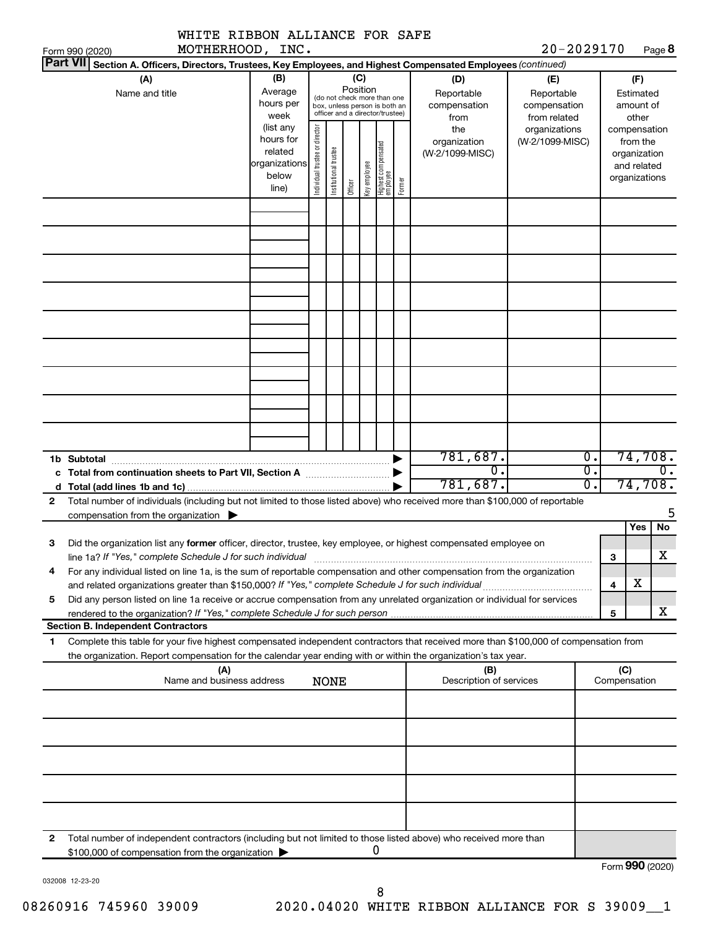| WHITE RIBBON ALLIANCE FOR SAFE                                                                                                                                                                                                                              |                                                                      |                                |                       |         |              |                                                                                                 |        |                                           |                                                   |              |                                                                          |                             |
|-------------------------------------------------------------------------------------------------------------------------------------------------------------------------------------------------------------------------------------------------------------|----------------------------------------------------------------------|--------------------------------|-----------------------|---------|--------------|-------------------------------------------------------------------------------------------------|--------|-------------------------------------------|---------------------------------------------------|--------------|--------------------------------------------------------------------------|-----------------------------|
| MOTHERHOOD, INC.<br>Form 990 (2020)                                                                                                                                                                                                                         |                                                                      |                                |                       |         |              |                                                                                                 |        |                                           | $20 - 2029170$                                    |              |                                                                          | Page 8                      |
| Part VII Section A. Officers, Directors, Trustees, Key Employees, and Highest Compensated Employees (continued)                                                                                                                                             |                                                                      |                                |                       |         |              |                                                                                                 |        |                                           |                                                   |              |                                                                          |                             |
| (A)<br>Name and title                                                                                                                                                                                                                                       | (B)<br>Average<br>hours per<br>week                                  |                                |                       | (C)     | Position     | (do not check more than one<br>box, unless person is both an<br>officer and a director/trustee) |        | (D)<br>Reportable<br>compensation<br>from | (E)<br>Reportable<br>compensation<br>from related |              | (F)<br>Estimated<br>amount of<br>other                                   |                             |
|                                                                                                                                                                                                                                                             | (list any<br>hours for<br>related<br>organizations<br>below<br>line) | Individual trustee or director | Institutional trustee | Officer | Key employee | Highest compensated<br>employee                                                                 | Former | the<br>organization<br>(W-2/1099-MISC)    | organizations<br>(W-2/1099-MISC)                  |              | compensation<br>from the<br>organization<br>and related<br>organizations |                             |
|                                                                                                                                                                                                                                                             |                                                                      |                                |                       |         |              |                                                                                                 |        |                                           |                                                   |              |                                                                          |                             |
|                                                                                                                                                                                                                                                             |                                                                      |                                |                       |         |              |                                                                                                 |        |                                           |                                                   |              |                                                                          |                             |
|                                                                                                                                                                                                                                                             |                                                                      |                                |                       |         |              |                                                                                                 |        |                                           |                                                   |              |                                                                          |                             |
|                                                                                                                                                                                                                                                             |                                                                      |                                |                       |         |              |                                                                                                 |        |                                           |                                                   |              |                                                                          |                             |
|                                                                                                                                                                                                                                                             |                                                                      |                                |                       |         |              |                                                                                                 |        |                                           |                                                   |              |                                                                          |                             |
|                                                                                                                                                                                                                                                             |                                                                      |                                |                       |         |              |                                                                                                 |        |                                           |                                                   |              |                                                                          |                             |
| 1b Subtotal                                                                                                                                                                                                                                                 |                                                                      |                                |                       |         |              |                                                                                                 |        | 781,687.<br>σ.<br>781,687.                | $\overline{0}$ .<br>σ.<br>σ.                      |              | 74,708.                                                                  | $0$ .<br>74,708.            |
| Total number of individuals (including but not limited to those listed above) who received more than \$100,000 of reportable<br>$\mathbf{2}$<br>compensation from the organization $\blacktriangleright$                                                    |                                                                      |                                |                       |         |              |                                                                                                 |        |                                           |                                                   |              |                                                                          | 5                           |
| Did the organization list any former officer, director, trustee, key employee, or highest compensated employee on<br>з<br>line 1a? If "Yes," complete Schedule J for such individual                                                                        |                                                                      |                                |                       |         |              |                                                                                                 |        |                                           |                                                   | З            | Yes                                                                      | No<br>$\overline{\text{X}}$ |
| For any individual listed on line 1a, is the sum of reportable compensation and other compensation from the organization<br>4                                                                                                                               |                                                                      |                                |                       |         |              |                                                                                                 |        |                                           |                                                   | 4            | х                                                                        |                             |
| Did any person listed on line 1a receive or accrue compensation from any unrelated organization or individual for services<br>5                                                                                                                             |                                                                      |                                |                       |         |              |                                                                                                 |        |                                           |                                                   | 5            |                                                                          | x                           |
| <b>Section B. Independent Contractors</b>                                                                                                                                                                                                                   |                                                                      |                                |                       |         |              |                                                                                                 |        |                                           |                                                   |              |                                                                          |                             |
| Complete this table for your five highest compensated independent contractors that received more than \$100,000 of compensation from<br>1<br>the organization. Report compensation for the calendar year ending with or within the organization's tax year. |                                                                      |                                |                       |         |              |                                                                                                 |        |                                           |                                                   |              |                                                                          |                             |
| (A)<br>Name and business address                                                                                                                                                                                                                            |                                                                      |                                | <b>NONE</b>           |         |              |                                                                                                 |        | (B)<br>Description of services            |                                                   | Compensation | (C)                                                                      |                             |
|                                                                                                                                                                                                                                                             |                                                                      |                                |                       |         |              |                                                                                                 |        |                                           |                                                   |              |                                                                          |                             |
|                                                                                                                                                                                                                                                             |                                                                      |                                |                       |         |              |                                                                                                 |        |                                           |                                                   |              |                                                                          |                             |
|                                                                                                                                                                                                                                                             |                                                                      |                                |                       |         |              |                                                                                                 |        |                                           |                                                   |              |                                                                          |                             |
| Total number of independent contractors (including but not limited to those listed above) who received more than<br>2<br>\$100,000 of compensation from the organization                                                                                    |                                                                      |                                |                       |         | 0            |                                                                                                 |        |                                           |                                                   |              |                                                                          |                             |
|                                                                                                                                                                                                                                                             |                                                                      |                                |                       |         |              |                                                                                                 |        |                                           |                                                   |              | Form 990 (2020)                                                          |                             |

032008 12-23-20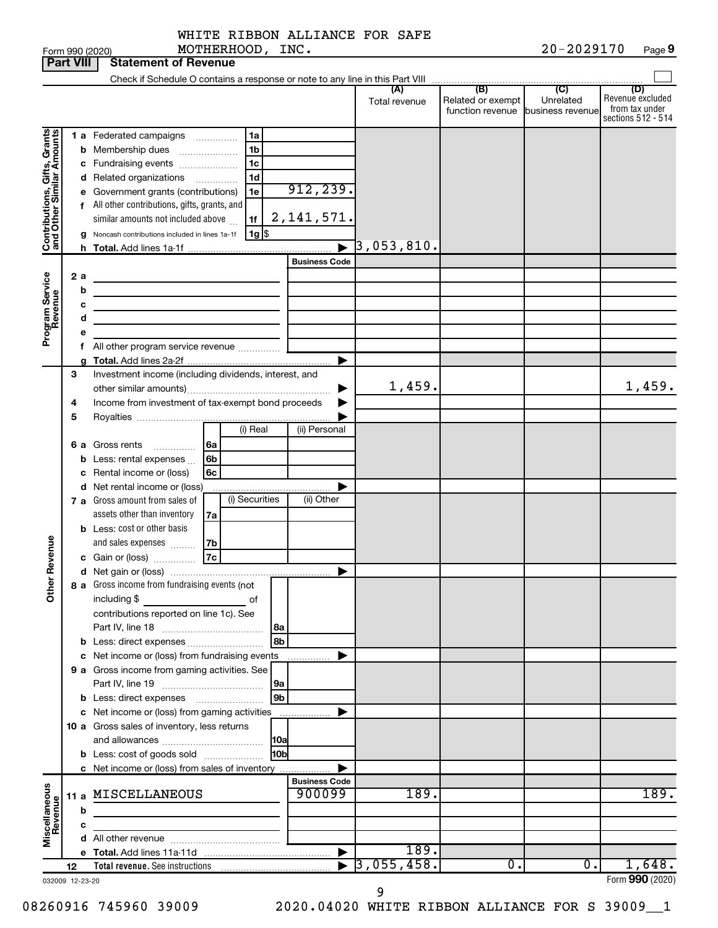|                                                           |    |    | MOTHERHOOD, INC.<br>Form 990 (2020)                                                                                                         |                 |                       |                        |                                       | $20 - 2029170$                | Page 9                                                          |
|-----------------------------------------------------------|----|----|---------------------------------------------------------------------------------------------------------------------------------------------|-----------------|-----------------------|------------------------|---------------------------------------|-------------------------------|-----------------------------------------------------------------|
| <b>Part VIII</b>                                          |    |    | <b>Statement of Revenue</b>                                                                                                                 |                 |                       |                        |                                       |                               |                                                                 |
|                                                           |    |    |                                                                                                                                             |                 |                       |                        |                                       |                               |                                                                 |
|                                                           |    |    |                                                                                                                                             |                 |                       | Total revenue          | Related or exempt<br>function revenue | Unrelated<br>business revenue | (D)<br>Revenue excluded<br>from tax under<br>sections 512 - 514 |
|                                                           |    |    | 1 a Federated campaigns<br>1a                                                                                                               |                 |                       |                        |                                       |                               |                                                                 |
| Contributions, Gifts, Grants<br>and Other Similar Amounts |    |    | 1 <sub>b</sub><br><b>b</b> Membership dues<br>$\overline{\phantom{a}}$                                                                      |                 |                       |                        |                                       |                               |                                                                 |
|                                                           |    |    | 1 <sub>c</sub><br>c Fundraising events                                                                                                      |                 |                       |                        |                                       |                               |                                                                 |
|                                                           |    |    | 1d<br>d Related organizations                                                                                                               |                 |                       |                        |                                       |                               |                                                                 |
|                                                           |    |    | e Government grants (contributions)<br>1e                                                                                                   |                 | 912, 239.             |                        |                                       |                               |                                                                 |
|                                                           |    |    | f All other contributions, gifts, grants, and                                                                                               |                 |                       |                        |                                       |                               |                                                                 |
|                                                           |    |    | similar amounts not included above<br>1f                                                                                                    |                 | 2, 141, 571.          |                        |                                       |                               |                                                                 |
|                                                           |    | g  | $1g$ \$<br>Noncash contributions included in lines 1a-1f                                                                                    |                 |                       |                        |                                       |                               |                                                                 |
|                                                           |    |    |                                                                                                                                             |                 | $\blacktriangleright$ | 3,053,810.             |                                       |                               |                                                                 |
|                                                           |    |    |                                                                                                                                             |                 | <b>Business Code</b>  |                        |                                       |                               |                                                                 |
|                                                           |    | 2a |                                                                                                                                             |                 |                       |                        |                                       |                               |                                                                 |
| Program Service<br>Revenue                                |    | b  |                                                                                                                                             |                 |                       |                        |                                       |                               |                                                                 |
|                                                           |    | с  | the control of the control of the control of the control of the control of                                                                  |                 |                       |                        |                                       |                               |                                                                 |
|                                                           |    | d  | the control of the control of the control of the control of the control of                                                                  |                 |                       |                        |                                       |                               |                                                                 |
|                                                           |    | е  |                                                                                                                                             |                 |                       |                        |                                       |                               |                                                                 |
|                                                           |    |    |                                                                                                                                             |                 |                       |                        |                                       |                               |                                                                 |
|                                                           |    |    |                                                                                                                                             |                 | ▶                     |                        |                                       |                               |                                                                 |
|                                                           | 3  |    | Investment income (including dividends, interest, and                                                                                       |                 |                       |                        |                                       |                               |                                                                 |
|                                                           |    |    |                                                                                                                                             |                 |                       | 1,459.                 |                                       |                               | 1,459.                                                          |
|                                                           | 4  |    | Income from investment of tax-exempt bond proceeds                                                                                          |                 |                       |                        |                                       |                               |                                                                 |
|                                                           | 5  |    |                                                                                                                                             |                 |                       |                        |                                       |                               |                                                                 |
|                                                           |    |    | (i) Real                                                                                                                                    |                 | (ii) Personal         |                        |                                       |                               |                                                                 |
|                                                           |    |    | <b>6 a</b> Gross rents<br>6a                                                                                                                |                 |                       |                        |                                       |                               |                                                                 |
|                                                           |    |    | <b>b</b> Less: rental expenses<br>6b                                                                                                        |                 |                       |                        |                                       |                               |                                                                 |
|                                                           |    |    | c Rental income or (loss)<br>6c                                                                                                             |                 |                       |                        |                                       |                               |                                                                 |
|                                                           |    |    | d Net rental income or (loss)                                                                                                               |                 |                       |                        |                                       |                               |                                                                 |
|                                                           |    |    | (i) Securities<br>7 a Gross amount from sales of                                                                                            |                 | (ii) Other            |                        |                                       |                               |                                                                 |
|                                                           |    |    | assets other than inventory<br>7a                                                                                                           |                 |                       |                        |                                       |                               |                                                                 |
|                                                           |    |    | <b>b</b> Less: cost or other basis                                                                                                          |                 |                       |                        |                                       |                               |                                                                 |
| evenue                                                    |    |    | and sales expenses<br>7b                                                                                                                    |                 |                       |                        |                                       |                               |                                                                 |
|                                                           |    |    | 7c<br>c Gain or (loss)                                                                                                                      |                 |                       |                        |                                       |                               |                                                                 |
|                                                           |    |    |                                                                                                                                             |                 |                       |                        |                                       |                               |                                                                 |
| Other                                                     |    |    | 8 a Gross income from fundraising events (not                                                                                               |                 |                       |                        |                                       |                               |                                                                 |
|                                                           |    |    | including $$$<br><u> 1989 - Jan Stein Stein Stein Stein Stein Stein Stein Stein Stein Stein Stein Stein Stein Stein Stein Stein S</u><br>of |                 |                       |                        |                                       |                               |                                                                 |
|                                                           |    |    | contributions reported on line 1c). See                                                                                                     |                 |                       |                        |                                       |                               |                                                                 |
|                                                           |    |    |                                                                                                                                             | 8 <sub>b</sub>  |                       |                        |                                       |                               |                                                                 |
|                                                           |    |    | <b>b</b> Less: direct expenses<br>c Net income or (loss) from fundraising events                                                            |                 |                       |                        |                                       |                               |                                                                 |
|                                                           |    |    | 9 a Gross income from gaming activities. See                                                                                                |                 |                       |                        |                                       |                               |                                                                 |
|                                                           |    |    |                                                                                                                                             | 9a              |                       |                        |                                       |                               |                                                                 |
|                                                           |    |    |                                                                                                                                             | 9 <sub>b</sub>  |                       |                        |                                       |                               |                                                                 |
|                                                           |    |    | c Net income or (loss) from gaming activities                                                                                               |                 |                       |                        |                                       |                               |                                                                 |
|                                                           |    |    | 10 a Gross sales of inventory, less returns                                                                                                 |                 |                       |                        |                                       |                               |                                                                 |
|                                                           |    |    |                                                                                                                                             |                 |                       |                        |                                       |                               |                                                                 |
|                                                           |    |    | <b>b</b> Less: cost of goods sold                                                                                                           | 10 <sub>b</sub> |                       |                        |                                       |                               |                                                                 |
|                                                           |    |    | c Net income or (loss) from sales of inventory                                                                                              |                 |                       |                        |                                       |                               |                                                                 |
|                                                           |    |    |                                                                                                                                             |                 | <b>Business Code</b>  |                        |                                       |                               |                                                                 |
| Miscellaneous<br>Revenue                                  |    |    | 11 a MISCELLANEOUS                                                                                                                          |                 | 900099                | 189.                   |                                       |                               | 189.                                                            |
|                                                           |    | b  |                                                                                                                                             |                 |                       |                        |                                       |                               |                                                                 |
|                                                           |    | с  |                                                                                                                                             |                 |                       |                        |                                       |                               |                                                                 |
|                                                           |    |    |                                                                                                                                             |                 |                       |                        |                                       |                               |                                                                 |
|                                                           |    |    |                                                                                                                                             |                 | $\blacktriangleright$ | 189.                   |                                       |                               |                                                                 |
|                                                           | 12 |    |                                                                                                                                             |                 |                       | $\overline{3,055,458}$ | 0.                                    | Ο.                            | 1,648.                                                          |
| 032009 12-23-20                                           |    |    |                                                                                                                                             |                 |                       | 9                      |                                       |                               | Form 990 (2020)                                                 |

08260916 745960 39009 2020.04020 WHITE RIBBON ALLIANCE FOR S 39009 1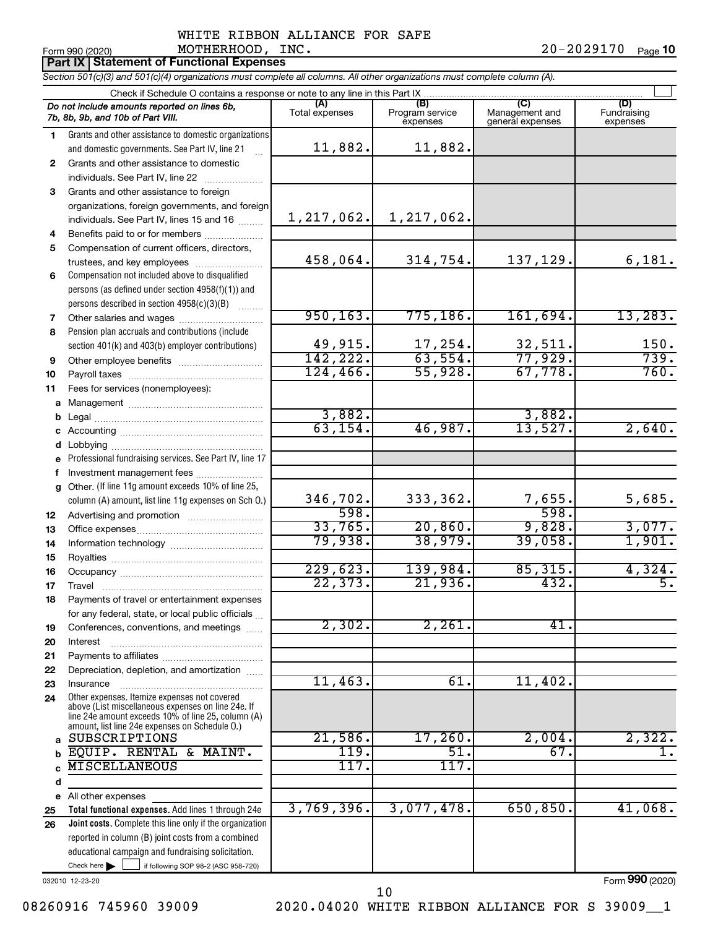|        | WHITE RIBBON ALLIANCE FOR SAFE                                                                                                                                                                             |                       |                                    |                                           |                                   |
|--------|------------------------------------------------------------------------------------------------------------------------------------------------------------------------------------------------------------|-----------------------|------------------------------------|-------------------------------------------|-----------------------------------|
|        | MOTHERHOOD, INC.<br>Form 990 (2020)                                                                                                                                                                        |                       |                                    |                                           | $20 - 2029170$<br>Page ${\bf 10}$ |
|        | <b>Part IX   Statement of Functional Expenses</b>                                                                                                                                                          |                       |                                    |                                           |                                   |
|        | Section 501(c)(3) and 501(c)(4) organizations must complete all columns. All other organizations must complete column (A).                                                                                 |                       |                                    |                                           |                                   |
|        | Check if Schedule O contains a response or note to any line in this Part IX                                                                                                                                |                       |                                    |                                           |                                   |
|        | Do not include amounts reported on lines 6b,<br>7b, 8b, 9b, and 10b of Part VIII.                                                                                                                          | (A)<br>Total expenses | (B)<br>Program service<br>expenses | (C)<br>Management and<br>general expenses | (D)<br>Fundraising<br>expenses    |
| 1.     | Grants and other assistance to domestic organizations                                                                                                                                                      |                       |                                    |                                           |                                   |
|        | and domestic governments. See Part IV, line 21                                                                                                                                                             | 11,882.               | 11,882.                            |                                           |                                   |
| 2      | Grants and other assistance to domestic                                                                                                                                                                    |                       |                                    |                                           |                                   |
|        | individuals. See Part IV, line 22                                                                                                                                                                          |                       |                                    |                                           |                                   |
| 3      | Grants and other assistance to foreign                                                                                                                                                                     |                       |                                    |                                           |                                   |
|        | organizations, foreign governments, and foreign                                                                                                                                                            |                       |                                    |                                           |                                   |
|        | individuals. See Part IV, lines 15 and 16                                                                                                                                                                  | 1, 217, 062.          | 1,217,062.                         |                                           |                                   |
| 4      | Benefits paid to or for members                                                                                                                                                                            |                       |                                    |                                           |                                   |
| 5      | Compensation of current officers, directors,                                                                                                                                                               |                       |                                    |                                           |                                   |
|        | trustees, and key employees                                                                                                                                                                                | 458,064.              | 314,754.                           | 137,129.                                  | 6,181.                            |
| 6      | Compensation not included above to disqualified                                                                                                                                                            |                       |                                    |                                           |                                   |
|        | persons (as defined under section 4958(f)(1)) and                                                                                                                                                          |                       |                                    |                                           |                                   |
|        | persons described in section 4958(c)(3)(B)                                                                                                                                                                 |                       |                                    |                                           |                                   |
| 7      |                                                                                                                                                                                                            | 950, 163.             | 775, 186.                          | 161,694.                                  | 13,283.                           |
| 8      | Pension plan accruals and contributions (include                                                                                                                                                           |                       |                                    |                                           | 150.                              |
|        | section 401(k) and 403(b) employer contributions)                                                                                                                                                          | 49,915.<br>142,222.   | 17,254.<br>63,554.                 | 32,511.<br>77,929.                        | 739.                              |
| 9      | Other employee benefits                                                                                                                                                                                    | 124, 466.             | 55,928.                            | 67,778.                                   | 760.                              |
| 10     |                                                                                                                                                                                                            |                       |                                    |                                           |                                   |
| 11     | Fees for services (nonemployees):                                                                                                                                                                          |                       |                                    |                                           |                                   |
|        |                                                                                                                                                                                                            | 3,882.                |                                    | 3,882.                                    |                                   |
| b<br>с |                                                                                                                                                                                                            | 63, 154.              | 46,987.                            | 13,527.                                   | 2,640.                            |
|        |                                                                                                                                                                                                            |                       |                                    |                                           |                                   |
|        | e Professional fundraising services. See Part IV, line 17                                                                                                                                                  |                       |                                    |                                           |                                   |
|        | f Investment management fees                                                                                                                                                                               |                       |                                    |                                           |                                   |
| g      | Other. (If line 11g amount exceeds 10% of line 25,                                                                                                                                                         |                       |                                    |                                           |                                   |
|        | column (A) amount, list line 11g expenses on Sch O.)                                                                                                                                                       | 346,702.              | 333,362.                           | 7,655.                                    | 5,685.                            |
| 12     |                                                                                                                                                                                                            | 598.                  |                                    | 598.                                      |                                   |
| 13     |                                                                                                                                                                                                            | 33,765.               | 20,860.                            | 9,828.                                    | 3,077.                            |
| 14     |                                                                                                                                                                                                            | 79,938.               | 38,979.                            | 39,058.                                   | 1,901.                            |
| 15     |                                                                                                                                                                                                            |                       |                                    |                                           |                                   |
| 16     |                                                                                                                                                                                                            | 229,623.              | 139,984.                           | 85,315.                                   | 4,324.                            |
| 17     |                                                                                                                                                                                                            | 22, 373.              | 21,936.                            | 432.                                      | 5.                                |
| 18     | Payments of travel or entertainment expenses                                                                                                                                                               |                       |                                    |                                           |                                   |
|        | for any federal, state, or local public officials                                                                                                                                                          |                       |                                    |                                           |                                   |
| 19     | Conferences, conventions, and meetings                                                                                                                                                                     | 2,302.                | 2,261.                             | 41.                                       |                                   |
| 20     | Interest                                                                                                                                                                                                   |                       |                                    |                                           |                                   |
| 21     |                                                                                                                                                                                                            |                       |                                    |                                           |                                   |
| 22     | Depreciation, depletion, and amortization                                                                                                                                                                  | 11,463.               |                                    |                                           |                                   |
| 23     | Insurance                                                                                                                                                                                                  |                       | 61.                                | 11,402.                                   |                                   |
| 24     | Other expenses. Itemize expenses not covered<br>above (List miscellaneous expenses on line 24e. If<br>line 24e amount exceeds 10% of line 25, column (A)<br>amount, list line 24e expenses on Schedule O.) |                       |                                    |                                           |                                   |
| a      | SUBSCRIPTIONS                                                                                                                                                                                              | 21,586.               | 17,260.                            | 2,004.                                    | 2,322.                            |
| b      | EQUIP. RENTAL & MAINT.                                                                                                                                                                                     | 119.                  | 51.                                | 67.                                       | 1.                                |
|        | <b>MISCELLANEOUS</b>                                                                                                                                                                                       | 117.                  | 117.                               |                                           |                                   |
| d      |                                                                                                                                                                                                            |                       |                                    |                                           |                                   |
| е      | All other expenses                                                                                                                                                                                         |                       |                                    |                                           |                                   |
| 25     | Total functional expenses. Add lines 1 through 24e                                                                                                                                                         | 3,769,396.            | 3,077,478.                         | 650, 850.                                 | 41,068.                           |
| 26     | Joint costs. Complete this line only if the organization                                                                                                                                                   |                       |                                    |                                           |                                   |
|        | reported in column (B) joint costs from a combined                                                                                                                                                         |                       |                                    |                                           |                                   |
|        | educational campaign and fundraising solicitation.                                                                                                                                                         |                       |                                    |                                           |                                   |
|        | Check here<br>if following SOP 98-2 (ASC 958-720)                                                                                                                                                          |                       |                                    |                                           |                                   |

032010 12-23-20

08260916 745960 39009 2020.04020 WHITE RIBBON ALLIANCE FOR S 39009\_\_1 10

Form (2020) **990**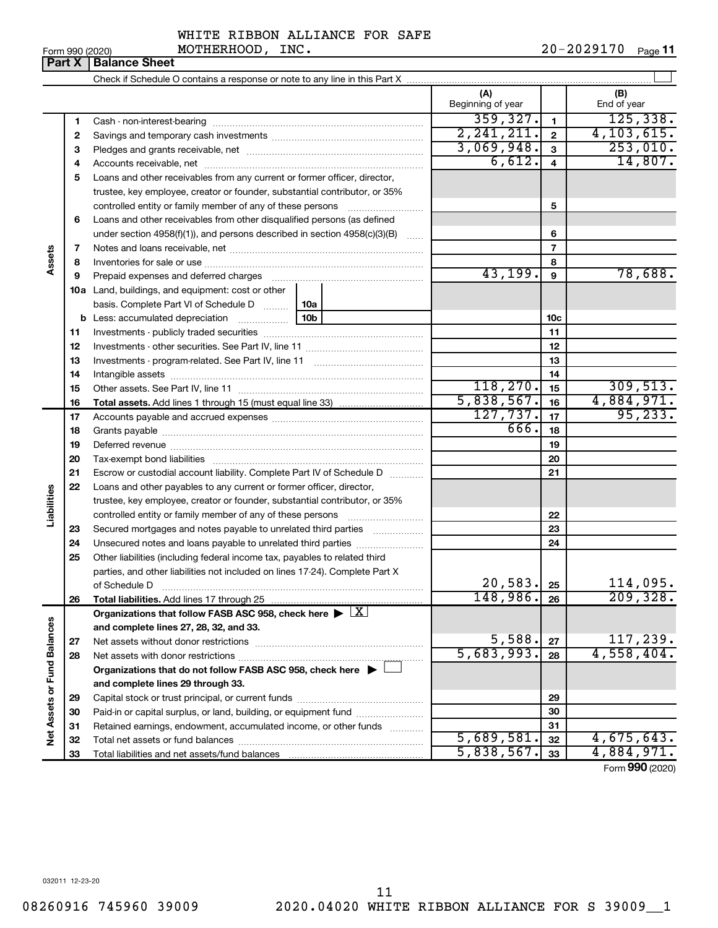|  | Form 990 (2020) |
|--|-----------------|
|  |                 |

|                             | LOLLU AAN (SASA) | wo induitivo ,                                                                                                                                                                                                                |                          |                | וויף ט <i>ו</i> ⊥ר⊿ט בע |
|-----------------------------|------------------|-------------------------------------------------------------------------------------------------------------------------------------------------------------------------------------------------------------------------------|--------------------------|----------------|-------------------------|
|                             | Part X           | <b>Balance Sheet</b>                                                                                                                                                                                                          |                          |                |                         |
|                             |                  |                                                                                                                                                                                                                               |                          |                |                         |
|                             |                  |                                                                                                                                                                                                                               | (A)<br>Beginning of year |                | (B)<br>End of year      |
|                             | 1                |                                                                                                                                                                                                                               | 359, 327.                | $\mathbf{1}$   | 125, 338.               |
|                             | 2                |                                                                                                                                                                                                                               | 2, 241, 211.             | $\overline{2}$ | 4, 103, 615.            |
|                             | 3                |                                                                                                                                                                                                                               | 3,069,948.               | 3              | 253,010.                |
|                             | 4                |                                                                                                                                                                                                                               | 6,612.                   | 4              | 14,807.                 |
|                             | 5                | Loans and other receivables from any current or former officer, director,                                                                                                                                                     |                          |                |                         |
|                             |                  | trustee, key employee, creator or founder, substantial contributor, or 35%                                                                                                                                                    |                          |                |                         |
|                             |                  | controlled entity or family member of any of these persons                                                                                                                                                                    |                          | 5              |                         |
|                             | 6                | Loans and other receivables from other disqualified persons (as defined                                                                                                                                                       |                          |                |                         |
|                             |                  | under section 4958(f)(1)), and persons described in section 4958(c)(3)(B)                                                                                                                                                     |                          | 6              |                         |
|                             | 7                |                                                                                                                                                                                                                               |                          | $\overline{7}$ |                         |
| Assets                      | 8                |                                                                                                                                                                                                                               |                          | 8              |                         |
|                             | 9                | Prepaid expenses and deferred charges [11] [11] Prepaid expenses and deferred charges [11] [11] Martin Martin (11] (11] Arthur Martin (11] Arthur Martin (11] Arthur Martin (11] Arthur Martin (11] Arthur Martin (11] Arthur | 43, 199.                 | 9              | 78,688.                 |
|                             |                  | <b>10a</b> Land, buildings, and equipment: cost or other                                                                                                                                                                      |                          |                |                         |
|                             |                  | basis. Complete Part VI of Schedule D    10a                                                                                                                                                                                  |                          |                |                         |
|                             |                  | 10 <sub>b</sub><br><b>b</b> Less: accumulated depreciation <i></i>                                                                                                                                                            |                          | 10c            |                         |
|                             | 11               |                                                                                                                                                                                                                               |                          | 11             |                         |
|                             | 12               |                                                                                                                                                                                                                               |                          | 12             |                         |
|                             | 13               |                                                                                                                                                                                                                               |                          | 13             |                         |
|                             | 14               |                                                                                                                                                                                                                               |                          | 14             |                         |
|                             | 15               |                                                                                                                                                                                                                               | 118,270.                 | 15             | 309,513.                |
|                             | 16               |                                                                                                                                                                                                                               | 5,838,567.               | 16             | 4,884,971.              |
|                             | 17               |                                                                                                                                                                                                                               | 127, 737.                | 17             | 95, 233.                |
|                             | 18               |                                                                                                                                                                                                                               | 666.                     | 18             |                         |
|                             | 19               |                                                                                                                                                                                                                               |                          | 19             |                         |
|                             | 20               |                                                                                                                                                                                                                               |                          | 20             |                         |
|                             | 21               | Escrow or custodial account liability. Complete Part IV of Schedule D                                                                                                                                                         |                          | 21             |                         |
|                             | 22               | Loans and other payables to any current or former officer, director,                                                                                                                                                          |                          |                |                         |
|                             |                  | trustee, key employee, creator or founder, substantial contributor, or 35%                                                                                                                                                    |                          |                |                         |
| Liabilities                 |                  | controlled entity or family member of any of these persons                                                                                                                                                                    |                          | 22             |                         |
|                             | 23               | Secured mortgages and notes payable to unrelated third parties                                                                                                                                                                |                          | 23             |                         |
|                             | 24               | Unsecured notes and loans payable to unrelated third parties                                                                                                                                                                  |                          | 24             |                         |
|                             | 25               | Other liabilities (including federal income tax, payables to related third                                                                                                                                                    |                          |                |                         |
|                             |                  | parties, and other liabilities not included on lines 17-24). Complete Part X                                                                                                                                                  |                          |                |                         |
|                             |                  | of Schedule D                                                                                                                                                                                                                 | 20,583.                  | 25             | 114,095.                |
|                             | 26               |                                                                                                                                                                                                                               | 148,986.                 | 26             | 209, 328.               |
|                             |                  | Organizations that follow FASB ASC 958, check here $\blacktriangleright \lfloor \underline{X} \rfloor$                                                                                                                        |                          |                |                         |
|                             |                  | and complete lines 27, 28, 32, and 33.                                                                                                                                                                                        |                          |                |                         |
|                             | 27               |                                                                                                                                                                                                                               | 5,588.                   | 27             | 117, 239.               |
|                             | 28               |                                                                                                                                                                                                                               | 5,683,993.               | 28             | 4,558,404.              |
|                             |                  | Organizations that do not follow FASB ASC 958, check here $\blacktriangleright$                                                                                                                                               |                          |                |                         |
| Net Assets or Fund Balances |                  | and complete lines 29 through 33.                                                                                                                                                                                             |                          |                |                         |
|                             | 29               |                                                                                                                                                                                                                               |                          | 29             |                         |
|                             | 30               | Paid-in or capital surplus, or land, building, or equipment fund                                                                                                                                                              |                          | 30             |                         |
|                             | 31               | Retained earnings, endowment, accumulated income, or other funds                                                                                                                                                              |                          | 31             |                         |
|                             | 32               |                                                                                                                                                                                                                               | 5,689,581.               | 32             | 4,675,643.              |
|                             | 33               |                                                                                                                                                                                                                               | 5,838,567.               | 33             | 4,884,971.              |

Form (2020) **990**

032011 12-23-20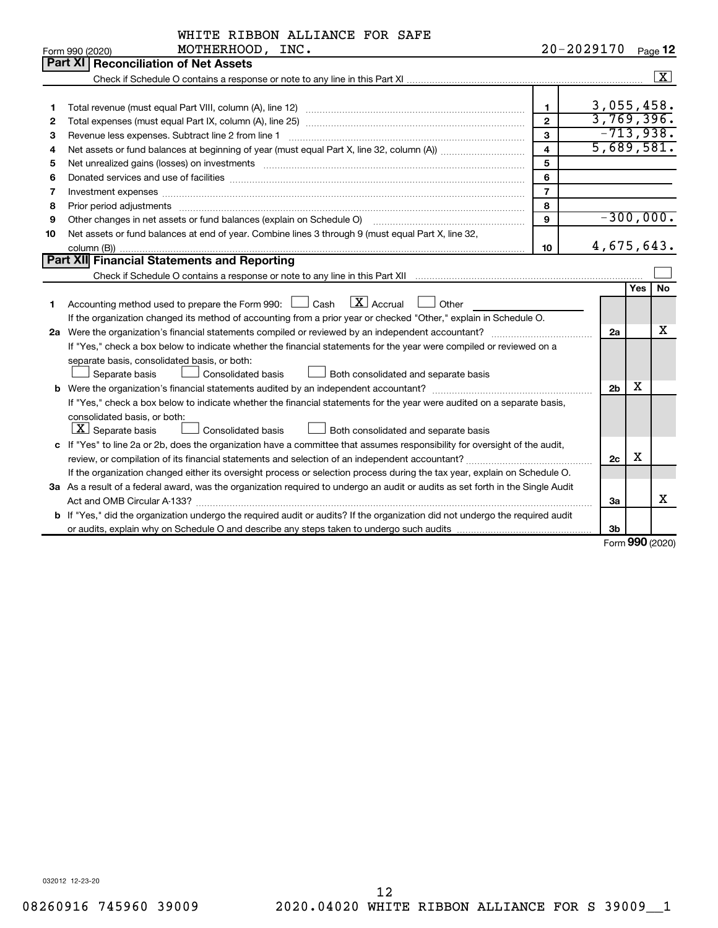|                   | WHITE RIBBON ALLIANCE FOR SAFE |  |            |                |
|-------------------|--------------------------------|--|------------|----------------|
| <b>MOTHERHOOD</b> |                                |  | 20-2029170 | D <sub>c</sub> |

|    | Form 990 (2020)<br>MOTHERHOOD, INC.                                                                                                                                                                                            | 20-20291/0              |                |            | Page 12              |
|----|--------------------------------------------------------------------------------------------------------------------------------------------------------------------------------------------------------------------------------|-------------------------|----------------|------------|----------------------|
|    | Part XI   Reconciliation of Net Assets                                                                                                                                                                                         |                         |                |            |                      |
|    |                                                                                                                                                                                                                                |                         |                |            | $\boxed{\mathbf{X}}$ |
|    |                                                                                                                                                                                                                                |                         |                |            |                      |
| 1  |                                                                                                                                                                                                                                | $\mathbf{1}$            | 3,055,458.     |            |                      |
| 2  |                                                                                                                                                                                                                                | $\overline{2}$          | 3,769,396.     |            |                      |
| З  |                                                                                                                                                                                                                                | 3                       | $-713,938.$    |            |                      |
| 4  |                                                                                                                                                                                                                                | $\overline{\mathbf{4}}$ | 5,689,581.     |            |                      |
| 5  | Net unrealized gains (losses) on investments [111] matter in the contract of the contract of the contract of the contract of the contract of the contract of the contract of the contract of the contract of the contract of t | 5                       |                |            |                      |
| 6  | Donated services and use of facilities [[111] matter contracts and all the services and use of facilities [[11                                                                                                                 | 6                       |                |            |                      |
| 7  |                                                                                                                                                                                                                                | $\overline{7}$          |                |            |                      |
| 8  | Prior period adjustments www.communication.communication.communication.com/                                                                                                                                                    | 8                       |                |            |                      |
| 9  | Other changes in net assets or fund balances (explain on Schedule O)                                                                                                                                                           | $\mathbf{Q}$            | $-300,000.$    |            |                      |
| 10 | Net assets or fund balances at end of year. Combine lines 3 through 9 (must equal Part X, line 32,                                                                                                                             |                         |                |            |                      |
|    |                                                                                                                                                                                                                                | 10                      | 4,675,643.     |            |                      |
|    | Part XII Financial Statements and Reporting                                                                                                                                                                                    |                         |                |            |                      |
|    |                                                                                                                                                                                                                                |                         |                |            |                      |
|    |                                                                                                                                                                                                                                |                         |                | <b>Yes</b> | No                   |
| 1  | $\boxed{\text{X}}$ Accrual<br>Accounting method used to prepare the Form 990: [130] Cash<br>$\Box$ Other                                                                                                                       |                         |                |            |                      |
|    | If the organization changed its method of accounting from a prior year or checked "Other," explain in Schedule O.                                                                                                              |                         |                |            |                      |
|    |                                                                                                                                                                                                                                |                         | 2a             |            | x                    |
|    | If "Yes," check a box below to indicate whether the financial statements for the year were compiled or reviewed on a                                                                                                           |                         |                |            |                      |
|    | separate basis, consolidated basis, or both:                                                                                                                                                                                   |                         |                |            |                      |
|    | Separate basis<br>$\Box$ Both consolidated and separate basis<br>Consolidated basis                                                                                                                                            |                         |                |            |                      |
|    |                                                                                                                                                                                                                                |                         | 2 <sub>b</sub> | x          |                      |
|    | If "Yes," check a box below to indicate whether the financial statements for the year were audited on a separate basis,                                                                                                        |                         |                |            |                      |
|    | consolidated basis, or both:                                                                                                                                                                                                   |                         |                |            |                      |
|    | $\lfloor x \rfloor$ Separate basis<br>Consolidated basis<br>Both consolidated and separate basis                                                                                                                               |                         |                |            |                      |
|    | c If "Yes" to line 2a or 2b, does the organization have a committee that assumes responsibility for oversight of the audit,                                                                                                    |                         |                |            |                      |
|    |                                                                                                                                                                                                                                |                         | 2c             | х          |                      |
|    | If the organization changed either its oversight process or selection process during the tax year, explain on Schedule O.                                                                                                      |                         |                |            |                      |
|    | 3a As a result of a federal award, was the organization required to undergo an audit or audits as set forth in the Single Audit                                                                                                |                         |                |            |                      |
|    | Act and OMB Circular A-133?                                                                                                                                                                                                    |                         | За             |            | x                    |
|    | <b>b</b> If "Yes," did the organization undergo the required audit or audits? If the organization did not undergo the required audit                                                                                           |                         |                |            |                      |
|    |                                                                                                                                                                                                                                |                         | 3b             |            |                      |

Form (2020) **990**

032012 12-23-20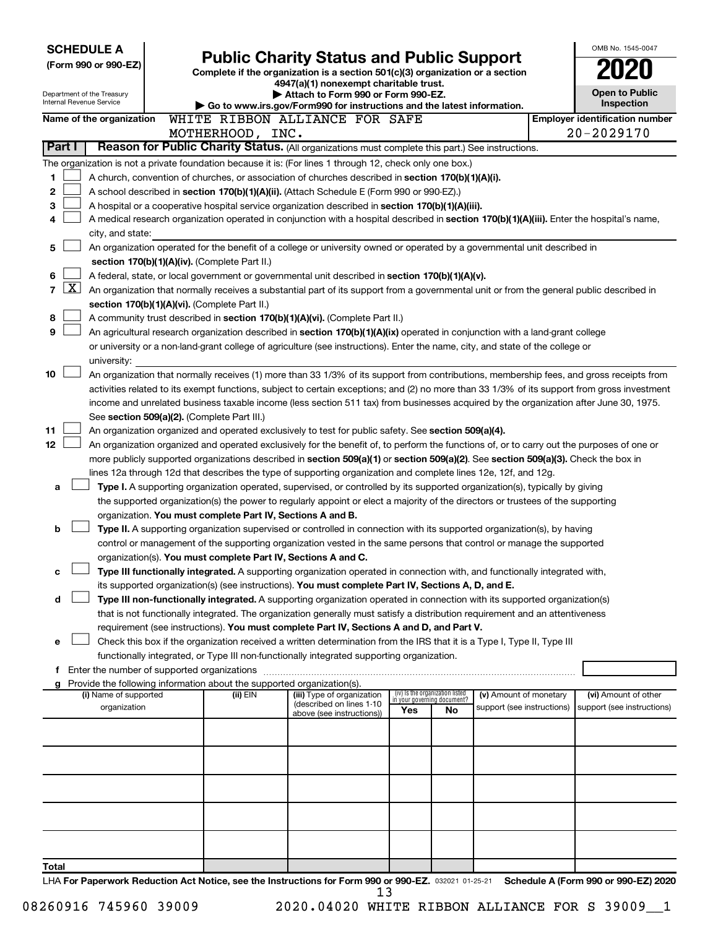| <b>SCHEDULE A</b><br><b>Public Charity Status and Public Support</b> |                                                                          |                                                                                                                                                                                                                                                      | OMB No. 1545-0047                                              |    |                                                      |  |                                                    |
|----------------------------------------------------------------------|--------------------------------------------------------------------------|------------------------------------------------------------------------------------------------------------------------------------------------------------------------------------------------------------------------------------------------------|----------------------------------------------------------------|----|------------------------------------------------------|--|----------------------------------------------------|
| (Form 990 or 990-EZ)                                                 |                                                                          | Complete if the organization is a section 501(c)(3) organization or a section                                                                                                                                                                        |                                                                |    |                                                      |  |                                                    |
|                                                                      |                                                                          | 4947(a)(1) nonexempt charitable trust.                                                                                                                                                                                                               |                                                                |    |                                                      |  |                                                    |
| Department of the Treasury<br>Internal Revenue Service               |                                                                          | Attach to Form 990 or Form 990-EZ.                                                                                                                                                                                                                   |                                                                |    |                                                      |  | <b>Open to Public</b><br>Inspection                |
| Name of the organization                                             |                                                                          | Go to www.irs.gov/Form990 for instructions and the latest information.<br>WHITE RIBBON ALLIANCE FOR SAFE                                                                                                                                             |                                                                |    |                                                      |  | <b>Employer identification number</b>              |
|                                                                      | MOTHERHOOD, INC.                                                         |                                                                                                                                                                                                                                                      |                                                                |    |                                                      |  | 20-2029170                                         |
| Part I                                                               |                                                                          | Reason for Public Charity Status. (All organizations must complete this part.) See instructions.                                                                                                                                                     |                                                                |    |                                                      |  |                                                    |
|                                                                      |                                                                          | The organization is not a private foundation because it is: (For lines 1 through 12, check only one box.)                                                                                                                                            |                                                                |    |                                                      |  |                                                    |
| 1                                                                    |                                                                          | A church, convention of churches, or association of churches described in section 170(b)(1)(A)(i).                                                                                                                                                   |                                                                |    |                                                      |  |                                                    |
| 2                                                                    |                                                                          | A school described in section 170(b)(1)(A)(ii). (Attach Schedule E (Form 990 or 990-EZ).)                                                                                                                                                            |                                                                |    |                                                      |  |                                                    |
| з                                                                    |                                                                          | A hospital or a cooperative hospital service organization described in section 170(b)(1)(A)(iii).                                                                                                                                                    |                                                                |    |                                                      |  |                                                    |
| 4                                                                    |                                                                          | A medical research organization operated in conjunction with a hospital described in section 170(b)(1)(A)(iii). Enter the hospital's name,                                                                                                           |                                                                |    |                                                      |  |                                                    |
| city, and state:                                                     |                                                                          |                                                                                                                                                                                                                                                      |                                                                |    |                                                      |  |                                                    |
| 5                                                                    |                                                                          | An organization operated for the benefit of a college or university owned or operated by a governmental unit described in                                                                                                                            |                                                                |    |                                                      |  |                                                    |
|                                                                      | section 170(b)(1)(A)(iv). (Complete Part II.)                            |                                                                                                                                                                                                                                                      |                                                                |    |                                                      |  |                                                    |
| 6<br>$\mathbf{X}$                                                    |                                                                          | A federal, state, or local government or governmental unit described in section 170(b)(1)(A)(v).                                                                                                                                                     |                                                                |    |                                                      |  |                                                    |
| $\overline{7}$                                                       | section 170(b)(1)(A)(vi). (Complete Part II.)                            | An organization that normally receives a substantial part of its support from a governmental unit or from the general public described in                                                                                                            |                                                                |    |                                                      |  |                                                    |
| 8                                                                    |                                                                          | A community trust described in section 170(b)(1)(A)(vi). (Complete Part II.)                                                                                                                                                                         |                                                                |    |                                                      |  |                                                    |
| 9                                                                    |                                                                          | An agricultural research organization described in section 170(b)(1)(A)(ix) operated in conjunction with a land-grant college                                                                                                                        |                                                                |    |                                                      |  |                                                    |
|                                                                      |                                                                          | or university or a non-land-grant college of agriculture (see instructions). Enter the name, city, and state of the college or                                                                                                                       |                                                                |    |                                                      |  |                                                    |
| university:                                                          |                                                                          |                                                                                                                                                                                                                                                      |                                                                |    |                                                      |  |                                                    |
| 10                                                                   |                                                                          | An organization that normally receives (1) more than 33 1/3% of its support from contributions, membership fees, and gross receipts from                                                                                                             |                                                                |    |                                                      |  |                                                    |
|                                                                      |                                                                          | activities related to its exempt functions, subject to certain exceptions; and (2) no more than 33 1/3% of its support from gross investment                                                                                                         |                                                                |    |                                                      |  |                                                    |
|                                                                      |                                                                          | income and unrelated business taxable income (less section 511 tax) from businesses acquired by the organization after June 30, 1975.                                                                                                                |                                                                |    |                                                      |  |                                                    |
|                                                                      | See section 509(a)(2). (Complete Part III.)                              |                                                                                                                                                                                                                                                      |                                                                |    |                                                      |  |                                                    |
| 11                                                                   |                                                                          | An organization organized and operated exclusively to test for public safety. See section 509(a)(4).                                                                                                                                                 |                                                                |    |                                                      |  |                                                    |
| 12                                                                   |                                                                          | An organization organized and operated exclusively for the benefit of, to perform the functions of, or to carry out the purposes of one or                                                                                                           |                                                                |    |                                                      |  |                                                    |
|                                                                      |                                                                          | more publicly supported organizations described in section 509(a)(1) or section 509(a)(2). See section 509(a)(3). Check the box in<br>lines 12a through 12d that describes the type of supporting organization and complete lines 12e, 12f, and 12g. |                                                                |    |                                                      |  |                                                    |
| a                                                                    |                                                                          | Type I. A supporting organization operated, supervised, or controlled by its supported organization(s), typically by giving                                                                                                                          |                                                                |    |                                                      |  |                                                    |
|                                                                      |                                                                          | the supported organization(s) the power to regularly appoint or elect a majority of the directors or trustees of the supporting                                                                                                                      |                                                                |    |                                                      |  |                                                    |
|                                                                      | organization. You must complete Part IV, Sections A and B.               |                                                                                                                                                                                                                                                      |                                                                |    |                                                      |  |                                                    |
| b                                                                    |                                                                          | Type II. A supporting organization supervised or controlled in connection with its supported organization(s), by having                                                                                                                              |                                                                |    |                                                      |  |                                                    |
|                                                                      |                                                                          | control or management of the supporting organization vested in the same persons that control or manage the supported                                                                                                                                 |                                                                |    |                                                      |  |                                                    |
|                                                                      | organization(s). You must complete Part IV, Sections A and C.            |                                                                                                                                                                                                                                                      |                                                                |    |                                                      |  |                                                    |
| с                                                                    |                                                                          | Type III functionally integrated. A supporting organization operated in connection with, and functionally integrated with,                                                                                                                           |                                                                |    |                                                      |  |                                                    |
|                                                                      |                                                                          | its supported organization(s) (see instructions). You must complete Part IV, Sections A, D, and E.                                                                                                                                                   |                                                                |    |                                                      |  |                                                    |
| d                                                                    |                                                                          | Type III non-functionally integrated. A supporting organization operated in connection with its supported organization(s)                                                                                                                            |                                                                |    |                                                      |  |                                                    |
|                                                                      |                                                                          | that is not functionally integrated. The organization generally must satisfy a distribution requirement and an attentiveness<br>requirement (see instructions). You must complete Part IV, Sections A and D, and Part V.                             |                                                                |    |                                                      |  |                                                    |
| е                                                                    |                                                                          | Check this box if the organization received a written determination from the IRS that it is a Type I, Type II, Type III                                                                                                                              |                                                                |    |                                                      |  |                                                    |
|                                                                      |                                                                          | functionally integrated, or Type III non-functionally integrated supporting organization.                                                                                                                                                            |                                                                |    |                                                      |  |                                                    |
|                                                                      | f Enter the number of supported organizations                            |                                                                                                                                                                                                                                                      |                                                                |    |                                                      |  |                                                    |
|                                                                      | g Provide the following information about the supported organization(s). |                                                                                                                                                                                                                                                      |                                                                |    |                                                      |  |                                                    |
| (i) Name of supported<br>organization                                | (ii) EIN                                                                 | (iii) Type of organization<br>(described on lines 1-10                                                                                                                                                                                               | (iv) Is the organization listed<br>in your governing document? |    | (v) Amount of monetary<br>support (see instructions) |  | (vi) Amount of other<br>support (see instructions) |
|                                                                      |                                                                          | above (see instructions))                                                                                                                                                                                                                            | Yes                                                            | No |                                                      |  |                                                    |
|                                                                      |                                                                          |                                                                                                                                                                                                                                                      |                                                                |    |                                                      |  |                                                    |
|                                                                      |                                                                          |                                                                                                                                                                                                                                                      |                                                                |    |                                                      |  |                                                    |
|                                                                      |                                                                          |                                                                                                                                                                                                                                                      |                                                                |    |                                                      |  |                                                    |
|                                                                      |                                                                          |                                                                                                                                                                                                                                                      |                                                                |    |                                                      |  |                                                    |
|                                                                      |                                                                          |                                                                                                                                                                                                                                                      |                                                                |    |                                                      |  |                                                    |
|                                                                      |                                                                          |                                                                                                                                                                                                                                                      |                                                                |    |                                                      |  |                                                    |
|                                                                      |                                                                          |                                                                                                                                                                                                                                                      |                                                                |    |                                                      |  |                                                    |
|                                                                      |                                                                          |                                                                                                                                                                                                                                                      |                                                                |    |                                                      |  |                                                    |
|                                                                      |                                                                          |                                                                                                                                                                                                                                                      |                                                                |    |                                                      |  |                                                    |
| Total                                                                |                                                                          | LHA For Paperwork Reduction Act Notice, see the Instructions for Form 990 or 990-EZ, 032021 01-25-21 Schedule A (Form 990 or 990-EZ) 2020                                                                                                            |                                                                |    |                                                      |  |                                                    |
|                                                                      |                                                                          |                                                                                                                                                                                                                                                      |                                                                |    |                                                      |  |                                                    |

032021 01-25-21 **For Paperwork Reduction Act Notice, see the Instructions for Form 990 or 990-EZ. Schedule A (Form 990 or 990-EZ) 2020** LHA 13

08260916 745960 39009 2020.04020 WHITE RIBBON ALLIANCE FOR S 39009\_1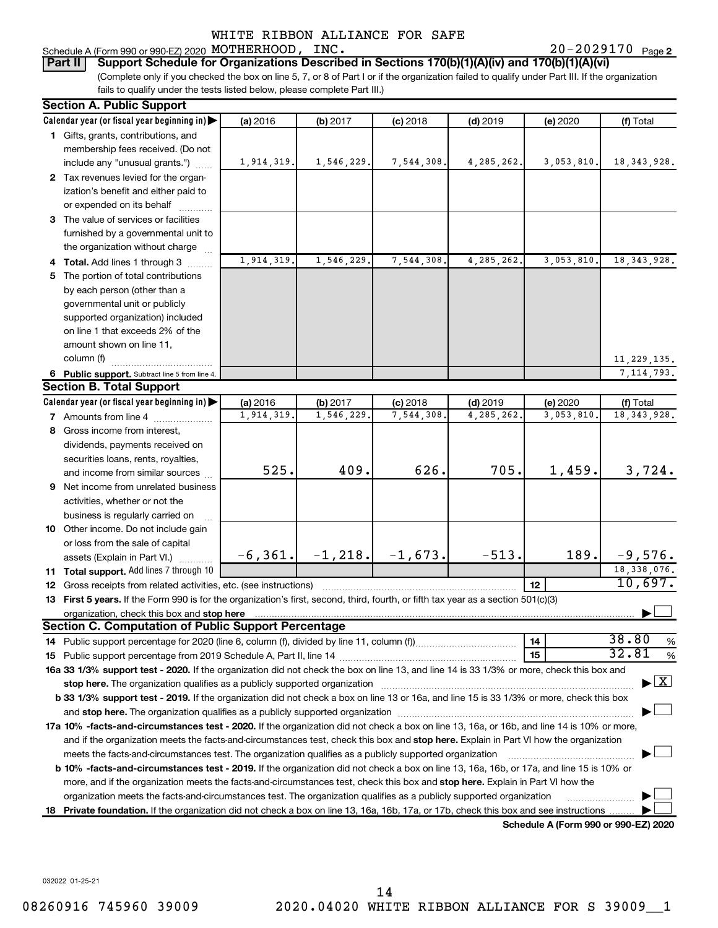20-2029170 Page 2 Schedule A (Form 990 or 990-EZ) 2020 Page MOTHERHOOD, INC. 20-2029170

**Part II Support Schedule for Organizations Described in Sections 170(b)(1)(A)(iv) and 170(b)(1)(A)(vi)**

(Complete only if you checked the box on line 5, 7, or 8 of Part I or if the organization failed to qualify under Part III. If the organization fails to qualify under the tests listed below, please complete Part III.)

| Calendar year (or fiscal year beginning in)<br>(a) 2016<br>$(c)$ 2018<br>$(d)$ 2019<br>(f) Total<br>(b) 2017<br>(e) 2020<br>1 Gifts, grants, contributions, and<br>membership fees received. (Do not<br>1,546,229.<br>7,544,308.<br>4, 285, 262.<br>3,053,810.<br>18, 343, 928.<br>include any "unusual grants.")<br>1,914,319.<br>2 Tax revenues levied for the organ-<br>ization's benefit and either paid to<br>or expended on its behalf<br>3 The value of services or facilities<br>furnished by a governmental unit to<br>the organization without charge<br>1,914,319<br>1,546,229<br>7,544,308<br>4,285,262<br>3,053,810.<br>18, 343, 928.<br>4 Total. Add lines 1 through 3<br>5 The portion of total contributions<br>by each person (other than a<br>governmental unit or publicly<br>supported organization) included<br>on line 1 that exceeds 2% of the<br>amount shown on line 11,<br>column (f)<br>11, 229, 135.<br>7, 114, 793.<br>6 Public support. Subtract line 5 from line 4.<br>(a) 2016<br>$(d)$ 2019<br>(b) 2017<br>$(c)$ 2018<br>(e) 2020<br>(f) Total<br>1,914,319<br>1,546,229<br>7,544,308<br>4,285,262<br>3,053,810<br>18, 343, 928.<br><b>7</b> Amounts from line 4<br>8 Gross income from interest,<br>dividends, payments received on<br>securities loans, rents, royalties,<br>525.<br>409.<br>626.<br>705.<br>1,459.<br>3,724.<br>and income from similar sources<br>9 Net income from unrelated business<br>activities, whether or not the<br>business is regularly carried on<br>10 Other income. Do not include gain<br>or loss from the sale of capital<br>$-1, 218.$<br>$-513.$<br>$-9,576.$<br>$-1,673.$<br>189.<br>$-6, 361.$<br>assets (Explain in Part VI.)<br>18, 338, 076.<br>11 Total support. Add lines 7 through 10<br>10,697.<br>12<br><b>12</b> Gross receipts from related activities, etc. (see instructions)<br>13 First 5 years. If the Form 990 is for the organization's first, second, third, fourth, or fifth tax year as a section 501(c)(3)<br>38.80<br>14<br>$\%$<br>32.81<br>15<br>$\%$<br>16a 33 1/3% support test - 2020. If the organization did not check the box on line 13, and line 14 is 33 1/3% or more, check this box and<br>$\blacktriangleright$ $\boxed{\text{X}}$<br>stop here. The organization qualifies as a publicly supported organization manufaction manufacture or manufacture or the organization manufacture or the state of the state of the state of the state of the state of the stat<br>b 33 1/3% support test - 2019. If the organization did not check a box on line 13 or 16a, and line 15 is 33 1/3% or more, check this box<br>17a 10% -facts-and-circumstances test - 2020. If the organization did not check a box on line 13, 16a, or 16b, and line 14 is 10% or more,<br>and if the organization meets the facts-and-circumstances test, check this box and stop here. Explain in Part VI how the organization<br>meets the facts-and-circumstances test. The organization qualifies as a publicly supported organization<br><b>b 10% -facts-and-circumstances test - 2019.</b> If the organization did not check a box on line 13, 16a, 16b, or 17a, and line 15 is 10% or<br>more, and if the organization meets the facts-and-circumstances test, check this box and stop here. Explain in Part VI how the<br>organization meets the facts-and-circumstances test. The organization qualifies as a publicly supported organization<br>18 Private foundation. If the organization did not check a box on line 13, 16a, 16b, 17a, or 17b, check this box and see instructions<br>Schedule A (Form 990 or 990-F7) 2020 | <b>Section A. Public Support</b> |  |  |  |
|-----------------------------------------------------------------------------------------------------------------------------------------------------------------------------------------------------------------------------------------------------------------------------------------------------------------------------------------------------------------------------------------------------------------------------------------------------------------------------------------------------------------------------------------------------------------------------------------------------------------------------------------------------------------------------------------------------------------------------------------------------------------------------------------------------------------------------------------------------------------------------------------------------------------------------------------------------------------------------------------------------------------------------------------------------------------------------------------------------------------------------------------------------------------------------------------------------------------------------------------------------------------------------------------------------------------------------------------------------------------------------------------------------------------------------------------------------------------------------------------------------------------------------------------------------------------------------------------------------------------------------------------------------------------------------------------------------------------------------------------------------------------------------------------------------------------------------------------------------------------------------------------------------------------------------------------------------------------------------------------------------------------------------------------------------------------------------------------------------------------------------------------------------------------------------------------------------------------------------------------------------------------------------------------------------------------------------------------------------------------------------------------------------------------------------------------------------------------------------------------------------------------------------------------------------------------------------------------------------------------------------------------------------------------------------------------------------------------------------------------------------------------------------------------------------------------------------------------------------------------------------------------------------------------------------------------------------------------------------------------------------------------------------------------------------------------------------------------------------------------------------------------------------------------------------------------------------------------------------------------------------------------------------------------------------------------------------------------------------------------------------------------------------------------------------------------------------------------------------------------------------------------------------------------------------------------------------------------------------------------------------|----------------------------------|--|--|--|
|                                                                                                                                                                                                                                                                                                                                                                                                                                                                                                                                                                                                                                                                                                                                                                                                                                                                                                                                                                                                                                                                                                                                                                                                                                                                                                                                                                                                                                                                                                                                                                                                                                                                                                                                                                                                                                                                                                                                                                                                                                                                                                                                                                                                                                                                                                                                                                                                                                                                                                                                                                                                                                                                                                                                                                                                                                                                                                                                                                                                                                                                                                                                                                                                                                                                                                                                                                                                                                                                                                                                                                                                                             |                                  |  |  |  |
| <b>Section B. Total Support</b><br>Calendar year (or fiscal year beginning in)<br><b>Section C. Computation of Public Support Percentage</b>                                                                                                                                                                                                                                                                                                                                                                                                                                                                                                                                                                                                                                                                                                                                                                                                                                                                                                                                                                                                                                                                                                                                                                                                                                                                                                                                                                                                                                                                                                                                                                                                                                                                                                                                                                                                                                                                                                                                                                                                                                                                                                                                                                                                                                                                                                                                                                                                                                                                                                                                                                                                                                                                                                                                                                                                                                                                                                                                                                                                                                                                                                                                                                                                                                                                                                                                                                                                                                                                                |                                  |  |  |  |
|                                                                                                                                                                                                                                                                                                                                                                                                                                                                                                                                                                                                                                                                                                                                                                                                                                                                                                                                                                                                                                                                                                                                                                                                                                                                                                                                                                                                                                                                                                                                                                                                                                                                                                                                                                                                                                                                                                                                                                                                                                                                                                                                                                                                                                                                                                                                                                                                                                                                                                                                                                                                                                                                                                                                                                                                                                                                                                                                                                                                                                                                                                                                                                                                                                                                                                                                                                                                                                                                                                                                                                                                                             |                                  |  |  |  |
|                                                                                                                                                                                                                                                                                                                                                                                                                                                                                                                                                                                                                                                                                                                                                                                                                                                                                                                                                                                                                                                                                                                                                                                                                                                                                                                                                                                                                                                                                                                                                                                                                                                                                                                                                                                                                                                                                                                                                                                                                                                                                                                                                                                                                                                                                                                                                                                                                                                                                                                                                                                                                                                                                                                                                                                                                                                                                                                                                                                                                                                                                                                                                                                                                                                                                                                                                                                                                                                                                                                                                                                                                             |                                  |  |  |  |
|                                                                                                                                                                                                                                                                                                                                                                                                                                                                                                                                                                                                                                                                                                                                                                                                                                                                                                                                                                                                                                                                                                                                                                                                                                                                                                                                                                                                                                                                                                                                                                                                                                                                                                                                                                                                                                                                                                                                                                                                                                                                                                                                                                                                                                                                                                                                                                                                                                                                                                                                                                                                                                                                                                                                                                                                                                                                                                                                                                                                                                                                                                                                                                                                                                                                                                                                                                                                                                                                                                                                                                                                                             |                                  |  |  |  |
|                                                                                                                                                                                                                                                                                                                                                                                                                                                                                                                                                                                                                                                                                                                                                                                                                                                                                                                                                                                                                                                                                                                                                                                                                                                                                                                                                                                                                                                                                                                                                                                                                                                                                                                                                                                                                                                                                                                                                                                                                                                                                                                                                                                                                                                                                                                                                                                                                                                                                                                                                                                                                                                                                                                                                                                                                                                                                                                                                                                                                                                                                                                                                                                                                                                                                                                                                                                                                                                                                                                                                                                                                             |                                  |  |  |  |
|                                                                                                                                                                                                                                                                                                                                                                                                                                                                                                                                                                                                                                                                                                                                                                                                                                                                                                                                                                                                                                                                                                                                                                                                                                                                                                                                                                                                                                                                                                                                                                                                                                                                                                                                                                                                                                                                                                                                                                                                                                                                                                                                                                                                                                                                                                                                                                                                                                                                                                                                                                                                                                                                                                                                                                                                                                                                                                                                                                                                                                                                                                                                                                                                                                                                                                                                                                                                                                                                                                                                                                                                                             |                                  |  |  |  |
|                                                                                                                                                                                                                                                                                                                                                                                                                                                                                                                                                                                                                                                                                                                                                                                                                                                                                                                                                                                                                                                                                                                                                                                                                                                                                                                                                                                                                                                                                                                                                                                                                                                                                                                                                                                                                                                                                                                                                                                                                                                                                                                                                                                                                                                                                                                                                                                                                                                                                                                                                                                                                                                                                                                                                                                                                                                                                                                                                                                                                                                                                                                                                                                                                                                                                                                                                                                                                                                                                                                                                                                                                             |                                  |  |  |  |
|                                                                                                                                                                                                                                                                                                                                                                                                                                                                                                                                                                                                                                                                                                                                                                                                                                                                                                                                                                                                                                                                                                                                                                                                                                                                                                                                                                                                                                                                                                                                                                                                                                                                                                                                                                                                                                                                                                                                                                                                                                                                                                                                                                                                                                                                                                                                                                                                                                                                                                                                                                                                                                                                                                                                                                                                                                                                                                                                                                                                                                                                                                                                                                                                                                                                                                                                                                                                                                                                                                                                                                                                                             |                                  |  |  |  |
|                                                                                                                                                                                                                                                                                                                                                                                                                                                                                                                                                                                                                                                                                                                                                                                                                                                                                                                                                                                                                                                                                                                                                                                                                                                                                                                                                                                                                                                                                                                                                                                                                                                                                                                                                                                                                                                                                                                                                                                                                                                                                                                                                                                                                                                                                                                                                                                                                                                                                                                                                                                                                                                                                                                                                                                                                                                                                                                                                                                                                                                                                                                                                                                                                                                                                                                                                                                                                                                                                                                                                                                                                             |                                  |  |  |  |
|                                                                                                                                                                                                                                                                                                                                                                                                                                                                                                                                                                                                                                                                                                                                                                                                                                                                                                                                                                                                                                                                                                                                                                                                                                                                                                                                                                                                                                                                                                                                                                                                                                                                                                                                                                                                                                                                                                                                                                                                                                                                                                                                                                                                                                                                                                                                                                                                                                                                                                                                                                                                                                                                                                                                                                                                                                                                                                                                                                                                                                                                                                                                                                                                                                                                                                                                                                                                                                                                                                                                                                                                                             |                                  |  |  |  |
|                                                                                                                                                                                                                                                                                                                                                                                                                                                                                                                                                                                                                                                                                                                                                                                                                                                                                                                                                                                                                                                                                                                                                                                                                                                                                                                                                                                                                                                                                                                                                                                                                                                                                                                                                                                                                                                                                                                                                                                                                                                                                                                                                                                                                                                                                                                                                                                                                                                                                                                                                                                                                                                                                                                                                                                                                                                                                                                                                                                                                                                                                                                                                                                                                                                                                                                                                                                                                                                                                                                                                                                                                             |                                  |  |  |  |
|                                                                                                                                                                                                                                                                                                                                                                                                                                                                                                                                                                                                                                                                                                                                                                                                                                                                                                                                                                                                                                                                                                                                                                                                                                                                                                                                                                                                                                                                                                                                                                                                                                                                                                                                                                                                                                                                                                                                                                                                                                                                                                                                                                                                                                                                                                                                                                                                                                                                                                                                                                                                                                                                                                                                                                                                                                                                                                                                                                                                                                                                                                                                                                                                                                                                                                                                                                                                                                                                                                                                                                                                                             |                                  |  |  |  |
|                                                                                                                                                                                                                                                                                                                                                                                                                                                                                                                                                                                                                                                                                                                                                                                                                                                                                                                                                                                                                                                                                                                                                                                                                                                                                                                                                                                                                                                                                                                                                                                                                                                                                                                                                                                                                                                                                                                                                                                                                                                                                                                                                                                                                                                                                                                                                                                                                                                                                                                                                                                                                                                                                                                                                                                                                                                                                                                                                                                                                                                                                                                                                                                                                                                                                                                                                                                                                                                                                                                                                                                                                             |                                  |  |  |  |
|                                                                                                                                                                                                                                                                                                                                                                                                                                                                                                                                                                                                                                                                                                                                                                                                                                                                                                                                                                                                                                                                                                                                                                                                                                                                                                                                                                                                                                                                                                                                                                                                                                                                                                                                                                                                                                                                                                                                                                                                                                                                                                                                                                                                                                                                                                                                                                                                                                                                                                                                                                                                                                                                                                                                                                                                                                                                                                                                                                                                                                                                                                                                                                                                                                                                                                                                                                                                                                                                                                                                                                                                                             |                                  |  |  |  |
|                                                                                                                                                                                                                                                                                                                                                                                                                                                                                                                                                                                                                                                                                                                                                                                                                                                                                                                                                                                                                                                                                                                                                                                                                                                                                                                                                                                                                                                                                                                                                                                                                                                                                                                                                                                                                                                                                                                                                                                                                                                                                                                                                                                                                                                                                                                                                                                                                                                                                                                                                                                                                                                                                                                                                                                                                                                                                                                                                                                                                                                                                                                                                                                                                                                                                                                                                                                                                                                                                                                                                                                                                             |                                  |  |  |  |
|                                                                                                                                                                                                                                                                                                                                                                                                                                                                                                                                                                                                                                                                                                                                                                                                                                                                                                                                                                                                                                                                                                                                                                                                                                                                                                                                                                                                                                                                                                                                                                                                                                                                                                                                                                                                                                                                                                                                                                                                                                                                                                                                                                                                                                                                                                                                                                                                                                                                                                                                                                                                                                                                                                                                                                                                                                                                                                                                                                                                                                                                                                                                                                                                                                                                                                                                                                                                                                                                                                                                                                                                                             |                                  |  |  |  |
|                                                                                                                                                                                                                                                                                                                                                                                                                                                                                                                                                                                                                                                                                                                                                                                                                                                                                                                                                                                                                                                                                                                                                                                                                                                                                                                                                                                                                                                                                                                                                                                                                                                                                                                                                                                                                                                                                                                                                                                                                                                                                                                                                                                                                                                                                                                                                                                                                                                                                                                                                                                                                                                                                                                                                                                                                                                                                                                                                                                                                                                                                                                                                                                                                                                                                                                                                                                                                                                                                                                                                                                                                             |                                  |  |  |  |
|                                                                                                                                                                                                                                                                                                                                                                                                                                                                                                                                                                                                                                                                                                                                                                                                                                                                                                                                                                                                                                                                                                                                                                                                                                                                                                                                                                                                                                                                                                                                                                                                                                                                                                                                                                                                                                                                                                                                                                                                                                                                                                                                                                                                                                                                                                                                                                                                                                                                                                                                                                                                                                                                                                                                                                                                                                                                                                                                                                                                                                                                                                                                                                                                                                                                                                                                                                                                                                                                                                                                                                                                                             |                                  |  |  |  |
|                                                                                                                                                                                                                                                                                                                                                                                                                                                                                                                                                                                                                                                                                                                                                                                                                                                                                                                                                                                                                                                                                                                                                                                                                                                                                                                                                                                                                                                                                                                                                                                                                                                                                                                                                                                                                                                                                                                                                                                                                                                                                                                                                                                                                                                                                                                                                                                                                                                                                                                                                                                                                                                                                                                                                                                                                                                                                                                                                                                                                                                                                                                                                                                                                                                                                                                                                                                                                                                                                                                                                                                                                             |                                  |  |  |  |
|                                                                                                                                                                                                                                                                                                                                                                                                                                                                                                                                                                                                                                                                                                                                                                                                                                                                                                                                                                                                                                                                                                                                                                                                                                                                                                                                                                                                                                                                                                                                                                                                                                                                                                                                                                                                                                                                                                                                                                                                                                                                                                                                                                                                                                                                                                                                                                                                                                                                                                                                                                                                                                                                                                                                                                                                                                                                                                                                                                                                                                                                                                                                                                                                                                                                                                                                                                                                                                                                                                                                                                                                                             |                                  |  |  |  |
|                                                                                                                                                                                                                                                                                                                                                                                                                                                                                                                                                                                                                                                                                                                                                                                                                                                                                                                                                                                                                                                                                                                                                                                                                                                                                                                                                                                                                                                                                                                                                                                                                                                                                                                                                                                                                                                                                                                                                                                                                                                                                                                                                                                                                                                                                                                                                                                                                                                                                                                                                                                                                                                                                                                                                                                                                                                                                                                                                                                                                                                                                                                                                                                                                                                                                                                                                                                                                                                                                                                                                                                                                             |                                  |  |  |  |
|                                                                                                                                                                                                                                                                                                                                                                                                                                                                                                                                                                                                                                                                                                                                                                                                                                                                                                                                                                                                                                                                                                                                                                                                                                                                                                                                                                                                                                                                                                                                                                                                                                                                                                                                                                                                                                                                                                                                                                                                                                                                                                                                                                                                                                                                                                                                                                                                                                                                                                                                                                                                                                                                                                                                                                                                                                                                                                                                                                                                                                                                                                                                                                                                                                                                                                                                                                                                                                                                                                                                                                                                                             |                                  |  |  |  |
|                                                                                                                                                                                                                                                                                                                                                                                                                                                                                                                                                                                                                                                                                                                                                                                                                                                                                                                                                                                                                                                                                                                                                                                                                                                                                                                                                                                                                                                                                                                                                                                                                                                                                                                                                                                                                                                                                                                                                                                                                                                                                                                                                                                                                                                                                                                                                                                                                                                                                                                                                                                                                                                                                                                                                                                                                                                                                                                                                                                                                                                                                                                                                                                                                                                                                                                                                                                                                                                                                                                                                                                                                             |                                  |  |  |  |
|                                                                                                                                                                                                                                                                                                                                                                                                                                                                                                                                                                                                                                                                                                                                                                                                                                                                                                                                                                                                                                                                                                                                                                                                                                                                                                                                                                                                                                                                                                                                                                                                                                                                                                                                                                                                                                                                                                                                                                                                                                                                                                                                                                                                                                                                                                                                                                                                                                                                                                                                                                                                                                                                                                                                                                                                                                                                                                                                                                                                                                                                                                                                                                                                                                                                                                                                                                                                                                                                                                                                                                                                                             |                                  |  |  |  |
|                                                                                                                                                                                                                                                                                                                                                                                                                                                                                                                                                                                                                                                                                                                                                                                                                                                                                                                                                                                                                                                                                                                                                                                                                                                                                                                                                                                                                                                                                                                                                                                                                                                                                                                                                                                                                                                                                                                                                                                                                                                                                                                                                                                                                                                                                                                                                                                                                                                                                                                                                                                                                                                                                                                                                                                                                                                                                                                                                                                                                                                                                                                                                                                                                                                                                                                                                                                                                                                                                                                                                                                                                             |                                  |  |  |  |
|                                                                                                                                                                                                                                                                                                                                                                                                                                                                                                                                                                                                                                                                                                                                                                                                                                                                                                                                                                                                                                                                                                                                                                                                                                                                                                                                                                                                                                                                                                                                                                                                                                                                                                                                                                                                                                                                                                                                                                                                                                                                                                                                                                                                                                                                                                                                                                                                                                                                                                                                                                                                                                                                                                                                                                                                                                                                                                                                                                                                                                                                                                                                                                                                                                                                                                                                                                                                                                                                                                                                                                                                                             |                                  |  |  |  |
|                                                                                                                                                                                                                                                                                                                                                                                                                                                                                                                                                                                                                                                                                                                                                                                                                                                                                                                                                                                                                                                                                                                                                                                                                                                                                                                                                                                                                                                                                                                                                                                                                                                                                                                                                                                                                                                                                                                                                                                                                                                                                                                                                                                                                                                                                                                                                                                                                                                                                                                                                                                                                                                                                                                                                                                                                                                                                                                                                                                                                                                                                                                                                                                                                                                                                                                                                                                                                                                                                                                                                                                                                             |                                  |  |  |  |
|                                                                                                                                                                                                                                                                                                                                                                                                                                                                                                                                                                                                                                                                                                                                                                                                                                                                                                                                                                                                                                                                                                                                                                                                                                                                                                                                                                                                                                                                                                                                                                                                                                                                                                                                                                                                                                                                                                                                                                                                                                                                                                                                                                                                                                                                                                                                                                                                                                                                                                                                                                                                                                                                                                                                                                                                                                                                                                                                                                                                                                                                                                                                                                                                                                                                                                                                                                                                                                                                                                                                                                                                                             |                                  |  |  |  |
|                                                                                                                                                                                                                                                                                                                                                                                                                                                                                                                                                                                                                                                                                                                                                                                                                                                                                                                                                                                                                                                                                                                                                                                                                                                                                                                                                                                                                                                                                                                                                                                                                                                                                                                                                                                                                                                                                                                                                                                                                                                                                                                                                                                                                                                                                                                                                                                                                                                                                                                                                                                                                                                                                                                                                                                                                                                                                                                                                                                                                                                                                                                                                                                                                                                                                                                                                                                                                                                                                                                                                                                                                             |                                  |  |  |  |
|                                                                                                                                                                                                                                                                                                                                                                                                                                                                                                                                                                                                                                                                                                                                                                                                                                                                                                                                                                                                                                                                                                                                                                                                                                                                                                                                                                                                                                                                                                                                                                                                                                                                                                                                                                                                                                                                                                                                                                                                                                                                                                                                                                                                                                                                                                                                                                                                                                                                                                                                                                                                                                                                                                                                                                                                                                                                                                                                                                                                                                                                                                                                                                                                                                                                                                                                                                                                                                                                                                                                                                                                                             |                                  |  |  |  |
|                                                                                                                                                                                                                                                                                                                                                                                                                                                                                                                                                                                                                                                                                                                                                                                                                                                                                                                                                                                                                                                                                                                                                                                                                                                                                                                                                                                                                                                                                                                                                                                                                                                                                                                                                                                                                                                                                                                                                                                                                                                                                                                                                                                                                                                                                                                                                                                                                                                                                                                                                                                                                                                                                                                                                                                                                                                                                                                                                                                                                                                                                                                                                                                                                                                                                                                                                                                                                                                                                                                                                                                                                             |                                  |  |  |  |
|                                                                                                                                                                                                                                                                                                                                                                                                                                                                                                                                                                                                                                                                                                                                                                                                                                                                                                                                                                                                                                                                                                                                                                                                                                                                                                                                                                                                                                                                                                                                                                                                                                                                                                                                                                                                                                                                                                                                                                                                                                                                                                                                                                                                                                                                                                                                                                                                                                                                                                                                                                                                                                                                                                                                                                                                                                                                                                                                                                                                                                                                                                                                                                                                                                                                                                                                                                                                                                                                                                                                                                                                                             |                                  |  |  |  |
|                                                                                                                                                                                                                                                                                                                                                                                                                                                                                                                                                                                                                                                                                                                                                                                                                                                                                                                                                                                                                                                                                                                                                                                                                                                                                                                                                                                                                                                                                                                                                                                                                                                                                                                                                                                                                                                                                                                                                                                                                                                                                                                                                                                                                                                                                                                                                                                                                                                                                                                                                                                                                                                                                                                                                                                                                                                                                                                                                                                                                                                                                                                                                                                                                                                                                                                                                                                                                                                                                                                                                                                                                             |                                  |  |  |  |
|                                                                                                                                                                                                                                                                                                                                                                                                                                                                                                                                                                                                                                                                                                                                                                                                                                                                                                                                                                                                                                                                                                                                                                                                                                                                                                                                                                                                                                                                                                                                                                                                                                                                                                                                                                                                                                                                                                                                                                                                                                                                                                                                                                                                                                                                                                                                                                                                                                                                                                                                                                                                                                                                                                                                                                                                                                                                                                                                                                                                                                                                                                                                                                                                                                                                                                                                                                                                                                                                                                                                                                                                                             |                                  |  |  |  |
|                                                                                                                                                                                                                                                                                                                                                                                                                                                                                                                                                                                                                                                                                                                                                                                                                                                                                                                                                                                                                                                                                                                                                                                                                                                                                                                                                                                                                                                                                                                                                                                                                                                                                                                                                                                                                                                                                                                                                                                                                                                                                                                                                                                                                                                                                                                                                                                                                                                                                                                                                                                                                                                                                                                                                                                                                                                                                                                                                                                                                                                                                                                                                                                                                                                                                                                                                                                                                                                                                                                                                                                                                             |                                  |  |  |  |
|                                                                                                                                                                                                                                                                                                                                                                                                                                                                                                                                                                                                                                                                                                                                                                                                                                                                                                                                                                                                                                                                                                                                                                                                                                                                                                                                                                                                                                                                                                                                                                                                                                                                                                                                                                                                                                                                                                                                                                                                                                                                                                                                                                                                                                                                                                                                                                                                                                                                                                                                                                                                                                                                                                                                                                                                                                                                                                                                                                                                                                                                                                                                                                                                                                                                                                                                                                                                                                                                                                                                                                                                                             |                                  |  |  |  |
|                                                                                                                                                                                                                                                                                                                                                                                                                                                                                                                                                                                                                                                                                                                                                                                                                                                                                                                                                                                                                                                                                                                                                                                                                                                                                                                                                                                                                                                                                                                                                                                                                                                                                                                                                                                                                                                                                                                                                                                                                                                                                                                                                                                                                                                                                                                                                                                                                                                                                                                                                                                                                                                                                                                                                                                                                                                                                                                                                                                                                                                                                                                                                                                                                                                                                                                                                                                                                                                                                                                                                                                                                             |                                  |  |  |  |
|                                                                                                                                                                                                                                                                                                                                                                                                                                                                                                                                                                                                                                                                                                                                                                                                                                                                                                                                                                                                                                                                                                                                                                                                                                                                                                                                                                                                                                                                                                                                                                                                                                                                                                                                                                                                                                                                                                                                                                                                                                                                                                                                                                                                                                                                                                                                                                                                                                                                                                                                                                                                                                                                                                                                                                                                                                                                                                                                                                                                                                                                                                                                                                                                                                                                                                                                                                                                                                                                                                                                                                                                                             |                                  |  |  |  |
|                                                                                                                                                                                                                                                                                                                                                                                                                                                                                                                                                                                                                                                                                                                                                                                                                                                                                                                                                                                                                                                                                                                                                                                                                                                                                                                                                                                                                                                                                                                                                                                                                                                                                                                                                                                                                                                                                                                                                                                                                                                                                                                                                                                                                                                                                                                                                                                                                                                                                                                                                                                                                                                                                                                                                                                                                                                                                                                                                                                                                                                                                                                                                                                                                                                                                                                                                                                                                                                                                                                                                                                                                             |                                  |  |  |  |
|                                                                                                                                                                                                                                                                                                                                                                                                                                                                                                                                                                                                                                                                                                                                                                                                                                                                                                                                                                                                                                                                                                                                                                                                                                                                                                                                                                                                                                                                                                                                                                                                                                                                                                                                                                                                                                                                                                                                                                                                                                                                                                                                                                                                                                                                                                                                                                                                                                                                                                                                                                                                                                                                                                                                                                                                                                                                                                                                                                                                                                                                                                                                                                                                                                                                                                                                                                                                                                                                                                                                                                                                                             |                                  |  |  |  |
|                                                                                                                                                                                                                                                                                                                                                                                                                                                                                                                                                                                                                                                                                                                                                                                                                                                                                                                                                                                                                                                                                                                                                                                                                                                                                                                                                                                                                                                                                                                                                                                                                                                                                                                                                                                                                                                                                                                                                                                                                                                                                                                                                                                                                                                                                                                                                                                                                                                                                                                                                                                                                                                                                                                                                                                                                                                                                                                                                                                                                                                                                                                                                                                                                                                                                                                                                                                                                                                                                                                                                                                                                             |                                  |  |  |  |
|                                                                                                                                                                                                                                                                                                                                                                                                                                                                                                                                                                                                                                                                                                                                                                                                                                                                                                                                                                                                                                                                                                                                                                                                                                                                                                                                                                                                                                                                                                                                                                                                                                                                                                                                                                                                                                                                                                                                                                                                                                                                                                                                                                                                                                                                                                                                                                                                                                                                                                                                                                                                                                                                                                                                                                                                                                                                                                                                                                                                                                                                                                                                                                                                                                                                                                                                                                                                                                                                                                                                                                                                                             |                                  |  |  |  |
|                                                                                                                                                                                                                                                                                                                                                                                                                                                                                                                                                                                                                                                                                                                                                                                                                                                                                                                                                                                                                                                                                                                                                                                                                                                                                                                                                                                                                                                                                                                                                                                                                                                                                                                                                                                                                                                                                                                                                                                                                                                                                                                                                                                                                                                                                                                                                                                                                                                                                                                                                                                                                                                                                                                                                                                                                                                                                                                                                                                                                                                                                                                                                                                                                                                                                                                                                                                                                                                                                                                                                                                                                             |                                  |  |  |  |
|                                                                                                                                                                                                                                                                                                                                                                                                                                                                                                                                                                                                                                                                                                                                                                                                                                                                                                                                                                                                                                                                                                                                                                                                                                                                                                                                                                                                                                                                                                                                                                                                                                                                                                                                                                                                                                                                                                                                                                                                                                                                                                                                                                                                                                                                                                                                                                                                                                                                                                                                                                                                                                                                                                                                                                                                                                                                                                                                                                                                                                                                                                                                                                                                                                                                                                                                                                                                                                                                                                                                                                                                                             |                                  |  |  |  |
|                                                                                                                                                                                                                                                                                                                                                                                                                                                                                                                                                                                                                                                                                                                                                                                                                                                                                                                                                                                                                                                                                                                                                                                                                                                                                                                                                                                                                                                                                                                                                                                                                                                                                                                                                                                                                                                                                                                                                                                                                                                                                                                                                                                                                                                                                                                                                                                                                                                                                                                                                                                                                                                                                                                                                                                                                                                                                                                                                                                                                                                                                                                                                                                                                                                                                                                                                                                                                                                                                                                                                                                                                             |                                  |  |  |  |
|                                                                                                                                                                                                                                                                                                                                                                                                                                                                                                                                                                                                                                                                                                                                                                                                                                                                                                                                                                                                                                                                                                                                                                                                                                                                                                                                                                                                                                                                                                                                                                                                                                                                                                                                                                                                                                                                                                                                                                                                                                                                                                                                                                                                                                                                                                                                                                                                                                                                                                                                                                                                                                                                                                                                                                                                                                                                                                                                                                                                                                                                                                                                                                                                                                                                                                                                                                                                                                                                                                                                                                                                                             |                                  |  |  |  |
|                                                                                                                                                                                                                                                                                                                                                                                                                                                                                                                                                                                                                                                                                                                                                                                                                                                                                                                                                                                                                                                                                                                                                                                                                                                                                                                                                                                                                                                                                                                                                                                                                                                                                                                                                                                                                                                                                                                                                                                                                                                                                                                                                                                                                                                                                                                                                                                                                                                                                                                                                                                                                                                                                                                                                                                                                                                                                                                                                                                                                                                                                                                                                                                                                                                                                                                                                                                                                                                                                                                                                                                                                             |                                  |  |  |  |
|                                                                                                                                                                                                                                                                                                                                                                                                                                                                                                                                                                                                                                                                                                                                                                                                                                                                                                                                                                                                                                                                                                                                                                                                                                                                                                                                                                                                                                                                                                                                                                                                                                                                                                                                                                                                                                                                                                                                                                                                                                                                                                                                                                                                                                                                                                                                                                                                                                                                                                                                                                                                                                                                                                                                                                                                                                                                                                                                                                                                                                                                                                                                                                                                                                                                                                                                                                                                                                                                                                                                                                                                                             |                                  |  |  |  |
|                                                                                                                                                                                                                                                                                                                                                                                                                                                                                                                                                                                                                                                                                                                                                                                                                                                                                                                                                                                                                                                                                                                                                                                                                                                                                                                                                                                                                                                                                                                                                                                                                                                                                                                                                                                                                                                                                                                                                                                                                                                                                                                                                                                                                                                                                                                                                                                                                                                                                                                                                                                                                                                                                                                                                                                                                                                                                                                                                                                                                                                                                                                                                                                                                                                                                                                                                                                                                                                                                                                                                                                                                             |                                  |  |  |  |

**Schedule A (Form 990 or 990-EZ) 2020**

032022 01-25-21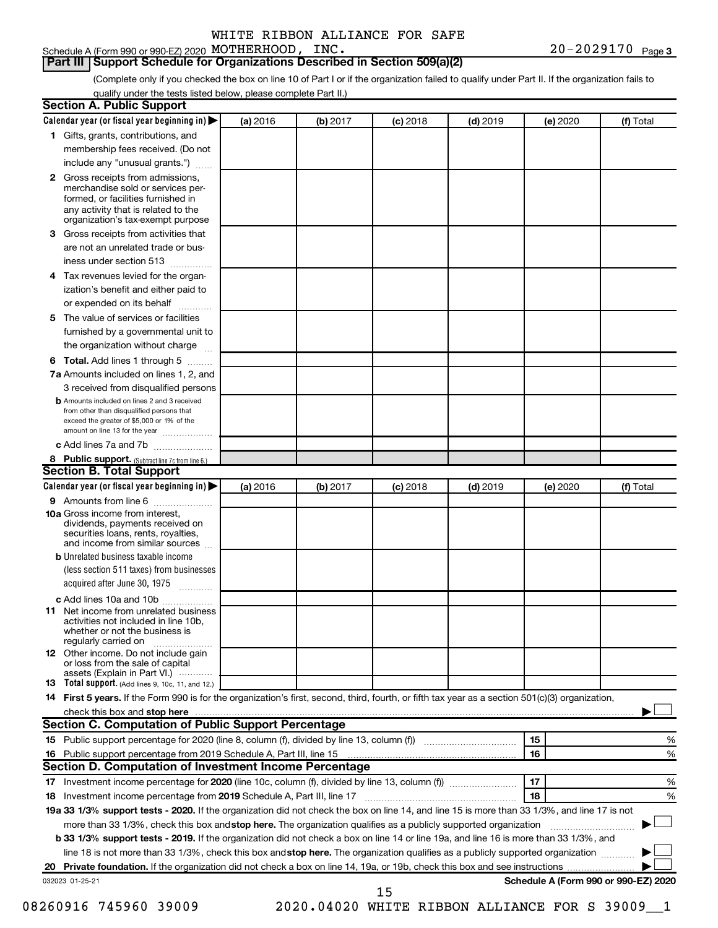## **Part III Support Schedule for Organizations Described in Section 509(a)(2)**

(Complete only if you checked the box on line 10 of Part I or if the organization failed to qualify under Part II. If the organization fails to qualify under the tests listed below, please complete Part II.)

|              | Calendar year (or fiscal year beginning in)                                                                                                         | (a) 2016 | (b) 2017 | $(c)$ 2018 | $(d)$ 2019 |    | (e) 2020 | (f) Total |
|--------------|-----------------------------------------------------------------------------------------------------------------------------------------------------|----------|----------|------------|------------|----|----------|-----------|
|              | 1 Gifts, grants, contributions, and                                                                                                                 |          |          |            |            |    |          |           |
|              | membership fees received. (Do not                                                                                                                   |          |          |            |            |    |          |           |
|              | include any "unusual grants.")                                                                                                                      |          |          |            |            |    |          |           |
| $\mathbf{2}$ | Gross receipts from admissions,<br>merchandise sold or services per-<br>formed, or facilities furnished in<br>any activity that is related to the   |          |          |            |            |    |          |           |
|              | organization's tax-exempt purpose                                                                                                                   |          |          |            |            |    |          |           |
| 3            | Gross receipts from activities that                                                                                                                 |          |          |            |            |    |          |           |
|              | are not an unrelated trade or bus-<br>iness under section 513                                                                                       |          |          |            |            |    |          |           |
| 4            | Tax revenues levied for the organ-                                                                                                                  |          |          |            |            |    |          |           |
|              | ization's benefit and either paid to<br>or expended on its behalf<br>.                                                                              |          |          |            |            |    |          |           |
| 5            | The value of services or facilities                                                                                                                 |          |          |            |            |    |          |           |
|              | furnished by a governmental unit to<br>the organization without charge                                                                              |          |          |            |            |    |          |           |
| 6            | Total. Add lines 1 through 5                                                                                                                        |          |          |            |            |    |          |           |
|              | 7a Amounts included on lines 1, 2, and                                                                                                              |          |          |            |            |    |          |           |
|              | 3 received from disqualified persons                                                                                                                |          |          |            |            |    |          |           |
|              | <b>b</b> Amounts included on lines 2 and 3 received                                                                                                 |          |          |            |            |    |          |           |
|              | from other than disqualified persons that<br>exceed the greater of \$5,000 or 1% of the<br>amount on line 13 for the year                           |          |          |            |            |    |          |           |
|              | c Add lines 7a and 7b                                                                                                                               |          |          |            |            |    |          |           |
|              | 8 Public support. (Subtract line 7c from line 6.)                                                                                                   |          |          |            |            |    |          |           |
|              | <b>Section B. Total Support</b>                                                                                                                     |          |          |            |            |    |          |           |
|              | Calendar year (or fiscal year beginning in)                                                                                                         | (a) 2016 | (b) 2017 | $(c)$ 2018 | $(d)$ 2019 |    | (e) 2020 | (f) Total |
|              | 9 Amounts from line 6                                                                                                                               |          |          |            |            |    |          |           |
|              | <b>10a</b> Gross income from interest,<br>dividends, payments received on<br>securities loans, rents, royalties,<br>and income from similar sources |          |          |            |            |    |          |           |
|              | <b>b</b> Unrelated business taxable income                                                                                                          |          |          |            |            |    |          |           |
|              | (less section 511 taxes) from businesses<br>acquired after June 30, 1975                                                                            |          |          |            |            |    |          |           |
|              | c Add lines 10a and 10b                                                                                                                             |          |          |            |            |    |          |           |
| 11           | Net income from unrelated business<br>activities not included in line 10b.<br>whether or not the business is<br>regularly carried on                |          |          |            |            |    |          |           |
|              | <b>12</b> Other income. Do not include gain<br>or loss from the sale of capital<br>assets (Explain in Part VI.)                                     |          |          |            |            |    |          |           |
|              | <b>13</b> Total support. (Add lines 9, 10c, 11, and 12.)                                                                                            |          |          |            |            |    |          |           |
|              | 14 First 5 years. If the Form 990 is for the organization's first, second, third, fourth, or fifth tax year as a section 501(c)(3) organization,    |          |          |            |            |    |          |           |
|              |                                                                                                                                                     |          |          |            |            |    |          |           |
|              | Section C. Computation of Public Support Percentage                                                                                                 |          |          |            |            |    |          |           |
|              |                                                                                                                                                     |          |          |            |            | 15 |          | %         |
|              |                                                                                                                                                     |          |          |            |            | 16 |          | %         |
|              | Section D. Computation of Investment Income Percentage                                                                                              |          |          |            |            |    |          |           |
|              |                                                                                                                                                     |          |          |            |            | 17 |          | %         |
|              |                                                                                                                                                     |          |          |            |            | 18 |          | %         |
|              |                                                                                                                                                     |          |          |            |            |    |          |           |
|              |                                                                                                                                                     |          |          |            |            |    |          |           |
|              | 19a 33 1/3% support tests - 2020. If the organization did not check the box on line 14, and line 15 is more than 33 1/3%, and line 17 is not        |          |          |            |            |    |          |           |
|              | more than 33 1/3%, check this box and stop here. The organization qualifies as a publicly supported organization                                    |          |          |            |            |    |          |           |
|              | <b>b 33 1/3% support tests - 2019.</b> If the organization did not check a box on line 14 or line 19a, and line 16 is more than 33 1/3%, and        |          |          |            |            |    |          |           |
|              | line 18 is not more than 33 1/3%, check this box and stop here. The organization qualifies as a publicly supported organization                     |          |          |            |            |    |          |           |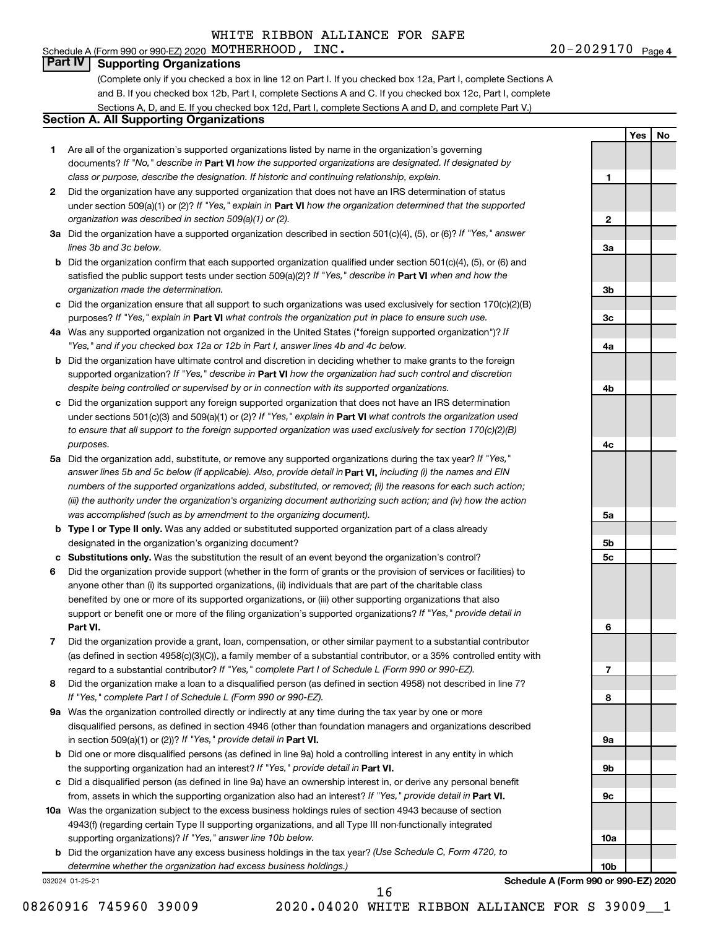**1**

**2**

**3a**

**3b**

**3c**

**4a**

**4b**

**4c**

**5a**

**5b 5c**

**6**

**7**

**8**

**9a**

**9b**

**9c**

**10a**

**10b**

**Yes No**

## **Part IV Supporting Organizations**

(Complete only if you checked a box in line 12 on Part I. If you checked box 12a, Part I, complete Sections A and B. If you checked box 12b, Part I, complete Sections A and C. If you checked box 12c, Part I, complete Sections A, D, and E. If you checked box 12d, Part I, complete Sections A and D, and complete Part V.)

## **Section A. All Supporting Organizations**

- **1** Are all of the organization's supported organizations listed by name in the organization's governing documents? If "No," describe in Part VI how the supported organizations are designated. If designated by *class or purpose, describe the designation. If historic and continuing relationship, explain.*
- **2** Did the organization have any supported organization that does not have an IRS determination of status under section 509(a)(1) or (2)? If "Yes," explain in Part **VI** how the organization determined that the supported *organization was described in section 509(a)(1) or (2).*
- **3a** Did the organization have a supported organization described in section 501(c)(4), (5), or (6)? If "Yes," answer *lines 3b and 3c below.*
- **b** Did the organization confirm that each supported organization qualified under section 501(c)(4), (5), or (6) and satisfied the public support tests under section 509(a)(2)? If "Yes," describe in Part VI when and how the *organization made the determination.*
- **c** Did the organization ensure that all support to such organizations was used exclusively for section 170(c)(2)(B) purposes? If "Yes," explain in Part VI what controls the organization put in place to ensure such use.
- **4 a** *If* Was any supported organization not organized in the United States ("foreign supported organization")? *"Yes," and if you checked box 12a or 12b in Part I, answer lines 4b and 4c below.*
- **b** Did the organization have ultimate control and discretion in deciding whether to make grants to the foreign supported organization? If "Yes," describe in Part VI how the organization had such control and discretion *despite being controlled or supervised by or in connection with its supported organizations.*
- **c** Did the organization support any foreign supported organization that does not have an IRS determination under sections 501(c)(3) and 509(a)(1) or (2)? If "Yes," explain in Part VI what controls the organization used *to ensure that all support to the foreign supported organization was used exclusively for section 170(c)(2)(B) purposes.*
- **5a** Did the organization add, substitute, or remove any supported organizations during the tax year? If "Yes," answer lines 5b and 5c below (if applicable). Also, provide detail in **Part VI,** including (i) the names and EIN *numbers of the supported organizations added, substituted, or removed; (ii) the reasons for each such action; (iii) the authority under the organization's organizing document authorizing such action; and (iv) how the action was accomplished (such as by amendment to the organizing document).*
- **b** Type I or Type II only. Was any added or substituted supported organization part of a class already designated in the organization's organizing document?
- **c Substitutions only.**  Was the substitution the result of an event beyond the organization's control?
- **6** Did the organization provide support (whether in the form of grants or the provision of services or facilities) to **Part VI.** support or benefit one or more of the filing organization's supported organizations? If "Yes," provide detail in anyone other than (i) its supported organizations, (ii) individuals that are part of the charitable class benefited by one or more of its supported organizations, or (iii) other supporting organizations that also
- **7** Did the organization provide a grant, loan, compensation, or other similar payment to a substantial contributor regard to a substantial contributor? If "Yes," complete Part I of Schedule L (Form 990 or 990-EZ). (as defined in section 4958(c)(3)(C)), a family member of a substantial contributor, or a 35% controlled entity with
- **8** Did the organization make a loan to a disqualified person (as defined in section 4958) not described in line 7? *If "Yes," complete Part I of Schedule L (Form 990 or 990-EZ).*
- **9 a** Was the organization controlled directly or indirectly at any time during the tax year by one or more in section 509(a)(1) or (2))? If "Yes," provide detail in **Part VI.** disqualified persons, as defined in section 4946 (other than foundation managers and organizations described
- **b** Did one or more disqualified persons (as defined in line 9a) hold a controlling interest in any entity in which the supporting organization had an interest? If "Yes," provide detail in Part VI.
- **c** Did a disqualified person (as defined in line 9a) have an ownership interest in, or derive any personal benefit from, assets in which the supporting organization also had an interest? If "Yes," provide detail in Part VI.
- **10 a** Was the organization subject to the excess business holdings rules of section 4943 because of section supporting organizations)? If "Yes," answer line 10b below. 4943(f) (regarding certain Type II supporting organizations, and all Type III non-functionally integrated
	- **b** Did the organization have any excess business holdings in the tax year? (Use Schedule C, Form 4720, to *determine whether the organization had excess business holdings.)*

032024 01-25-21

**Schedule A (Form 990 or 990-EZ) 2020**

16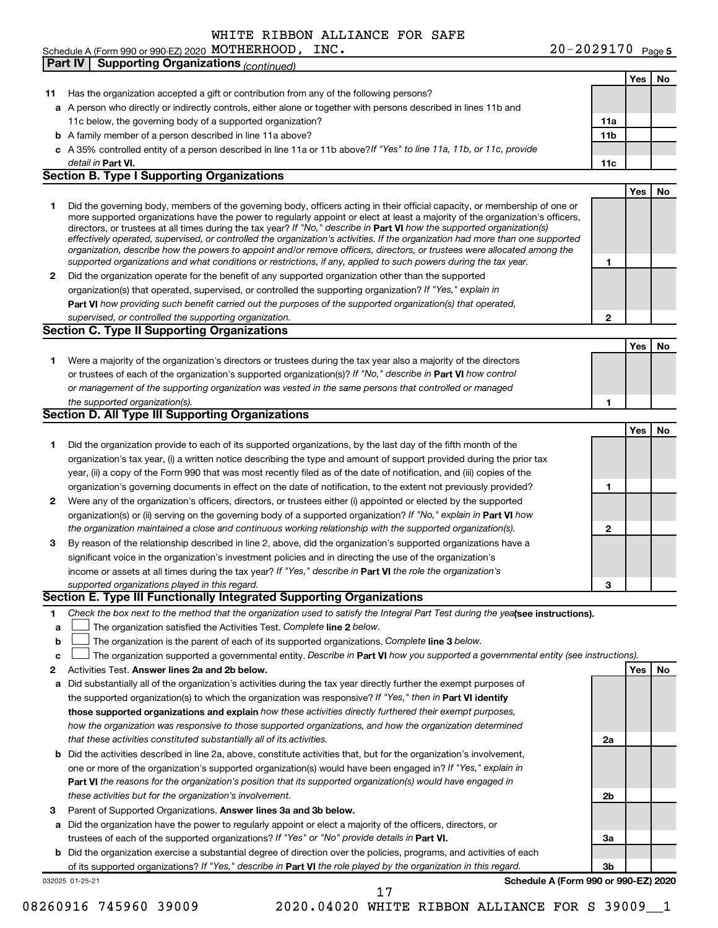20-2029170 Page 5 **Yes No 11** Has the organization accepted a gift or contribution from any of the following persons? **a** A person who directly or indirectly controls, either alone or together with persons described in lines 11b and **b** A family member of a person described in line 11a above? **c** *If "Yes" to line 11a, 11b, or 11c, provide* A 35% controlled entity of a person described in line 11a or 11b above? **11a 11b Part VI. 11c Yes No 1** Did the governing body, members of the governing body, officers acting in their official capacity, or membership of one or **2** Did the organization operate for the benefit of any supported organization other than the supported directors, or trustees at all times during the tax year? If "No," describe in Part VI how the supported organization(s) **1 2 Part VI**  *how providing such benefit carried out the purposes of the supported organization(s) that operated,* **Yes No 1** Were a majority of the organization's directors or trustees during the tax year also a majority of the directors or trustees of each of the organization's supported organization(s)? If "No," describe in Part VI how control **1 Yes No 1** Did the organization provide to each of its supported organizations, by the last day of the fifth month of the **2** Were any of the organization's officers, directors, or trustees either (i) appointed or elected by the supported **3** By reason of the relationship described in line 2, above, did the organization's supported organizations have a **1 2 3** organization(s) or (ii) serving on the governing body of a supported organization? If "No," explain in Part VI how income or assets at all times during the tax year? If "Yes," describe in Part VI the role the organization's **1 2 Answer lines 2a and 2b below. Yes No** Activities Test. Check the box next to the method that the organization used to satisfy the Integral Part Test during the yealsee instructions). **a b c The organization satisfied the Activities Test. Complete line 2 below.** The organization is the parent of each of its supported organizations. Complete line 3 below. The organization supported a governmental entity. Describe in Part VI how you supported a governmental entity (see instructions). **a** Did substantially all of the organization's activities during the tax year directly further the exempt purposes of **b** Did the activities described in line 2a, above, constitute activities that, but for the organization's involvement, the supported organization(s) to which the organization was responsive? If "Yes," then in Part VI identify **those supported organizations and explain**  *how these activities directly furthered their exempt purposes,* **2a 2b Part VI**  *the reasons for the organization's position that its supported organization(s) would have engaged in* detail in Part VI. *effectively operated, supervised, or controlled the organization's activities. If the organization had more than one supported organization, describe how the powers to appoint and/or remove officers, directors, or trustees were allocated among the supported organizations and what conditions or restrictions, if any, applied to such powers during the tax year.* organization(s) that operated, supervised, or controlled the supporting organization? If "Yes," explain in *supervised, or controlled the supporting organization. or management of the supporting organization was vested in the same persons that controlled or managed the supported organization(s). the organization maintained a close and continuous working relationship with the supported organization(s). supported organizations played in this regard. how the organization was responsive to those supported organizations, and how the organization determined that these activities constituted substantially all of its activities.* one or more of the organization's supported organization(s) would have been engaged in? If "Yes," explain in *these activities but for the organization's involvement.* Schedule A (Form 990 or 990-EZ) 2020 Page MOTHERHOOD, INC. 20-2029170 11c below, the governing body of a supported organization? more supported organizations have the power to regularly appoint or elect at least a majority of the organization's officers, organization's tax year, (i) a written notice describing the type and amount of support provided during the prior tax year, (ii) a copy of the Form 990 that was most recently filed as of the date of notification, and (iii) copies of the organization's governing documents in effect on the date of notification, to the extent not previously provided? significant voice in the organization's investment policies and in directing the use of the organization's **Part IV Supporting Organizations** *(continued)* **Section B. Type I Supporting Organizations Section C. Type II Supporting Organizations Section D. All Type III Supporting Organizations Section E. Type III Functionally Integrated Supporting Organizations**  $\Box$  $\Box$ 

- 3 Parent of Supported Organizations. Answer lines 3a and 3b below.
- **a** Did the organization have the power to regularly appoint or elect a majority of the officers, directors, or trustees of each of the supported organizations? If "Yes" or "No" provide details in Part VI.
- **b** Did the organization exercise a substantial degree of direction over the policies, programs, and activities of each of its supported organizations? If "Yes," describe in Part VI the role played by the organization in this regard.

032025 01-25-21

**Schedule A (Form 990 or 990-EZ) 2020**

**3a**

**3b**

08260916 745960 39009 2020.04020 WHITE RIBBON ALLIANCE FOR S 39009\_\_1

17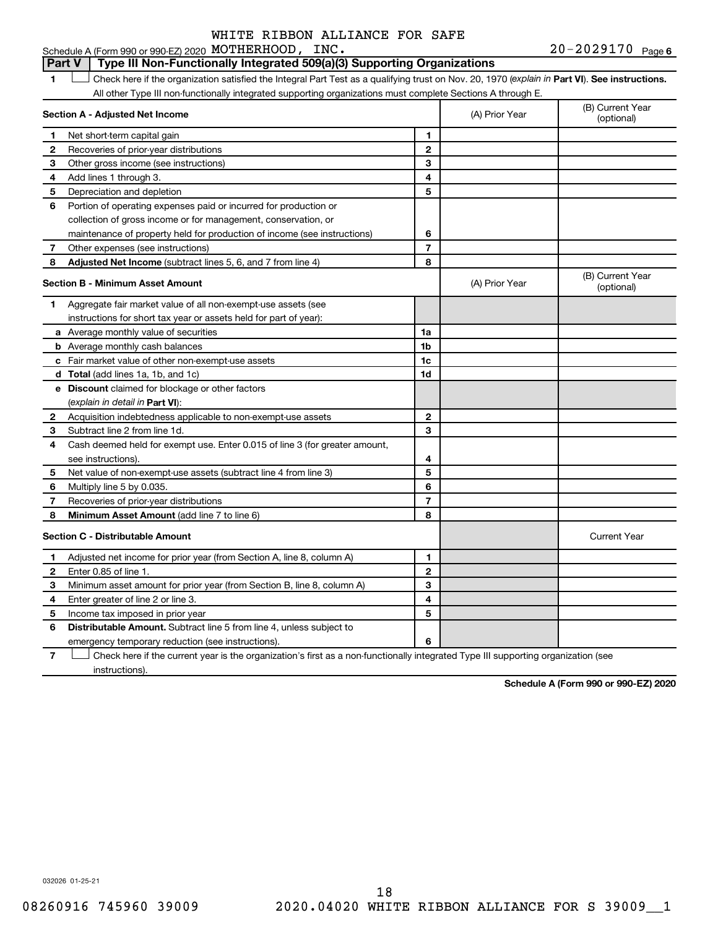#### **1 Part VI** Check here if the organization satisfied the Integral Part Test as a qualifying trust on Nov. 20, 1970 (*explain in* Part **VI**). See instructions. **Section A - Adjusted Net Income 1 2 3 4 5 6 7 8 1 2 3 4 5 6 7 Adjusted Net Income** (subtract lines 5, 6, and 7 from line 4) **8 8 Section B - Minimum Asset Amount 1 2 3 4 5 6 7 8 a** Average monthly value of securities **b** Average monthly cash balances **c** Fair market value of other non-exempt-use assets **d Total**  (add lines 1a, 1b, and 1c) **e Discount** claimed for blockage or other factors **1a 1b 1c 1d 2 3 4 5 6 7 8** (explain in detail in Part VI): **Minimum Asset Amount**  (add line 7 to line 6) **Section C - Distributable Amount 1 2 3 4 5 6 1 2 3 4 5 6** Distributable Amount. Subtract line 5 from line 4, unless subject to Schedule A (Form 990 or 990-EZ) 2020 Page MOTHERHOOD, INC. 20-2029170 All other Type III non-functionally integrated supporting organizations must complete Sections A through E. (B) Current Year (A) Prior Year Net short-term capital gain Recoveries of prior-year distributions Other gross income (see instructions) Add lines 1 through 3. Depreciation and depletion Portion of operating expenses paid or incurred for production or collection of gross income or for management, conservation, or maintenance of property held for production of income (see instructions) Other expenses (see instructions) (B) Current Year  $(A)$  Prior Year  $\left\{\n\begin{array}{ccc}\n\end{array}\n\right\}$  (optional) Aggregate fair market value of all non-exempt-use assets (see instructions for short tax year or assets held for part of year): Acquisition indebtedness applicable to non-exempt-use assets Subtract line 2 from line 1d. Cash deemed held for exempt use. Enter 0.015 of line 3 (for greater amount, see instructions). Net value of non-exempt-use assets (subtract line 4 from line 3) Multiply line 5 by 0.035. Recoveries of prior-year distributions Current Year Adjusted net income for prior year (from Section A, line 8, column A) Enter 0.85 of line 1. Minimum asset amount for prior year (from Section B, line 8, column A) Enter greater of line 2 or line 3. Income tax imposed in prior year emergency temporary reduction (see instructions). **Part V Type III Non-Functionally Integrated 509(a)(3) Supporting Organizations**   $\Box$

**7** Check here if the current year is the organization's first as a non-functionally integrated Type III supporting organization (see † instructions).

**Schedule A (Form 990 or 990-EZ) 2020**

032026 01-25-21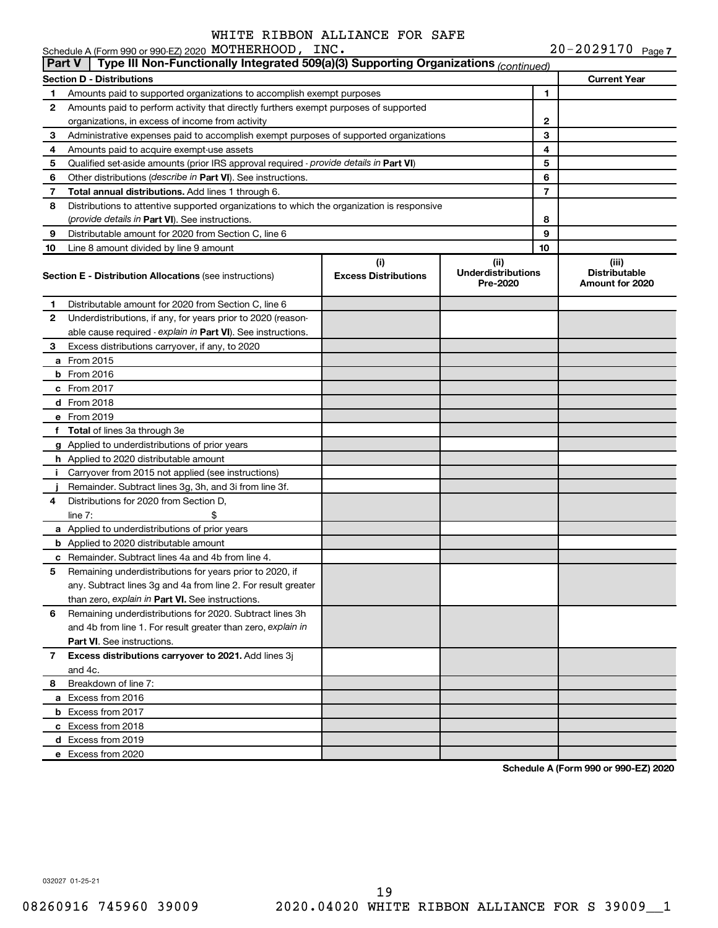|               | Schedule A (Form 990 or 990-EZ) 2020 MOTHERHOOD, INC.                                      |                                    |                                               |    | $20 - 2029170$ Page 7                            |
|---------------|--------------------------------------------------------------------------------------------|------------------------------------|-----------------------------------------------|----|--------------------------------------------------|
| <b>Part V</b> | Type III Non-Functionally Integrated 509(a)(3) Supporting Organizations (continued)        |                                    |                                               |    |                                                  |
|               | Section D - Distributions                                                                  |                                    |                                               |    | <b>Current Year</b>                              |
| 1             | Amounts paid to supported organizations to accomplish exempt purposes                      |                                    |                                               | 1  |                                                  |
| 2             | Amounts paid to perform activity that directly furthers exempt purposes of supported       |                                    |                                               |    |                                                  |
|               | organizations, in excess of income from activity                                           |                                    |                                               | 2  |                                                  |
| 3             | Administrative expenses paid to accomplish exempt purposes of supported organizations      |                                    |                                               | 3  |                                                  |
| 4             | Amounts paid to acquire exempt-use assets                                                  |                                    |                                               | 4  |                                                  |
| 5             | Qualified set-aside amounts (prior IRS approval required - provide details in Part VI)     |                                    |                                               | 5  |                                                  |
| 6             | Other distributions (describe in Part VI). See instructions.                               |                                    |                                               | 6  |                                                  |
| 7             | Total annual distributions. Add lines 1 through 6.                                         |                                    |                                               | 7  |                                                  |
| 8             | Distributions to attentive supported organizations to which the organization is responsive |                                    |                                               |    |                                                  |
|               | ( <i>provide details in Part VI</i> ). See instructions.                                   |                                    |                                               | 8  |                                                  |
| 9             | Distributable amount for 2020 from Section C, line 6                                       |                                    |                                               | 9  |                                                  |
| 10            | Line 8 amount divided by line 9 amount                                                     |                                    |                                               | 10 |                                                  |
|               | <b>Section E - Distribution Allocations (see instructions)</b>                             | (i)<br><b>Excess Distributions</b> | (ii)<br><b>Underdistributions</b><br>Pre-2020 |    | (iii)<br><b>Distributable</b><br>Amount for 2020 |
| 1             | Distributable amount for 2020 from Section C, line 6                                       |                                    |                                               |    |                                                  |
| 2             | Underdistributions, if any, for years prior to 2020 (reason-                               |                                    |                                               |    |                                                  |
|               | able cause required - explain in Part VI). See instructions.                               |                                    |                                               |    |                                                  |
| 3             | Excess distributions carryover, if any, to 2020                                            |                                    |                                               |    |                                                  |
|               | a From 2015                                                                                |                                    |                                               |    |                                                  |
|               | $b$ From 2016                                                                              |                                    |                                               |    |                                                  |
|               | c From 2017                                                                                |                                    |                                               |    |                                                  |
|               | <b>d</b> From 2018                                                                         |                                    |                                               |    |                                                  |
|               | e From 2019                                                                                |                                    |                                               |    |                                                  |
|               | f Total of lines 3a through 3e                                                             |                                    |                                               |    |                                                  |
|               | g Applied to underdistributions of prior years                                             |                                    |                                               |    |                                                  |
|               | <b>h</b> Applied to 2020 distributable amount                                              |                                    |                                               |    |                                                  |
| Ť.            | Carryover from 2015 not applied (see instructions)                                         |                                    |                                               |    |                                                  |
|               | Remainder. Subtract lines 3g, 3h, and 3i from line 3f.                                     |                                    |                                               |    |                                                  |
| 4             | Distributions for 2020 from Section D,                                                     |                                    |                                               |    |                                                  |
|               | line $7:$                                                                                  |                                    |                                               |    |                                                  |
|               | a Applied to underdistributions of prior years                                             |                                    |                                               |    |                                                  |
|               | <b>b</b> Applied to 2020 distributable amount                                              |                                    |                                               |    |                                                  |
|               | c Remainder. Subtract lines 4a and 4b from line 4.                                         |                                    |                                               |    |                                                  |
|               | 5 Remaining underdistributions for years prior to 2020, if                                 |                                    |                                               |    |                                                  |
|               | any. Subtract lines 3g and 4a from line 2. For result greater                              |                                    |                                               |    |                                                  |
|               | than zero, explain in Part VI. See instructions.                                           |                                    |                                               |    |                                                  |
| 6             | Remaining underdistributions for 2020. Subtract lines 3h                                   |                                    |                                               |    |                                                  |
|               | and 4b from line 1. For result greater than zero, explain in                               |                                    |                                               |    |                                                  |
|               | <b>Part VI.</b> See instructions.                                                          |                                    |                                               |    |                                                  |
| 7             | Excess distributions carryover to 2021. Add lines 3j                                       |                                    |                                               |    |                                                  |
|               | and 4c.                                                                                    |                                    |                                               |    |                                                  |
| 8             | Breakdown of line 7:                                                                       |                                    |                                               |    |                                                  |
|               | a Excess from 2016                                                                         |                                    |                                               |    |                                                  |
|               | <b>b</b> Excess from 2017                                                                  |                                    |                                               |    |                                                  |
|               | c Excess from 2018                                                                         |                                    |                                               |    |                                                  |
|               | d Excess from 2019                                                                         |                                    |                                               |    |                                                  |
|               | e Excess from 2020                                                                         |                                    |                                               |    |                                                  |

**Schedule A (Form 990 or 990-EZ) 2020**

032027 01-25-21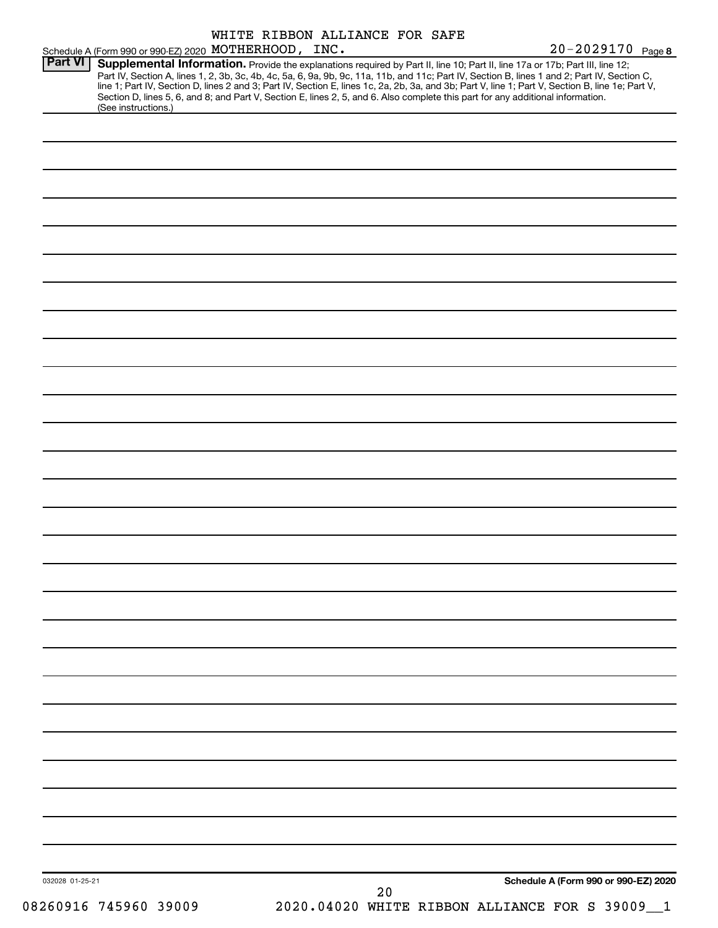| Schedule A (Form 990 or 990-EZ) 2020 MOTHERHOOD, INC.<br><b>Part VI</b> | Supplemental Information. Provide the explanations required by Part II, line 10; Part II, line 17a or 17b; Part III, line 12;                                                                                                                                                                                                                                                                                                       | 20-2029170 Page 8                    |
|-------------------------------------------------------------------------|-------------------------------------------------------------------------------------------------------------------------------------------------------------------------------------------------------------------------------------------------------------------------------------------------------------------------------------------------------------------------------------------------------------------------------------|--------------------------------------|
| (See instructions.)                                                     | Part IV, Section A, lines 1, 2, 3b, 3c, 4b, 4c, 5a, 6, 9a, 9b, 9c, 11a, 11b, and 11c; Part IV, Section B, lines 1 and 2; Part IV, Section C,<br>line 1; Part IV, Section D, lines 2 and 3; Part IV, Section E, lines 1c, 2a, 2b, 3a, and 3b; Part V, line 1; Part V, Section B, line 1e; Part V,<br>Section D, lines 5, 6, and 8; and Part V, Section E, lines 2, 5, and 6. Also complete this part for any additional information. |                                      |
|                                                                         |                                                                                                                                                                                                                                                                                                                                                                                                                                     |                                      |
|                                                                         |                                                                                                                                                                                                                                                                                                                                                                                                                                     |                                      |
|                                                                         |                                                                                                                                                                                                                                                                                                                                                                                                                                     |                                      |
|                                                                         |                                                                                                                                                                                                                                                                                                                                                                                                                                     |                                      |
|                                                                         |                                                                                                                                                                                                                                                                                                                                                                                                                                     |                                      |
|                                                                         |                                                                                                                                                                                                                                                                                                                                                                                                                                     |                                      |
|                                                                         |                                                                                                                                                                                                                                                                                                                                                                                                                                     |                                      |
|                                                                         |                                                                                                                                                                                                                                                                                                                                                                                                                                     |                                      |
|                                                                         |                                                                                                                                                                                                                                                                                                                                                                                                                                     |                                      |
|                                                                         |                                                                                                                                                                                                                                                                                                                                                                                                                                     |                                      |
|                                                                         |                                                                                                                                                                                                                                                                                                                                                                                                                                     |                                      |
|                                                                         |                                                                                                                                                                                                                                                                                                                                                                                                                                     |                                      |
|                                                                         |                                                                                                                                                                                                                                                                                                                                                                                                                                     |                                      |
|                                                                         |                                                                                                                                                                                                                                                                                                                                                                                                                                     |                                      |
|                                                                         |                                                                                                                                                                                                                                                                                                                                                                                                                                     |                                      |
|                                                                         |                                                                                                                                                                                                                                                                                                                                                                                                                                     |                                      |
|                                                                         |                                                                                                                                                                                                                                                                                                                                                                                                                                     |                                      |
|                                                                         |                                                                                                                                                                                                                                                                                                                                                                                                                                     |                                      |
|                                                                         |                                                                                                                                                                                                                                                                                                                                                                                                                                     |                                      |
|                                                                         |                                                                                                                                                                                                                                                                                                                                                                                                                                     |                                      |
|                                                                         |                                                                                                                                                                                                                                                                                                                                                                                                                                     |                                      |
|                                                                         |                                                                                                                                                                                                                                                                                                                                                                                                                                     |                                      |
|                                                                         |                                                                                                                                                                                                                                                                                                                                                                                                                                     |                                      |
|                                                                         |                                                                                                                                                                                                                                                                                                                                                                                                                                     |                                      |
|                                                                         |                                                                                                                                                                                                                                                                                                                                                                                                                                     |                                      |
|                                                                         |                                                                                                                                                                                                                                                                                                                                                                                                                                     |                                      |
|                                                                         |                                                                                                                                                                                                                                                                                                                                                                                                                                     |                                      |
|                                                                         |                                                                                                                                                                                                                                                                                                                                                                                                                                     |                                      |
|                                                                         |                                                                                                                                                                                                                                                                                                                                                                                                                                     |                                      |
|                                                                         |                                                                                                                                                                                                                                                                                                                                                                                                                                     |                                      |
| 032028 01-25-21                                                         |                                                                                                                                                                                                                                                                                                                                                                                                                                     | Schedule A (Form 990 or 990-EZ) 2020 |
| 08260916 745960 39009                                                   | 20<br>2020.04020 WHITE RIBBON ALLIANCE FOR S 39009                                                                                                                                                                                                                                                                                                                                                                                  |                                      |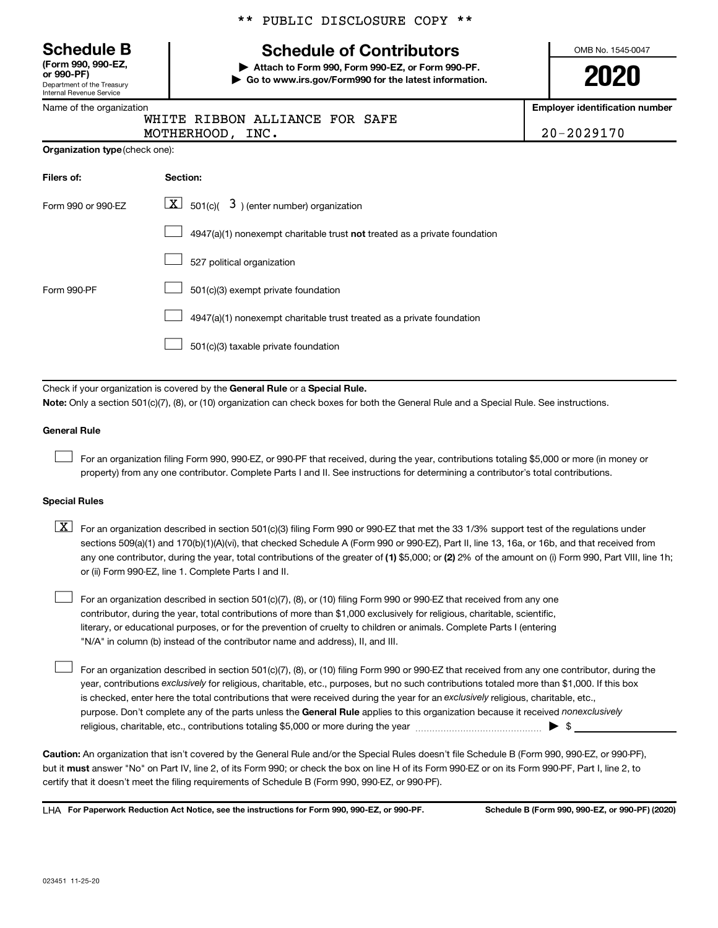Department of the Treasury Internal Revenue Service **(Form 990, 990-EZ,**

Name of the organization

### \*\* PUBLIC DISCLOSURE COPY \*\*

# **Schedule B Schedule of Contributors**

**or 990-PF) | Attach to Form 990, Form 990-EZ, or Form 990-PF. | Go to www.irs.gov/Form990 for the latest information.** OMB No. 1545-0047

**2020**

**Employer identification number**

|  | WHITE RIBBON ALLIANCE FOR SAFE |  |
|--|--------------------------------|--|
|  | $- - - -$                      |  |

MOTHERHOOD, INC. 20-2029170

**Organization type** (check one):

| Filers of:         | Section:                                                                  |
|--------------------|---------------------------------------------------------------------------|
| Form 990 or 990-EZ | $\lfloor \underline{X} \rfloor$ 501(c)( 3) (enter number) organization    |
|                    | 4947(a)(1) nonexempt charitable trust not treated as a private foundation |
|                    | 527 political organization                                                |
| Form 990-PF        | 501(c)(3) exempt private foundation                                       |
|                    | 4947(a)(1) nonexempt charitable trust treated as a private foundation     |
|                    | 501(c)(3) taxable private foundation                                      |

Check if your organization is covered by the General Rule or a Special Rule.

**Note:**  Only a section 501(c)(7), (8), or (10) organization can check boxes for both the General Rule and a Special Rule. See instructions.

#### **General Rule**

 $\Box$ 

 $\Box$ 

For an organization filing Form 990, 990-EZ, or 990-PF that received, during the year, contributions totaling \$5,000 or more (in money or property) from any one contributor. Complete Parts I and II. See instructions for determining a contributor's total contributions.

#### **Special Rules**

any one contributor, during the year, total contributions of the greater of (1) \$5,000; or (2) 2% of the amount on (i) Form 990, Part VIII, line 1h;  $\boxed{\text{X}}$  For an organization described in section 501(c)(3) filing Form 990 or 990-EZ that met the 33 1/3% support test of the regulations under sections 509(a)(1) and 170(b)(1)(A)(vi), that checked Schedule A (Form 990 or 990-EZ), Part II, line 13, 16a, or 16b, and that received from or (ii) Form 990-EZ, line 1. Complete Parts I and II.

For an organization described in section 501(c)(7), (8), or (10) filing Form 990 or 990-EZ that received from any one contributor, during the year, total contributions of more than \$1,000 exclusively for religious, charitable, scientific, literary, or educational purposes, or for the prevention of cruelty to children or animals. Complete Parts I (entering "N/A" in column (b) instead of the contributor name and address), II, and III.  $\Box$ 

purpose. Don't complete any of the parts unless the General Rule applies to this organization because it received nonexclusively year, contributions exclusively for religious, charitable, etc., purposes, but no such contributions totaled more than \$1,000. If this box is checked, enter here the total contributions that were received during the year for an exclusively religious, charitable, etc., For an organization described in section 501(c)(7), (8), or (10) filing Form 990 or 990-EZ that received from any one contributor, during the religious, charitable, etc., contributions totaling \$5,000 or more during the year  $\ldots$  $\ldots$  $\ldots$  $\ldots$  $\ldots$  $\ldots$ 

**Caution:**  An organization that isn't covered by the General Rule and/or the Special Rules doesn't file Schedule B (Form 990, 990-EZ, or 990-PF),  **must** but it answer "No" on Part IV, line 2, of its Form 990; or check the box on line H of its Form 990-EZ or on its Form 990-PF, Part I, line 2, to certify that it doesn't meet the filing requirements of Schedule B (Form 990, 990-EZ, or 990-PF).

**For Paperwork Reduction Act Notice, see the instructions for Form 990, 990-EZ, or 990-PF. Schedule B (Form 990, 990-EZ, or 990-PF) (2020)** LHA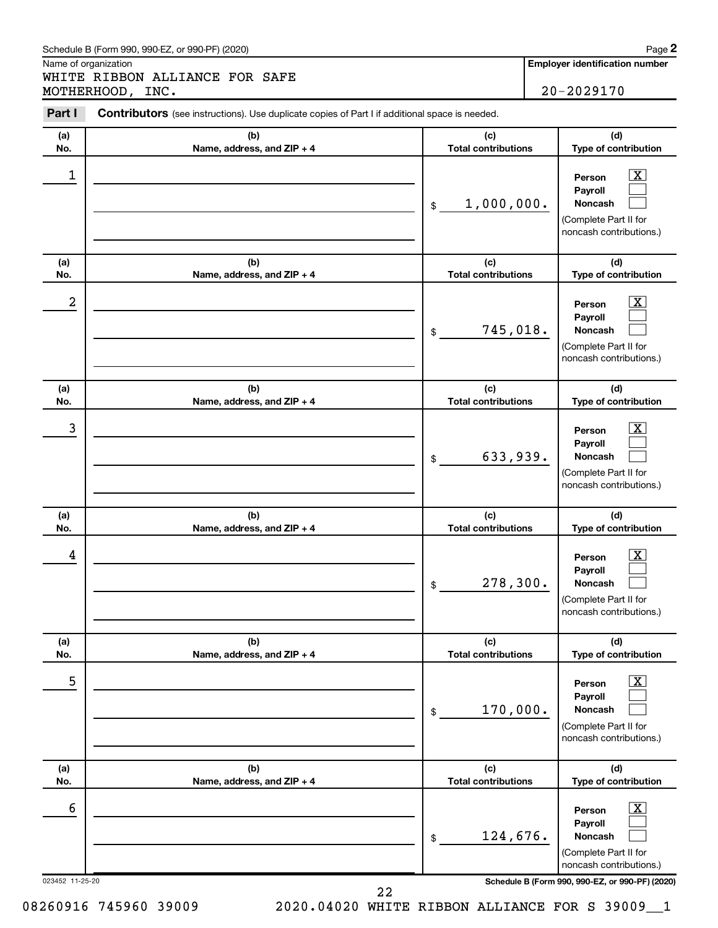#### Schedule B (Form 990, 990-EZ, or 990-PF) (2020)

Name of organization

WHITE RIBBON ALLIANCE FOR SAFE MOTHERHOOD, INC. 20-2029170

| Part I          | <b>Contributors</b> (see instructions). Use duplicate copies of Part I if additional space is needed. |                                   |                                                                                                                 |
|-----------------|-------------------------------------------------------------------------------------------------------|-----------------------------------|-----------------------------------------------------------------------------------------------------------------|
| (a)<br>No.      | (b)<br>Name, address, and ZIP + 4                                                                     | (c)<br><b>Total contributions</b> | (d)<br>Type of contribution                                                                                     |
| 1               |                                                                                                       | 1,000,000.<br>\$                  | $\boxed{\textbf{X}}$<br>Person<br>Payroll<br>Noncash<br>(Complete Part II for<br>noncash contributions.)        |
| (a)<br>No.      | (b)<br>Name, address, and ZIP + 4                                                                     | (c)<br><b>Total contributions</b> | (d)<br>Type of contribution                                                                                     |
| 2               |                                                                                                       | 745,018.<br>\$                    | $\mathbf{X}$<br>Person<br>Payroll<br>Noncash<br>(Complete Part II for<br>noncash contributions.)                |
| (a)<br>No.      | (b)<br>Name, address, and ZIP + 4                                                                     | (c)<br><b>Total contributions</b> | (d)<br>Type of contribution                                                                                     |
| 3               |                                                                                                       | 633,939.<br>\$                    | $\boxed{\mathbf{X}}$<br>Person<br>Payroll<br>Noncash<br>(Complete Part II for<br>noncash contributions.)        |
| (a)<br>No.      | (b)<br>Name, address, and ZIP + 4                                                                     | (c)<br><b>Total contributions</b> | (d)<br>Type of contribution                                                                                     |
| 4               |                                                                                                       | 278,300.<br>\$                    | $\mathbf{X}$<br>Person<br>Payroll<br>Noncash<br>(Complete Part II for<br>noncash contributions.)                |
| (a)<br>No.      | (b)<br>Name, address, and ZIP + 4                                                                     | (c)<br><b>Total contributions</b> | (d)<br>Type of contribution                                                                                     |
| 5               |                                                                                                       | 170,000.<br>\$                    | $\boxed{\textbf{X}}$<br>Person<br>Payroll<br><b>Noncash</b><br>(Complete Part II for<br>noncash contributions.) |
| (a)<br>No.      | (b)<br>Name, address, and ZIP + 4                                                                     | (c)<br><b>Total contributions</b> | (d)<br>Type of contribution                                                                                     |
| 6               |                                                                                                       | 124,676.<br>\$                    | $\mathbf{X}$<br>Person<br>Payroll<br>Noncash<br>(Complete Part II for<br>noncash contributions.)                |
| 023452 11-25-20 |                                                                                                       |                                   | Schedule B (Form 990, 990-EZ, or 990-PF) (2020)                                                                 |

08260916 745960 39009 2020.04020 WHITE RIBBON ALLIANCE FOR S 39009\_1

22

**2**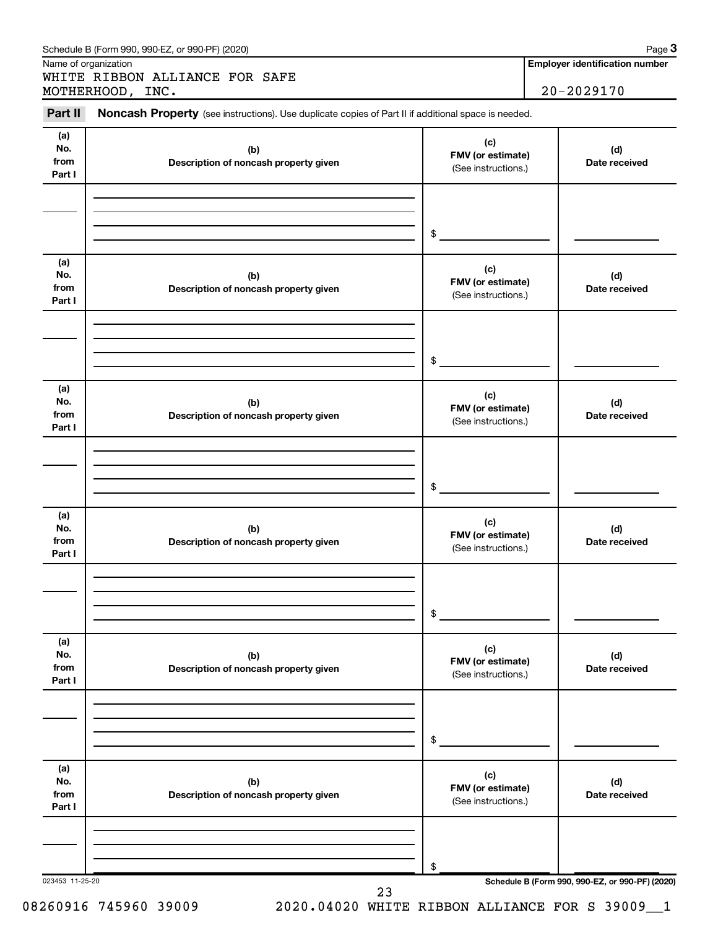| Part II                      | Noncash Property (see instructions). Use duplicate copies of Part II if additional space is needed. |                                                 |                      |
|------------------------------|-----------------------------------------------------------------------------------------------------|-------------------------------------------------|----------------------|
| (a)<br>No.<br>from<br>Part I | (b)<br>Description of noncash property given                                                        | (c)<br>FMV (or estimate)<br>(See instructions.) | (d)<br>Date received |
|                              |                                                                                                     | \$                                              |                      |
| (a)<br>No.<br>from<br>Part I | (b)<br>Description of noncash property given                                                        | (c)<br>FMV (or estimate)<br>(See instructions.) | (d)<br>Date received |
|                              |                                                                                                     | \$                                              |                      |
| (a)<br>No.<br>from<br>Part I | (b)<br>Description of noncash property given                                                        | (c)<br>FMV (or estimate)<br>(See instructions.) | (d)<br>Date received |
|                              |                                                                                                     | \$                                              |                      |
| (a)<br>No.<br>from<br>Part I | (b)<br>Description of noncash property given                                                        | (c)<br>FMV (or estimate)<br>(See instructions.) | (d)<br>Date received |
|                              |                                                                                                     | \$                                              |                      |
| (a)<br>No.<br>from<br>Part I | (b)<br>Description of noncash property given                                                        | (c)<br>FMV (or estimate)<br>(See instructions.) | (d)<br>Date received |
|                              |                                                                                                     | \$                                              |                      |
| (a)<br>No.<br>from<br>Part I | (b)<br>Description of noncash property given                                                        | (c)<br>FMV (or estimate)<br>(See instructions.) | (d)<br>Date received |
|                              |                                                                                                     | \$                                              |                      |

Schedule B (Form 990, 990-EZ, or 990-PF) (2020)

Name of organization

WHITE RIBBON ALLIANCE FOR SAFE

**Employer identification number**

**3**

08260916 745960 39009 2020.04020 WHITE RIBBON ALLIANCE FOR S 39009\_1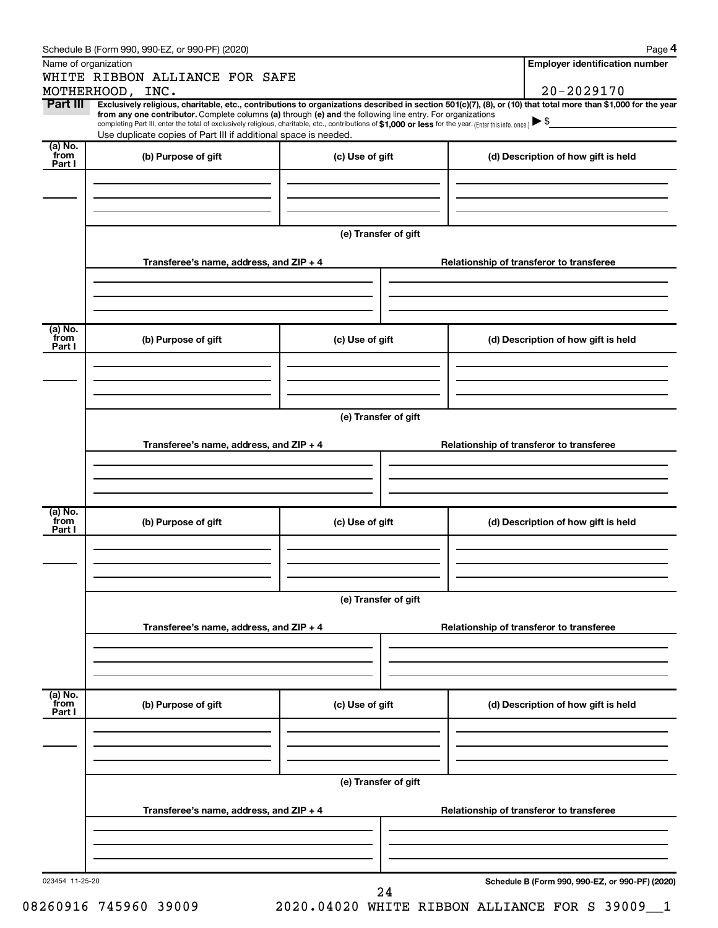|                 | Schedule B (Form 990, 990-EZ, or 990-PF) (2020)                                                                                                                                   |                      |                                                                                                                                                                | Page 4 |  |  |  |
|-----------------|-----------------------------------------------------------------------------------------------------------------------------------------------------------------------------------|----------------------|----------------------------------------------------------------------------------------------------------------------------------------------------------------|--------|--|--|--|
|                 | Name of organization                                                                                                                                                              |                      | <b>Employer identification number</b>                                                                                                                          |        |  |  |  |
|                 | WHITE RIBBON ALLIANCE FOR SAFE                                                                                                                                                    |                      |                                                                                                                                                                |        |  |  |  |
|                 | MOTHERHOOD, INC.                                                                                                                                                                  |                      | $20 - 2029170$                                                                                                                                                 |        |  |  |  |
| Part III        | from any one contributor. Complete columns (a) through (e) and the following line entry. For organizations                                                                        |                      | Exclusively religious, charitable, etc., contributions to organizations described in section 501(c)(7), (8), or (10) that total more than \$1,000 for the year |        |  |  |  |
|                 | completing Part III, enter the total of exclusively religious, charitable, etc., contributions of \$1,000 or less for the year. (Enter this info. once.) $\blacktriangleright$ \$ |                      |                                                                                                                                                                |        |  |  |  |
| $(a)$ No.       | Use duplicate copies of Part III if additional space is needed.                                                                                                                   |                      |                                                                                                                                                                |        |  |  |  |
| from            | (b) Purpose of gift                                                                                                                                                               | (c) Use of gift      | (d) Description of how gift is held                                                                                                                            |        |  |  |  |
| Part I          |                                                                                                                                                                                   |                      |                                                                                                                                                                |        |  |  |  |
|                 |                                                                                                                                                                                   |                      |                                                                                                                                                                |        |  |  |  |
|                 |                                                                                                                                                                                   |                      |                                                                                                                                                                |        |  |  |  |
|                 |                                                                                                                                                                                   |                      |                                                                                                                                                                |        |  |  |  |
|                 |                                                                                                                                                                                   | (e) Transfer of gift |                                                                                                                                                                |        |  |  |  |
|                 |                                                                                                                                                                                   |                      |                                                                                                                                                                |        |  |  |  |
|                 | Transferee's name, address, and ZIP + 4                                                                                                                                           |                      | Relationship of transferor to transferee                                                                                                                       |        |  |  |  |
|                 |                                                                                                                                                                                   |                      |                                                                                                                                                                |        |  |  |  |
|                 |                                                                                                                                                                                   |                      |                                                                                                                                                                |        |  |  |  |
|                 |                                                                                                                                                                                   |                      |                                                                                                                                                                |        |  |  |  |
| (a) No.         |                                                                                                                                                                                   |                      |                                                                                                                                                                |        |  |  |  |
| from<br>Part I  | (b) Purpose of gift                                                                                                                                                               | (c) Use of gift      | (d) Description of how gift is held                                                                                                                            |        |  |  |  |
|                 |                                                                                                                                                                                   |                      |                                                                                                                                                                |        |  |  |  |
|                 |                                                                                                                                                                                   |                      |                                                                                                                                                                |        |  |  |  |
|                 |                                                                                                                                                                                   |                      |                                                                                                                                                                |        |  |  |  |
|                 |                                                                                                                                                                                   |                      |                                                                                                                                                                |        |  |  |  |
|                 |                                                                                                                                                                                   | (e) Transfer of gift |                                                                                                                                                                |        |  |  |  |
|                 |                                                                                                                                                                                   |                      |                                                                                                                                                                |        |  |  |  |
|                 | Transferee's name, address, and ZIP + 4                                                                                                                                           |                      | Relationship of transferor to transferee                                                                                                                       |        |  |  |  |
|                 |                                                                                                                                                                                   |                      |                                                                                                                                                                |        |  |  |  |
|                 |                                                                                                                                                                                   |                      |                                                                                                                                                                |        |  |  |  |
|                 |                                                                                                                                                                                   |                      |                                                                                                                                                                |        |  |  |  |
| (a) No.         |                                                                                                                                                                                   |                      |                                                                                                                                                                |        |  |  |  |
| from<br>Part I  | (b) Purpose of gift                                                                                                                                                               | (c) Use of gift      | (d) Description of how gift is held                                                                                                                            |        |  |  |  |
|                 |                                                                                                                                                                                   |                      |                                                                                                                                                                |        |  |  |  |
|                 |                                                                                                                                                                                   |                      |                                                                                                                                                                |        |  |  |  |
|                 |                                                                                                                                                                                   |                      |                                                                                                                                                                |        |  |  |  |
|                 |                                                                                                                                                                                   |                      |                                                                                                                                                                |        |  |  |  |
|                 |                                                                                                                                                                                   | (e) Transfer of gift |                                                                                                                                                                |        |  |  |  |
|                 | Transferee's name, address, and ZIP + 4                                                                                                                                           |                      |                                                                                                                                                                |        |  |  |  |
|                 |                                                                                                                                                                                   |                      | Relationship of transferor to transferee                                                                                                                       |        |  |  |  |
|                 |                                                                                                                                                                                   |                      |                                                                                                                                                                |        |  |  |  |
|                 |                                                                                                                                                                                   |                      |                                                                                                                                                                |        |  |  |  |
|                 |                                                                                                                                                                                   |                      |                                                                                                                                                                |        |  |  |  |
| (a) No.<br>from | (b) Purpose of gift                                                                                                                                                               | (c) Use of gift      | (d) Description of how gift is held                                                                                                                            |        |  |  |  |
| Part I          |                                                                                                                                                                                   |                      |                                                                                                                                                                |        |  |  |  |
|                 |                                                                                                                                                                                   |                      |                                                                                                                                                                |        |  |  |  |
|                 |                                                                                                                                                                                   |                      |                                                                                                                                                                |        |  |  |  |
|                 |                                                                                                                                                                                   |                      |                                                                                                                                                                |        |  |  |  |
|                 |                                                                                                                                                                                   | (e) Transfer of gift |                                                                                                                                                                |        |  |  |  |
|                 |                                                                                                                                                                                   |                      |                                                                                                                                                                |        |  |  |  |
|                 | Transferee's name, address, and ZIP + 4                                                                                                                                           |                      | Relationship of transferor to transferee                                                                                                                       |        |  |  |  |
|                 |                                                                                                                                                                                   |                      |                                                                                                                                                                |        |  |  |  |
|                 |                                                                                                                                                                                   |                      |                                                                                                                                                                |        |  |  |  |
|                 |                                                                                                                                                                                   |                      |                                                                                                                                                                |        |  |  |  |
|                 |                                                                                                                                                                                   |                      |                                                                                                                                                                |        |  |  |  |
| 023454 11-25-20 |                                                                                                                                                                                   | 24                   | Schedule B (Form 990, 990-EZ, or 990-PF) (2020)                                                                                                                |        |  |  |  |
|                 |                                                                                                                                                                                   |                      |                                                                                                                                                                |        |  |  |  |

08260916 745960 39009 2020.04020 WHITE RIBBON ALLIANCE FOR S 39009\_1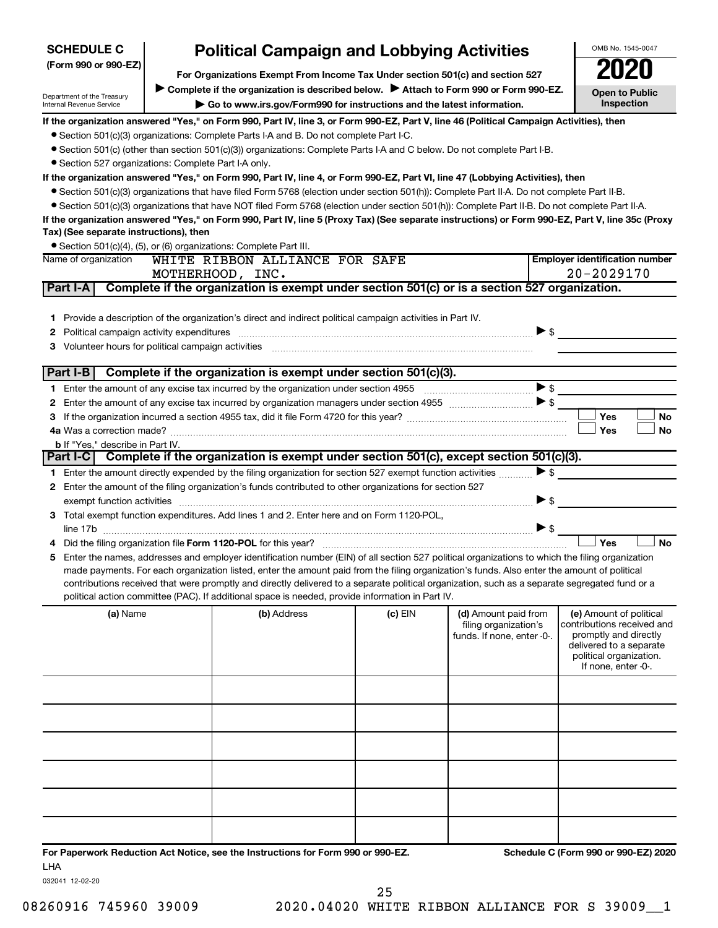| <b>SCHEDULE C</b>                                       | <b>Political Campaign and Lobbying Activities</b>                                                                                                                                                                              |           |                                                                             |                     | OMB No. 1545-0047                                                                                                                                           |
|---------------------------------------------------------|--------------------------------------------------------------------------------------------------------------------------------------------------------------------------------------------------------------------------------|-----------|-----------------------------------------------------------------------------|---------------------|-------------------------------------------------------------------------------------------------------------------------------------------------------------|
| (Form 990 or 990-EZ)                                    |                                                                                                                                                                                                                                |           |                                                                             |                     |                                                                                                                                                             |
|                                                         | For Organizations Exempt From Income Tax Under section 501(c) and section 527<br>Complete if the organization is described below. > Attach to Form 990 or Form 990-EZ.                                                         |           |                                                                             |                     |                                                                                                                                                             |
| Department of the Treasury<br>Internal Revenue Service  | Go to www.irs.gov/Form990 for instructions and the latest information.                                                                                                                                                         |           |                                                                             |                     | <b>Open to Public</b><br>Inspection                                                                                                                         |
|                                                         | If the organization answered "Yes," on Form 990, Part IV, line 3, or Form 990-EZ, Part V, line 46 (Political Campaign Activities), then                                                                                        |           |                                                                             |                     |                                                                                                                                                             |
|                                                         | • Section 501(c)(3) organizations: Complete Parts I-A and B. Do not complete Part I-C.                                                                                                                                         |           |                                                                             |                     |                                                                                                                                                             |
|                                                         | ● Section 501(c) (other than section 501(c)(3)) organizations: Complete Parts I-A and C below. Do not complete Part I-B.                                                                                                       |           |                                                                             |                     |                                                                                                                                                             |
| · Section 527 organizations: Complete Part I-A only.    |                                                                                                                                                                                                                                |           |                                                                             |                     |                                                                                                                                                             |
|                                                         | If the organization answered "Yes," on Form 990, Part IV, line 4, or Form 990-EZ, Part VI, line 47 (Lobbying Activities), then                                                                                                 |           |                                                                             |                     |                                                                                                                                                             |
|                                                         | ● Section 501(c)(3) organizations that have filed Form 5768 (election under section 501(h)): Complete Part II-A. Do not complete Part II-B.                                                                                    |           |                                                                             |                     |                                                                                                                                                             |
|                                                         | • Section 501(c)(3) organizations that have NOT filed Form 5768 (election under section 501(h)): Complete Part II-B. Do not complete Part II-A.                                                                                |           |                                                                             |                     |                                                                                                                                                             |
| Tax) (See separate instructions), then                  | If the organization answered "Yes," on Form 990, Part IV, line 5 (Proxy Tax) (See separate instructions) or Form 990-EZ, Part V, line 35c (Proxy                                                                               |           |                                                                             |                     |                                                                                                                                                             |
|                                                         | • Section 501(c)(4), (5), or (6) organizations: Complete Part III.                                                                                                                                                             |           |                                                                             |                     |                                                                                                                                                             |
| Name of organization                                    | WHITE RIBBON ALLIANCE FOR SAFE                                                                                                                                                                                                 |           |                                                                             |                     | <b>Employer identification number</b>                                                                                                                       |
|                                                         | MOTHERHOOD, INC.                                                                                                                                                                                                               |           |                                                                             |                     | 20-2029170                                                                                                                                                  |
| Part I-A                                                | Complete if the organization is exempt under section 501(c) or is a section 527 organization.                                                                                                                                  |           |                                                                             |                     |                                                                                                                                                             |
|                                                         |                                                                                                                                                                                                                                |           |                                                                             |                     |                                                                                                                                                             |
|                                                         | 1 Provide a description of the organization's direct and indirect political campaign activities in Part IV.                                                                                                                    |           |                                                                             |                     |                                                                                                                                                             |
| Political campaign activity expenditures                |                                                                                                                                                                                                                                |           |                                                                             | $\triangleright$ \$ |                                                                                                                                                             |
| Volunteer hours for political campaign activities<br>3. |                                                                                                                                                                                                                                |           |                                                                             |                     |                                                                                                                                                             |
| Part $I-B$                                              | Complete if the organization is exempt under section 501(c)(3).                                                                                                                                                                |           |                                                                             |                     |                                                                                                                                                             |
|                                                         |                                                                                                                                                                                                                                |           |                                                                             | $\triangleright$ \$ |                                                                                                                                                             |
|                                                         |                                                                                                                                                                                                                                |           |                                                                             |                     |                                                                                                                                                             |
|                                                         |                                                                                                                                                                                                                                |           |                                                                             |                     | Yes<br>No                                                                                                                                                   |
|                                                         |                                                                                                                                                                                                                                |           |                                                                             |                     | Yes<br>No                                                                                                                                                   |
| <b>b</b> If "Yes," describe in Part IV.                 |                                                                                                                                                                                                                                |           |                                                                             |                     |                                                                                                                                                             |
|                                                         | Part I-C Complete if the organization is exempt under section 501(c), except section 501(c)(3).                                                                                                                                |           |                                                                             |                     |                                                                                                                                                             |
|                                                         | 1 Enter the amount directly expended by the filing organization for section 527 exempt function activities                                                                                                                     |           |                                                                             | $\triangleright$ \$ |                                                                                                                                                             |
|                                                         | 2 Enter the amount of the filing organization's funds contributed to other organizations for section 527                                                                                                                       |           |                                                                             |                     |                                                                                                                                                             |
|                                                         | exempt function activities material content and activities and activities are activities and activities and activities and activities and activities and activities and activities and activities and activities and activitie |           |                                                                             | ▶ \$                |                                                                                                                                                             |
|                                                         | 3 Total exempt function expenditures. Add lines 1 and 2. Enter here and on Form 1120-POL,                                                                                                                                      |           |                                                                             | $\triangleright$ \$ |                                                                                                                                                             |
|                                                         | Did the filing organization file Form 1120-POL for this year?                                                                                                                                                                  |           |                                                                             |                     | Yes<br><b>No</b>                                                                                                                                            |
|                                                         | 5 Enter the names, addresses and employer identification number (EIN) of all section 527 political organizations to which the filing organization                                                                              |           |                                                                             |                     |                                                                                                                                                             |
|                                                         | made payments. For each organization listed, enter the amount paid from the filing organization's funds. Also enter the amount of political                                                                                    |           |                                                                             |                     |                                                                                                                                                             |
|                                                         | contributions received that were promptly and directly delivered to a separate political organization, such as a separate segregated fund or a                                                                                 |           |                                                                             |                     |                                                                                                                                                             |
|                                                         | political action committee (PAC). If additional space is needed, provide information in Part IV.                                                                                                                               |           |                                                                             |                     |                                                                                                                                                             |
| (a) Name                                                | (b) Address                                                                                                                                                                                                                    | $(c)$ EIN | (d) Amount paid from<br>filing organization's<br>funds. If none, enter -0-. |                     | (e) Amount of political<br>contributions received and<br>promptly and directly<br>delivered to a separate<br>political organization.<br>If none, enter -0-. |
|                                                         |                                                                                                                                                                                                                                |           |                                                                             |                     |                                                                                                                                                             |
|                                                         |                                                                                                                                                                                                                                |           |                                                                             |                     |                                                                                                                                                             |
|                                                         |                                                                                                                                                                                                                                |           |                                                                             |                     |                                                                                                                                                             |
|                                                         |                                                                                                                                                                                                                                |           |                                                                             |                     |                                                                                                                                                             |
|                                                         |                                                                                                                                                                                                                                |           |                                                                             |                     |                                                                                                                                                             |
|                                                         |                                                                                                                                                                                                                                |           |                                                                             |                     |                                                                                                                                                             |

**For Paperwork Reduction Act Notice, see the Instructions for Form 990 or 990-EZ. Schedule C (Form 990 or 990-EZ) 2020** LHA

032041 12-02-20

25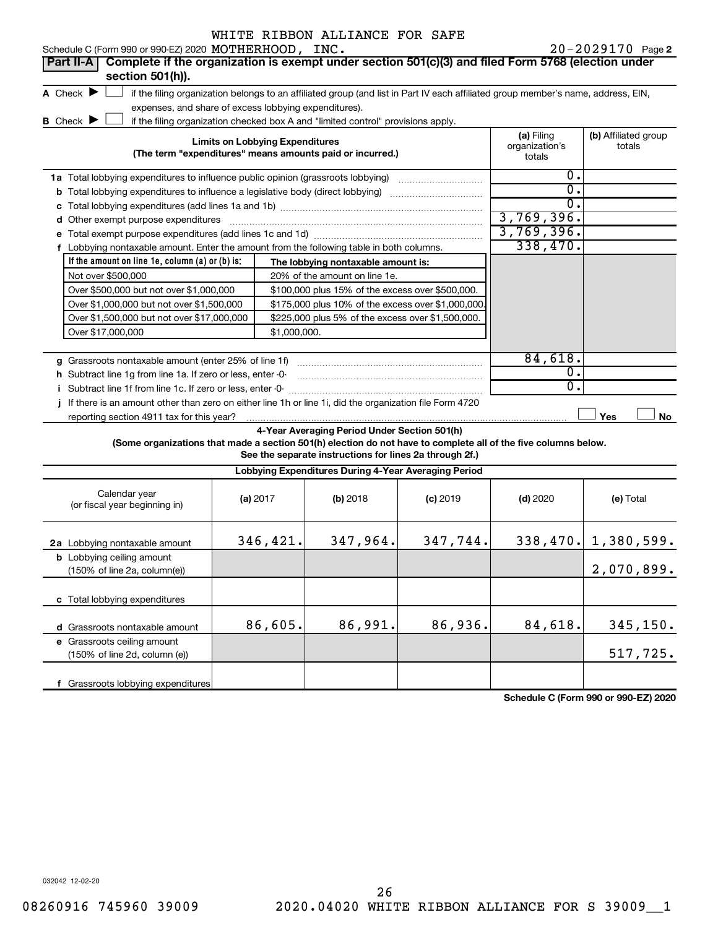| Complete if the organization is exempt under section 501(c)(3) and filed Form 5768 (election under<br><b>Part II-A</b><br>section 501(h)).<br>A Check $\blacktriangleright$<br>if the filing organization belongs to an affiliated group (and list in Part IV each affiliated group member's name, address, EIN,<br>expenses, and share of excess lobbying expenditures).<br>B Check $\blacktriangleright$<br>if the filing organization checked box A and "limited control" provisions apply.<br><b>Limits on Lobbying Expenditures</b><br>(The term "expenditures" means amounts paid or incurred.) |              |                                                                                                         |            |                                        |                                |
|-------------------------------------------------------------------------------------------------------------------------------------------------------------------------------------------------------------------------------------------------------------------------------------------------------------------------------------------------------------------------------------------------------------------------------------------------------------------------------------------------------------------------------------------------------------------------------------------------------|--------------|---------------------------------------------------------------------------------------------------------|------------|----------------------------------------|--------------------------------|
|                                                                                                                                                                                                                                                                                                                                                                                                                                                                                                                                                                                                       |              |                                                                                                         |            |                                        |                                |
|                                                                                                                                                                                                                                                                                                                                                                                                                                                                                                                                                                                                       |              |                                                                                                         |            |                                        |                                |
|                                                                                                                                                                                                                                                                                                                                                                                                                                                                                                                                                                                                       |              |                                                                                                         |            |                                        |                                |
|                                                                                                                                                                                                                                                                                                                                                                                                                                                                                                                                                                                                       |              |                                                                                                         |            |                                        |                                |
|                                                                                                                                                                                                                                                                                                                                                                                                                                                                                                                                                                                                       |              |                                                                                                         |            |                                        |                                |
|                                                                                                                                                                                                                                                                                                                                                                                                                                                                                                                                                                                                       |              |                                                                                                         |            | (a) Filing<br>organization's<br>totals | (b) Affiliated group<br>totals |
| 1a Total lobbying expenditures to influence public opinion (grassroots lobbying)                                                                                                                                                                                                                                                                                                                                                                                                                                                                                                                      |              |                                                                                                         |            | $\overline{0}$ .                       |                                |
| <b>b</b> Total lobbying expenditures to influence a legislative body (direct lobbying) <i>manumumumum</i>                                                                                                                                                                                                                                                                                                                                                                                                                                                                                             |              |                                                                                                         |            | $\overline{0}$ .                       |                                |
|                                                                                                                                                                                                                                                                                                                                                                                                                                                                                                                                                                                                       |              |                                                                                                         |            | 0.                                     |                                |
| d Other exempt purpose expenditures                                                                                                                                                                                                                                                                                                                                                                                                                                                                                                                                                                   |              |                                                                                                         |            | 3,769,396.                             |                                |
|                                                                                                                                                                                                                                                                                                                                                                                                                                                                                                                                                                                                       |              |                                                                                                         |            | 3,769,396.                             |                                |
| f Lobbying nontaxable amount. Enter the amount from the following table in both columns.                                                                                                                                                                                                                                                                                                                                                                                                                                                                                                              |              |                                                                                                         |            | 338,470.                               |                                |
| If the amount on line 1e, column $(a)$ or $(b)$ is:                                                                                                                                                                                                                                                                                                                                                                                                                                                                                                                                                   |              | The lobbying nontaxable amount is:                                                                      |            |                                        |                                |
| Not over \$500,000                                                                                                                                                                                                                                                                                                                                                                                                                                                                                                                                                                                    |              | 20% of the amount on line 1e.                                                                           |            |                                        |                                |
| Over \$500,000 but not over \$1,000,000                                                                                                                                                                                                                                                                                                                                                                                                                                                                                                                                                               |              | \$100,000 plus 15% of the excess over \$500,000.                                                        |            |                                        |                                |
| Over \$1,000,000 but not over \$1,500,000                                                                                                                                                                                                                                                                                                                                                                                                                                                                                                                                                             |              | \$175,000 plus 10% of the excess over \$1,000,000                                                       |            |                                        |                                |
| Over \$1,500,000 but not over \$17,000,000                                                                                                                                                                                                                                                                                                                                                                                                                                                                                                                                                            |              | \$225,000 plus 5% of the excess over \$1,500,000.                                                       |            |                                        |                                |
| Over \$17,000,000                                                                                                                                                                                                                                                                                                                                                                                                                                                                                                                                                                                     | \$1,000,000. |                                                                                                         |            |                                        |                                |
|                                                                                                                                                                                                                                                                                                                                                                                                                                                                                                                                                                                                       |              |                                                                                                         |            |                                        |                                |
| g Grassroots nontaxable amount (enter 25% of line 1f)                                                                                                                                                                                                                                                                                                                                                                                                                                                                                                                                                 |              |                                                                                                         |            | 84,618.                                |                                |
| h Subtract line 1g from line 1a. If zero or less, enter -0-                                                                                                                                                                                                                                                                                                                                                                                                                                                                                                                                           |              |                                                                                                         |            | 0.                                     |                                |
|                                                                                                                                                                                                                                                                                                                                                                                                                                                                                                                                                                                                       |              |                                                                                                         |            | 0.                                     |                                |
| If there is an amount other than zero on either line 1h or line 1i, did the organization file Form 4720                                                                                                                                                                                                                                                                                                                                                                                                                                                                                               |              |                                                                                                         |            |                                        |                                |
| reporting section 4911 tax for this year?                                                                                                                                                                                                                                                                                                                                                                                                                                                                                                                                                             |              |                                                                                                         |            |                                        | Yes<br>No                      |
| (Some organizations that made a section 501(h) election do not have to complete all of the five columns below.                                                                                                                                                                                                                                                                                                                                                                                                                                                                                        |              | 4-Year Averaging Period Under Section 501(h)<br>See the separate instructions for lines 2a through 2f.) |            |                                        |                                |
|                                                                                                                                                                                                                                                                                                                                                                                                                                                                                                                                                                                                       |              | Lobbying Expenditures During 4-Year Averaging Period                                                    |            |                                        |                                |
| Calendar year<br>(or fiscal year beginning in)                                                                                                                                                                                                                                                                                                                                                                                                                                                                                                                                                        | (a) 2017     | (b) 2018                                                                                                | $(c)$ 2019 | $(d)$ 2020                             | (e) Total                      |

| 2a Lobbying nontaxable amount                      | 346,421. | 347,964. | 347,744. | 338,470. | 1,380,599. |
|----------------------------------------------------|----------|----------|----------|----------|------------|
| <b>b</b> Lobbying ceiling amount                   |          |          |          |          |            |
| $(150\% \text{ of line } 2a, \text{column}(e))$    |          |          |          |          | 2,070,899. |
|                                                    |          |          |          |          |            |
| c Total lobbying expenditures                      |          |          |          |          |            |
|                                                    |          |          |          |          |            |
| d Grassroots nontaxable amount                     | 86,605.  | 86,991.  | 86,936.  | 84,618.  | 345, 150.  |
| e Grassroots ceiling amount                        |          |          |          |          |            |
| $(150\% \text{ of line } 2d, \text{ column } (e))$ |          |          |          |          | 517,725.   |
|                                                    |          |          |          |          |            |
| Grassroots lobbying expenditures                   |          |          |          |          |            |

**Schedule C (Form 990 or 990-EZ) 2020**

032042 12-02-20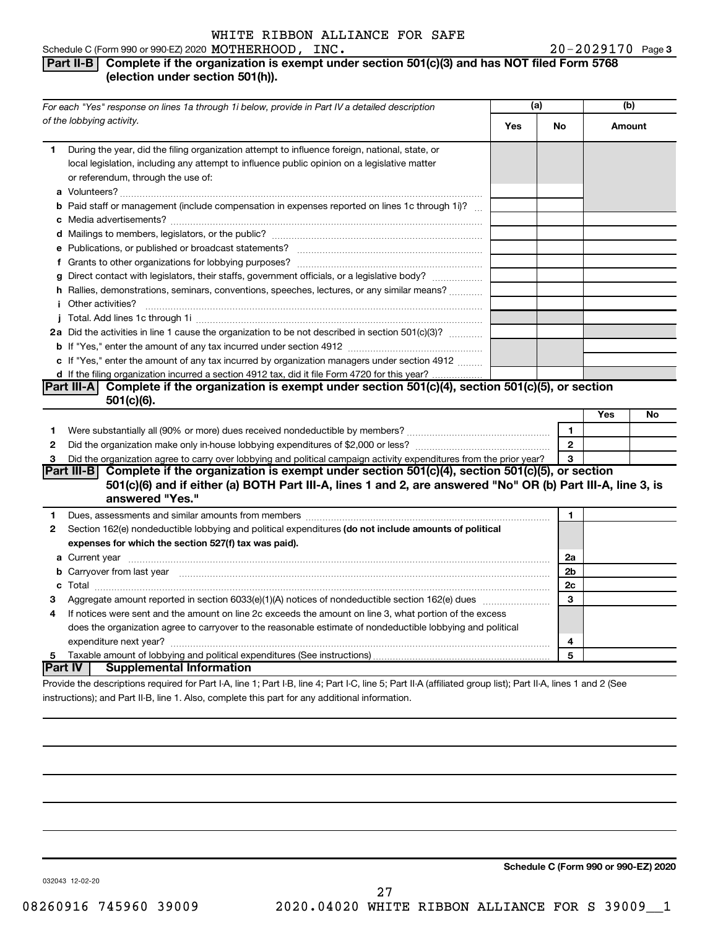#### 20-2029170 Page 3 Schedule C (Form 990 or 990-EZ) 2020 Page MOTHERHOOD, INC. 20-2029170

#### **Part II-B Complete if the organization is exempt under section 501(c)(3) and has NOT filed Form 5768 (election under section 501(h)).**

|              | For each "Yes" response on lines 1a through 1i below, provide in Part IV a detailed description                                                                                                                                            | (a) |                |     | (b)    |
|--------------|--------------------------------------------------------------------------------------------------------------------------------------------------------------------------------------------------------------------------------------------|-----|----------------|-----|--------|
|              | of the lobbying activity.                                                                                                                                                                                                                  | Yes | No             |     | Amount |
| 1            | During the year, did the filing organization attempt to influence foreign, national, state, or<br>local legislation, including any attempt to influence public opinion on a legislative matter<br>or referendum, through the use of:       |     |                |     |        |
|              | <b>b</b> Paid staff or management (include compensation in expenses reported on lines 1c through 1i)?                                                                                                                                      |     |                |     |        |
|              |                                                                                                                                                                                                                                            |     |                |     |        |
|              | g Direct contact with legislators, their staffs, government officials, or a legislative body?<br>h Rallies, demonstrations, seminars, conventions, speeches, lectures, or any similar means?                                               |     |                |     |        |
|              | 2a Did the activities in line 1 cause the organization to be not described in section 501(c)(3)?                                                                                                                                           |     |                |     |        |
|              |                                                                                                                                                                                                                                            |     |                |     |        |
|              | c If "Yes," enter the amount of any tax incurred by organization managers under section 4912<br>d If the filing organization incurred a section 4912 tax, did it file Form 4720 for this year?                                             |     |                |     |        |
|              | Part III-A Complete if the organization is exempt under section 501(c)(4), section 501(c)(5), or section<br>501(c)(6).                                                                                                                     |     |                |     |        |
|              |                                                                                                                                                                                                                                            |     |                | Yes | No     |
| 1            |                                                                                                                                                                                                                                            |     | 1              |     |        |
| $\mathbf{2}$ |                                                                                                                                                                                                                                            |     | $\mathbf{2}$   |     |        |
| 3            | Did the organization agree to carry over lobbying and political campaign activity expenditures from the prior year?                                                                                                                        |     | 3              |     |        |
|              | Part III-B Complete if the organization is exempt under section 501(c)(4), section 501(c)(5), or section<br>501(c)(6) and if either (a) BOTH Part III-A, lines 1 and 2, are answered "No" OR (b) Part III-A, line 3, is<br>answered "Yes." |     |                |     |        |
| 1            |                                                                                                                                                                                                                                            |     | 1              |     |        |
| 2            | Section 162(e) nondeductible lobbying and political expenditures (do not include amounts of political                                                                                                                                      |     |                |     |        |
|              | expenses for which the section 527(f) tax was paid).                                                                                                                                                                                       |     |                |     |        |
|              |                                                                                                                                                                                                                                            |     | 2a             |     |        |
|              | b Carryover from last year manufactured and content to content the content of the content of the content of the content of the content of the content of the content of the content of the content of the content of the conte             |     | 2 <sub>b</sub> |     |        |
|              |                                                                                                                                                                                                                                            |     | 2c             |     |        |
| 3            | Aggregate amount reported in section 6033(e)(1)(A) notices of nondeductible section 162(e) dues                                                                                                                                            |     | 3              |     |        |
| 4            | If notices were sent and the amount on line 2c exceeds the amount on line 3, what portion of the excess                                                                                                                                    |     |                |     |        |
|              | does the organization agree to carryover to the reasonable estimate of nondeductible lobbying and political                                                                                                                                |     |                |     |        |
|              |                                                                                                                                                                                                                                            |     | 4              |     |        |
| 5            | <b>Part IV   Supplemental Information</b>                                                                                                                                                                                                  |     | 5              |     |        |
|              | Brougle the descriptions required for Part LA, line 1: Part LR, line 4: Part LC, line 5: Part II A (affiliated group list): Part II A, lines 1, and 2 (See                                                                                 |     |                |     |        |

scriptions required for Part I-A, line 1; Part I-B, line 4; Part I-C, line 5; Part II-A (affiliated group list); Part II-A, lines 1 and 2 (See instructions); and Part II-B, line 1. Also, complete this part for any additional information.

**Schedule C (Form 990 or 990-EZ) 2020**

032043 12-02-20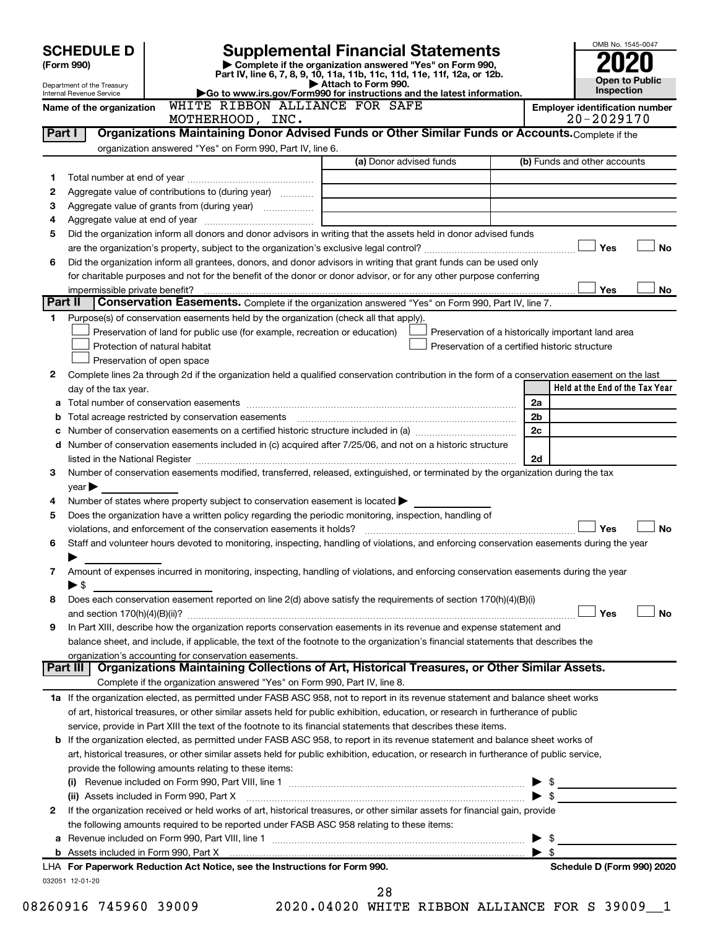|         |                                                        |                                                                                                   |                                                                                                                                                                                                                                                                      |                                                | OMB No. 1545-0047                                       |
|---------|--------------------------------------------------------|---------------------------------------------------------------------------------------------------|----------------------------------------------------------------------------------------------------------------------------------------------------------------------------------------------------------------------------------------------------------------------|------------------------------------------------|---------------------------------------------------------|
|         | <b>SCHEDULE D</b><br>(Form 990)                        |                                                                                                   | <b>Supplemental Financial Statements</b><br>Complete if the organization answered "Yes" on Form 990,                                                                                                                                                                 |                                                |                                                         |
|         |                                                        |                                                                                                   | Part IV, line 6, 7, 8, 9, 10, 11a, 11b, 11c, 11d, 11e, 11f, 12a, or 12b.                                                                                                                                                                                             |                                                | <b>Open to Public</b>                                   |
|         | Department of the Treasury<br>Internal Revenue Service |                                                                                                   | Attach to Form 990.<br>Go to www.irs.gov/Form990 for instructions and the latest information.                                                                                                                                                                        |                                                | Inspection                                              |
|         | Name of the organization                               | WHITE RIBBON ALLIANCE FOR SAFE<br>MOTHERHOOD, INC.                                                |                                                                                                                                                                                                                                                                      |                                                | <b>Employer identification number</b><br>$20 - 2029170$ |
| Part I  |                                                        |                                                                                                   | Organizations Maintaining Donor Advised Funds or Other Similar Funds or Accounts. Complete if the                                                                                                                                                                    |                                                |                                                         |
|         |                                                        | organization answered "Yes" on Form 990, Part IV, line 6.                                         |                                                                                                                                                                                                                                                                      |                                                |                                                         |
|         |                                                        |                                                                                                   | (a) Donor advised funds                                                                                                                                                                                                                                              |                                                | (b) Funds and other accounts                            |
| 1       |                                                        |                                                                                                   |                                                                                                                                                                                                                                                                      |                                                |                                                         |
| 2       |                                                        | Aggregate value of contributions to (during year)                                                 |                                                                                                                                                                                                                                                                      |                                                |                                                         |
| З       |                                                        | Aggregate value of grants from (during year)                                                      |                                                                                                                                                                                                                                                                      |                                                |                                                         |
| 4       |                                                        |                                                                                                   |                                                                                                                                                                                                                                                                      |                                                |                                                         |
| 5       |                                                        |                                                                                                   | Did the organization inform all donors and donor advisors in writing that the assets held in donor advised funds                                                                                                                                                     |                                                | No                                                      |
| 6       |                                                        |                                                                                                   | Did the organization inform all grantees, donors, and donor advisors in writing that grant funds can be used only                                                                                                                                                    |                                                | Yes                                                     |
|         |                                                        |                                                                                                   | for charitable purposes and not for the benefit of the donor or donor advisor, or for any other purpose conferring                                                                                                                                                   |                                                |                                                         |
|         | impermissible private benefit?                         |                                                                                                   |                                                                                                                                                                                                                                                                      |                                                | Yes<br>No                                               |
| Part II |                                                        |                                                                                                   | Conservation Easements. Complete if the organization answered "Yes" on Form 990, Part IV, line 7.                                                                                                                                                                    |                                                |                                                         |
| 1.      |                                                        | Purpose(s) of conservation easements held by the organization (check all that apply).             |                                                                                                                                                                                                                                                                      |                                                |                                                         |
|         |                                                        | Preservation of land for public use (for example, recreation or education)                        |                                                                                                                                                                                                                                                                      |                                                | Preservation of a historically important land area      |
|         | Protection of natural habitat                          |                                                                                                   |                                                                                                                                                                                                                                                                      | Preservation of a certified historic structure |                                                         |
|         | Preservation of open space                             |                                                                                                   |                                                                                                                                                                                                                                                                      |                                                |                                                         |
| 2       |                                                        |                                                                                                   | Complete lines 2a through 2d if the organization held a qualified conservation contribution in the form of a conservation easement on the last                                                                                                                       |                                                |                                                         |
|         | day of the tax year.                                   |                                                                                                   |                                                                                                                                                                                                                                                                      |                                                | Held at the End of the Tax Year                         |
| а       |                                                        |                                                                                                   |                                                                                                                                                                                                                                                                      | 2a                                             |                                                         |
|         |                                                        | Total acreage restricted by conservation easements                                                |                                                                                                                                                                                                                                                                      | 2 <sub>b</sub>                                 |                                                         |
|         |                                                        |                                                                                                   |                                                                                                                                                                                                                                                                      | 2c                                             |                                                         |
|         |                                                        |                                                                                                   | d Number of conservation easements included in (c) acquired after 7/25/06, and not on a historic structure                                                                                                                                                           |                                                |                                                         |
|         |                                                        |                                                                                                   |                                                                                                                                                                                                                                                                      | 2d                                             |                                                         |
| 3       |                                                        |                                                                                                   | Number of conservation easements modified, transferred, released, extinguished, or terminated by the organization during the tax                                                                                                                                     |                                                |                                                         |
| 4       | year                                                   | Number of states where property subject to conservation easement is located $\blacktriangleright$ |                                                                                                                                                                                                                                                                      |                                                |                                                         |
| 5       |                                                        |                                                                                                   | Does the organization have a written policy regarding the periodic monitoring, inspection, handling of                                                                                                                                                               |                                                |                                                         |
|         |                                                        | violations, and enforcement of the conservation easements it holds?                               |                                                                                                                                                                                                                                                                      |                                                | Yes<br>No                                               |
| 6       |                                                        |                                                                                                   | Staff and volunteer hours devoted to monitoring, inspecting, handling of violations, and enforcing conservation easements during the year                                                                                                                            |                                                |                                                         |
|         |                                                        |                                                                                                   |                                                                                                                                                                                                                                                                      |                                                |                                                         |
| 7       |                                                        |                                                                                                   | Amount of expenses incurred in monitoring, inspecting, handling of violations, and enforcing conservation easements during the year                                                                                                                                  |                                                |                                                         |
|         | ▶ \$                                                   |                                                                                                   |                                                                                                                                                                                                                                                                      |                                                |                                                         |
| 8       |                                                        |                                                                                                   | Does each conservation easement reported on line 2(d) above satisfy the requirements of section 170(h)(4)(B)(i)                                                                                                                                                      |                                                |                                                         |
|         |                                                        |                                                                                                   |                                                                                                                                                                                                                                                                      |                                                | Yes<br><b>No</b>                                        |
| 9       |                                                        |                                                                                                   | In Part XIII, describe how the organization reports conservation easements in its revenue and expense statement and                                                                                                                                                  |                                                |                                                         |
|         |                                                        |                                                                                                   | balance sheet, and include, if applicable, the text of the footnote to the organization's financial statements that describes the                                                                                                                                    |                                                |                                                         |
|         |                                                        | organization's accounting for conservation easements.                                             |                                                                                                                                                                                                                                                                      |                                                |                                                         |
|         | Part III                                               |                                                                                                   | Organizations Maintaining Collections of Art, Historical Treasures, or Other Similar Assets.                                                                                                                                                                         |                                                |                                                         |
|         |                                                        | Complete if the organization answered "Yes" on Form 990, Part IV, line 8.                         |                                                                                                                                                                                                                                                                      |                                                |                                                         |
|         |                                                        |                                                                                                   | 1a If the organization elected, as permitted under FASB ASC 958, not to report in its revenue statement and balance sheet works<br>of art, historical treasures, or other similar assets held for public exhibition, education, or research in furtherance of public |                                                |                                                         |
|         |                                                        |                                                                                                   | service, provide in Part XIII the text of the footnote to its financial statements that describes these items.                                                                                                                                                       |                                                |                                                         |
|         |                                                        |                                                                                                   | <b>b</b> If the organization elected, as permitted under FASB ASC 958, to report in its revenue statement and balance sheet works of                                                                                                                                 |                                                |                                                         |
|         |                                                        |                                                                                                   | art, historical treasures, or other similar assets held for public exhibition, education, or research in furtherance of public service,                                                                                                                              |                                                |                                                         |
|         |                                                        | provide the following amounts relating to these items:                                            |                                                                                                                                                                                                                                                                      |                                                |                                                         |
|         |                                                        |                                                                                                   |                                                                                                                                                                                                                                                                      |                                                |                                                         |
|         | (ii) Assets included in Form 990, Part X               |                                                                                                   |                                                                                                                                                                                                                                                                      | $\blacktriangleright$ s                        |                                                         |
| 2       |                                                        |                                                                                                   | If the organization received or held works of art, historical treasures, or other similar assets for financial gain, provide                                                                                                                                         |                                                |                                                         |
|         |                                                        |                                                                                                   | the following amounts required to be reported under FASB ASC 958 relating to these items:                                                                                                                                                                            |                                                |                                                         |
|         |                                                        |                                                                                                   |                                                                                                                                                                                                                                                                      | \$                                             |                                                         |
|         |                                                        |                                                                                                   |                                                                                                                                                                                                                                                                      | $\blacktriangleright$ s                        |                                                         |
|         |                                                        | LHA For Paperwork Reduction Act Notice, see the Instructions for Form 990.                        |                                                                                                                                                                                                                                                                      |                                                | Schedule D (Form 990) 2020                              |
|         | 032051 12-01-20                                        |                                                                                                   | 28                                                                                                                                                                                                                                                                   |                                                |                                                         |
|         |                                                        |                                                                                                   |                                                                                                                                                                                                                                                                      |                                                |                                                         |

08260916 745960 39009 2020.04020 WHITE RIBBON ALLIANCE FOR S 39009\_\_1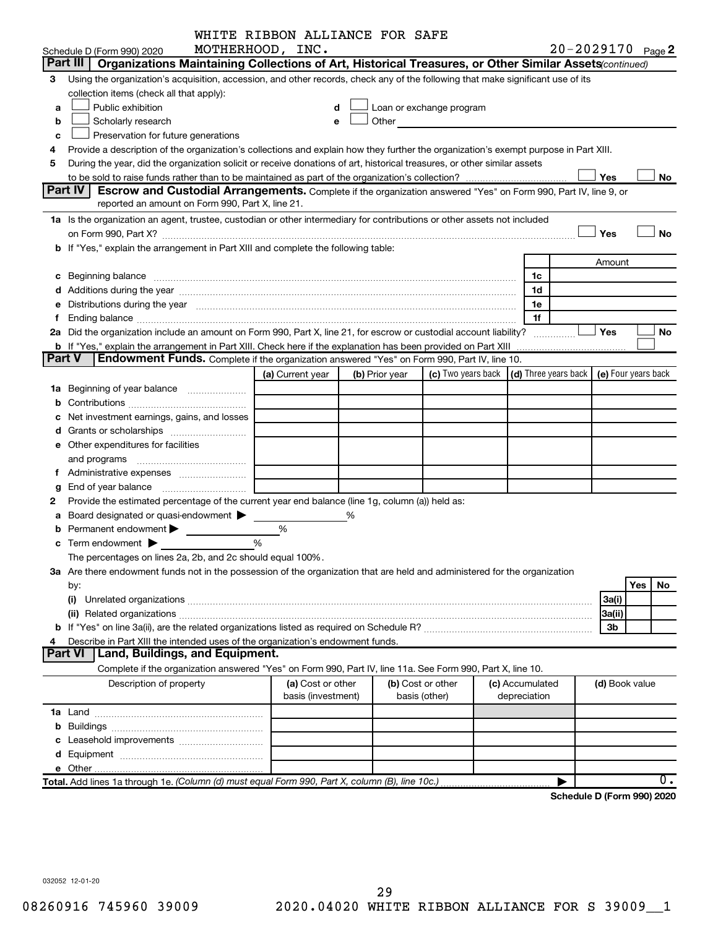|               |                                                                                                                                                                                                                                | WHITE RIBBON ALLIANCE FOR SAFE |   |                |                                                                                                                                                                                                                                |                 |                            |     |           |
|---------------|--------------------------------------------------------------------------------------------------------------------------------------------------------------------------------------------------------------------------------|--------------------------------|---|----------------|--------------------------------------------------------------------------------------------------------------------------------------------------------------------------------------------------------------------------------|-----------------|----------------------------|-----|-----------|
|               | Schedule D (Form 990) 2020                                                                                                                                                                                                     | MOTHERHOOD, INC.               |   |                |                                                                                                                                                                                                                                |                 | $20 - 2029170$ Page 2      |     |           |
|               | Part III  <br>Organizations Maintaining Collections of Art, Historical Treasures, or Other Similar Assets (continued)                                                                                                          |                                |   |                |                                                                                                                                                                                                                                |                 |                            |     |           |
| 3             | Using the organization's acquisition, accession, and other records, check any of the following that make significant use of its                                                                                                |                                |   |                |                                                                                                                                                                                                                                |                 |                            |     |           |
|               | collection items (check all that apply):                                                                                                                                                                                       |                                |   |                |                                                                                                                                                                                                                                |                 |                            |     |           |
| a             | Public exhibition                                                                                                                                                                                                              | d                              |   |                | Loan or exchange program                                                                                                                                                                                                       |                 |                            |     |           |
| b             | Scholarly research                                                                                                                                                                                                             | е                              |   |                | Other the contract of the contract of the contract of the contract of the contract of the contract of the contract of the contract of the contract of the contract of the contract of the contract of the contract of the cont |                 |                            |     |           |
| c             | Preservation for future generations                                                                                                                                                                                            |                                |   |                |                                                                                                                                                                                                                                |                 |                            |     |           |
| 4             | Provide a description of the organization's collections and explain how they further the organization's exempt purpose in Part XIII.                                                                                           |                                |   |                |                                                                                                                                                                                                                                |                 |                            |     |           |
| 5             | During the year, did the organization solicit or receive donations of art, historical treasures, or other similar assets                                                                                                       |                                |   |                |                                                                                                                                                                                                                                |                 |                            |     |           |
|               |                                                                                                                                                                                                                                |                                |   |                |                                                                                                                                                                                                                                |                 | Yes                        |     | No        |
|               | Part IV<br><b>Escrow and Custodial Arrangements.</b> Complete if the organization answered "Yes" on Form 990, Part IV, line 9, or                                                                                              |                                |   |                |                                                                                                                                                                                                                                |                 |                            |     |           |
|               | reported an amount on Form 990, Part X, line 21.                                                                                                                                                                               |                                |   |                |                                                                                                                                                                                                                                |                 |                            |     |           |
|               | 1a Is the organization an agent, trustee, custodian or other intermediary for contributions or other assets not included                                                                                                       |                                |   |                |                                                                                                                                                                                                                                |                 |                            |     |           |
|               |                                                                                                                                                                                                                                |                                |   |                |                                                                                                                                                                                                                                |                 | Yes                        |     | <b>No</b> |
|               | b If "Yes," explain the arrangement in Part XIII and complete the following table:                                                                                                                                             |                                |   |                |                                                                                                                                                                                                                                |                 |                            |     |           |
|               |                                                                                                                                                                                                                                |                                |   |                |                                                                                                                                                                                                                                |                 | Amount                     |     |           |
|               |                                                                                                                                                                                                                                |                                |   |                |                                                                                                                                                                                                                                | 1c              |                            |     |           |
|               |                                                                                                                                                                                                                                |                                |   |                |                                                                                                                                                                                                                                | 1d              |                            |     |           |
|               | e Distributions during the year manufactured and continuum control of the control of the control of the state of the state of the control of the control of the control of the control of the control of the control of the co |                                |   |                |                                                                                                                                                                                                                                | 1e              |                            |     |           |
| Ť.            |                                                                                                                                                                                                                                |                                |   |                |                                                                                                                                                                                                                                | 1f              |                            |     |           |
|               | 2a Did the organization include an amount on Form 990, Part X, line 21, for escrow or custodial account liability?                                                                                                             |                                |   |                |                                                                                                                                                                                                                                |                 | Yes                        |     | No        |
|               | <b>b</b> If "Yes," explain the arrangement in Part XIII. Check here if the explanation has been provided on Part XIII                                                                                                          |                                |   |                |                                                                                                                                                                                                                                |                 |                            |     |           |
| <b>Part V</b> | <b>Endowment Funds.</b> Complete if the organization answered "Yes" on Form 990, Part IV, line 10.                                                                                                                             |                                |   |                |                                                                                                                                                                                                                                |                 |                            |     |           |
|               |                                                                                                                                                                                                                                | (a) Current year               |   | (b) Prior year | (c) Two years back $\vert$ (d) Three years back $\vert$                                                                                                                                                                        |                 | (e) Four years back        |     |           |
|               | <b>1a</b> Beginning of year balance <i>manumumum</i>                                                                                                                                                                           |                                |   |                |                                                                                                                                                                                                                                |                 |                            |     |           |
|               |                                                                                                                                                                                                                                |                                |   |                |                                                                                                                                                                                                                                |                 |                            |     |           |
|               | c Net investment earnings, gains, and losses                                                                                                                                                                                   |                                |   |                |                                                                                                                                                                                                                                |                 |                            |     |           |
|               |                                                                                                                                                                                                                                |                                |   |                |                                                                                                                                                                                                                                |                 |                            |     |           |
|               | e Other expenditures for facilities                                                                                                                                                                                            |                                |   |                |                                                                                                                                                                                                                                |                 |                            |     |           |
|               |                                                                                                                                                                                                                                |                                |   |                |                                                                                                                                                                                                                                |                 |                            |     |           |
|               | f Administrative expenses                                                                                                                                                                                                      |                                |   |                |                                                                                                                                                                                                                                |                 |                            |     |           |
|               | <b>g</b> End of year balance $\ldots$                                                                                                                                                                                          |                                |   |                |                                                                                                                                                                                                                                |                 |                            |     |           |
| 2.            | Provide the estimated percentage of the current year end balance (line 1g, column (a)) held as:                                                                                                                                |                                |   |                |                                                                                                                                                                                                                                |                 |                            |     |           |
|               | a Board designated or quasi-endowment >                                                                                                                                                                                        |                                | % |                |                                                                                                                                                                                                                                |                 |                            |     |           |
|               | Permanent endowment >                                                                                                                                                                                                          | %                              |   |                |                                                                                                                                                                                                                                |                 |                            |     |           |
|               | <b>c</b> Term endowment $\blacktriangleright$                                                                                                                                                                                  | $\frac{0}{0}$                  |   |                |                                                                                                                                                                                                                                |                 |                            |     |           |
|               | The percentages on lines 2a, 2b, and 2c should equal 100%.                                                                                                                                                                     |                                |   |                |                                                                                                                                                                                                                                |                 |                            |     |           |
|               | 3a Are there endowment funds not in the possession of the organization that are held and administered for the organization                                                                                                     |                                |   |                |                                                                                                                                                                                                                                |                 |                            |     |           |
|               | by:                                                                                                                                                                                                                            |                                |   |                |                                                                                                                                                                                                                                |                 |                            | Yes | No        |
|               | (i)                                                                                                                                                                                                                            |                                |   |                |                                                                                                                                                                                                                                |                 | 3a(i)                      |     |           |
|               |                                                                                                                                                                                                                                |                                |   |                |                                                                                                                                                                                                                                |                 | 3a(ii)                     |     |           |
|               |                                                                                                                                                                                                                                |                                |   |                |                                                                                                                                                                                                                                |                 | 3b                         |     |           |
| 4             | Describe in Part XIII the intended uses of the organization's endowment funds.                                                                                                                                                 |                                |   |                |                                                                                                                                                                                                                                |                 |                            |     |           |
|               | Land, Buildings, and Equipment.<br><b>Part VI</b>                                                                                                                                                                              |                                |   |                |                                                                                                                                                                                                                                |                 |                            |     |           |
|               | Complete if the organization answered "Yes" on Form 990, Part IV, line 11a. See Form 990, Part X, line 10.                                                                                                                     |                                |   |                |                                                                                                                                                                                                                                |                 |                            |     |           |
|               | Description of property                                                                                                                                                                                                        | (a) Cost or other              |   |                | (b) Cost or other                                                                                                                                                                                                              | (c) Accumulated | (d) Book value             |     |           |
|               |                                                                                                                                                                                                                                | basis (investment)             |   |                | basis (other)                                                                                                                                                                                                                  | depreciation    |                            |     |           |
|               |                                                                                                                                                                                                                                |                                |   |                |                                                                                                                                                                                                                                |                 |                            |     |           |
|               |                                                                                                                                                                                                                                |                                |   |                |                                                                                                                                                                                                                                |                 |                            |     |           |
|               |                                                                                                                                                                                                                                |                                |   |                |                                                                                                                                                                                                                                |                 |                            |     |           |
|               |                                                                                                                                                                                                                                |                                |   |                |                                                                                                                                                                                                                                |                 |                            |     |           |
|               |                                                                                                                                                                                                                                |                                |   |                |                                                                                                                                                                                                                                |                 |                            |     |           |
|               | Total. Add lines 1a through 1e. (Column (d) must equal Form 990, Part X, column (B), line 10c.)                                                                                                                                |                                |   |                |                                                                                                                                                                                                                                |                 |                            |     | $0$ .     |
|               |                                                                                                                                                                                                                                |                                |   |                |                                                                                                                                                                                                                                |                 | Schedule D (Form 990) 2020 |     |           |
|               |                                                                                                                                                                                                                                |                                |   |                |                                                                                                                                                                                                                                |                 |                            |     |           |

032052 12-01-20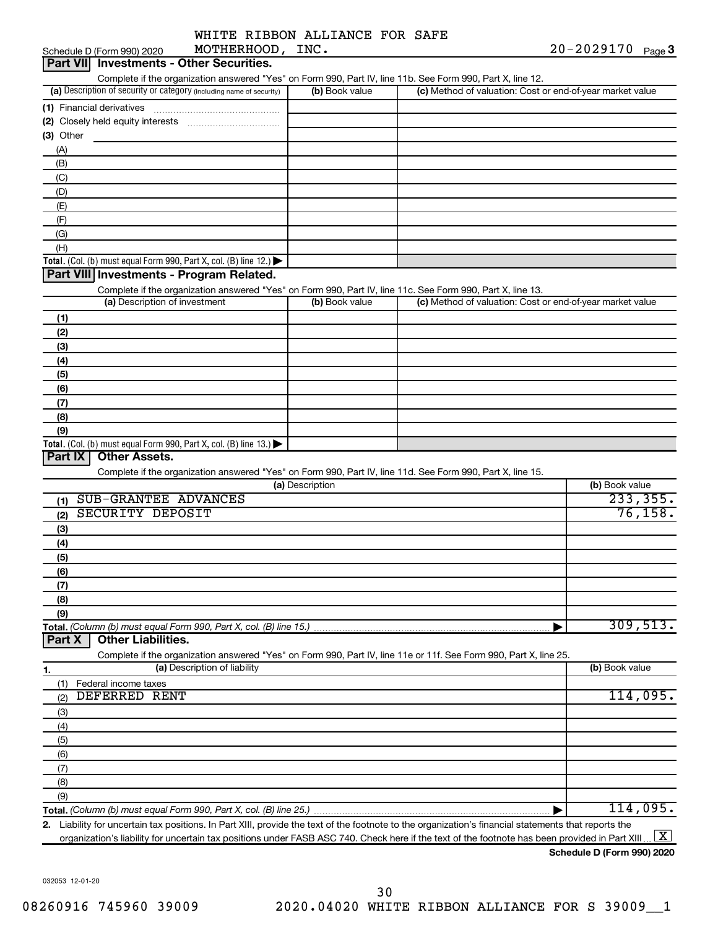|  | WHITE RIBBON ALLIANCE FOR SAFE |  |
|--|--------------------------------|--|
|  |                                |  |

|             | Schedule D (Form 990) 2020    | MOTHERHOOD, INC.                                                                       |                 |                                                                                                                                                      | $20 - 2029170$ Page 3 |
|-------------|-------------------------------|----------------------------------------------------------------------------------------|-----------------|------------------------------------------------------------------------------------------------------------------------------------------------------|-----------------------|
|             |                               | Part VII Investments - Other Securities.                                               |                 |                                                                                                                                                      |                       |
|             |                               |                                                                                        |                 | Complete if the organization answered "Yes" on Form 990, Part IV, line 11b. See Form 990, Part X, line 12.                                           |                       |
|             |                               | (a) Description of security or category (including name of security)                   | (b) Book value  | (c) Method of valuation: Cost or end-of-year market value                                                                                            |                       |
|             |                               |                                                                                        |                 |                                                                                                                                                      |                       |
|             |                               |                                                                                        |                 |                                                                                                                                                      |                       |
| $(3)$ Other |                               |                                                                                        |                 |                                                                                                                                                      |                       |
| (A)         |                               |                                                                                        |                 |                                                                                                                                                      |                       |
| (B)         |                               |                                                                                        |                 |                                                                                                                                                      |                       |
| (C)         |                               |                                                                                        |                 |                                                                                                                                                      |                       |
|             |                               |                                                                                        |                 |                                                                                                                                                      |                       |
| (D)         |                               |                                                                                        |                 |                                                                                                                                                      |                       |
| (E)         |                               |                                                                                        |                 |                                                                                                                                                      |                       |
| (F)         |                               |                                                                                        |                 |                                                                                                                                                      |                       |
| (G)         |                               |                                                                                        |                 |                                                                                                                                                      |                       |
| (H)         |                               |                                                                                        |                 |                                                                                                                                                      |                       |
|             |                               | Total. (Col. (b) must equal Form 990, Part X, col. (B) line 12.)                       |                 |                                                                                                                                                      |                       |
|             |                               | Part VIII Investments - Program Related.                                               |                 |                                                                                                                                                      |                       |
|             |                               |                                                                                        |                 | Complete if the organization answered "Yes" on Form 990, Part IV, line 11c. See Form 990, Part X, line 13.                                           |                       |
|             | (a) Description of investment |                                                                                        | (b) Book value  | (c) Method of valuation: Cost or end-of-year market value                                                                                            |                       |
| (1)         |                               |                                                                                        |                 |                                                                                                                                                      |                       |
| (2)         |                               |                                                                                        |                 |                                                                                                                                                      |                       |
| (3)         |                               |                                                                                        |                 |                                                                                                                                                      |                       |
| (4)         |                               |                                                                                        |                 |                                                                                                                                                      |                       |
| (5)         |                               |                                                                                        |                 |                                                                                                                                                      |                       |
| (6)         |                               |                                                                                        |                 |                                                                                                                                                      |                       |
| (7)         |                               |                                                                                        |                 |                                                                                                                                                      |                       |
| (8)         |                               |                                                                                        |                 |                                                                                                                                                      |                       |
| (9)         |                               |                                                                                        |                 |                                                                                                                                                      |                       |
|             |                               | Total. (Col. (b) must equal Form 990, Part X, col. (B) line 13.) $\blacktriangleright$ |                 |                                                                                                                                                      |                       |
| Part IX     | <b>Other Assets.</b>          |                                                                                        |                 |                                                                                                                                                      |                       |
|             |                               |                                                                                        |                 |                                                                                                                                                      |                       |
|             |                               |                                                                                        | (a) Description | Complete if the organization answered "Yes" on Form 990, Part IV, line 11d. See Form 990, Part X, line 15.                                           | (b) Book value        |
|             | SUB-GRANTEE ADVANCES          |                                                                                        |                 |                                                                                                                                                      | 233, 355.             |
| (1)         | <b>SECURITY DEPOSIT</b>       |                                                                                        |                 |                                                                                                                                                      | 76, 158.              |
| (2)         |                               |                                                                                        |                 |                                                                                                                                                      |                       |
| (3)         |                               |                                                                                        |                 |                                                                                                                                                      |                       |
| (4)         |                               |                                                                                        |                 |                                                                                                                                                      |                       |
| (5)         |                               |                                                                                        |                 |                                                                                                                                                      |                       |
| (6)         |                               |                                                                                        |                 |                                                                                                                                                      |                       |
| (7)         |                               |                                                                                        |                 |                                                                                                                                                      |                       |
| (8)         |                               |                                                                                        |                 |                                                                                                                                                      |                       |
| (9)         |                               |                                                                                        |                 |                                                                                                                                                      |                       |
|             |                               | Total. (Column (b) must equal Form 990, Part X, col. (B) line 15.)                     |                 |                                                                                                                                                      | 309,513.              |
| Part X      | <b>Other Liabilities.</b>     |                                                                                        |                 |                                                                                                                                                      |                       |
|             |                               |                                                                                        |                 | Complete if the organization answered "Yes" on Form 990, Part IV, line 11e or 11f. See Form 990, Part X, line 25.                                    |                       |
| 1.          |                               | (a) Description of liability                                                           |                 |                                                                                                                                                      | (b) Book value        |
| (1)         | Federal income taxes          |                                                                                        |                 |                                                                                                                                                      |                       |
| (2)         | <b>DEFERRED RENT</b>          |                                                                                        |                 |                                                                                                                                                      | 114,095.              |
|             |                               |                                                                                        |                 |                                                                                                                                                      |                       |
| (3)         |                               |                                                                                        |                 |                                                                                                                                                      |                       |
| (4)         |                               |                                                                                        |                 |                                                                                                                                                      |                       |
| (5)         |                               |                                                                                        |                 |                                                                                                                                                      |                       |
| (6)         |                               |                                                                                        |                 |                                                                                                                                                      |                       |
| (7)         |                               |                                                                                        |                 |                                                                                                                                                      |                       |
| (8)         |                               |                                                                                        |                 |                                                                                                                                                      |                       |
| (9)         |                               |                                                                                        |                 |                                                                                                                                                      |                       |
|             |                               |                                                                                        |                 |                                                                                                                                                      | 114,095.              |
|             |                               |                                                                                        |                 | 2. Liability for uncertain tax positions. In Part XIII, provide the text of the footnote to the organization's financial statements that reports the |                       |
|             |                               |                                                                                        |                 | organization's liability for uncertain tax positions under FASB ASC 740. Check here if the text of the footnote has been provided in Part XIII       | $\lfloor x \rfloor$   |

**Schedule D (Form 990) 2020**

032053 12-01-20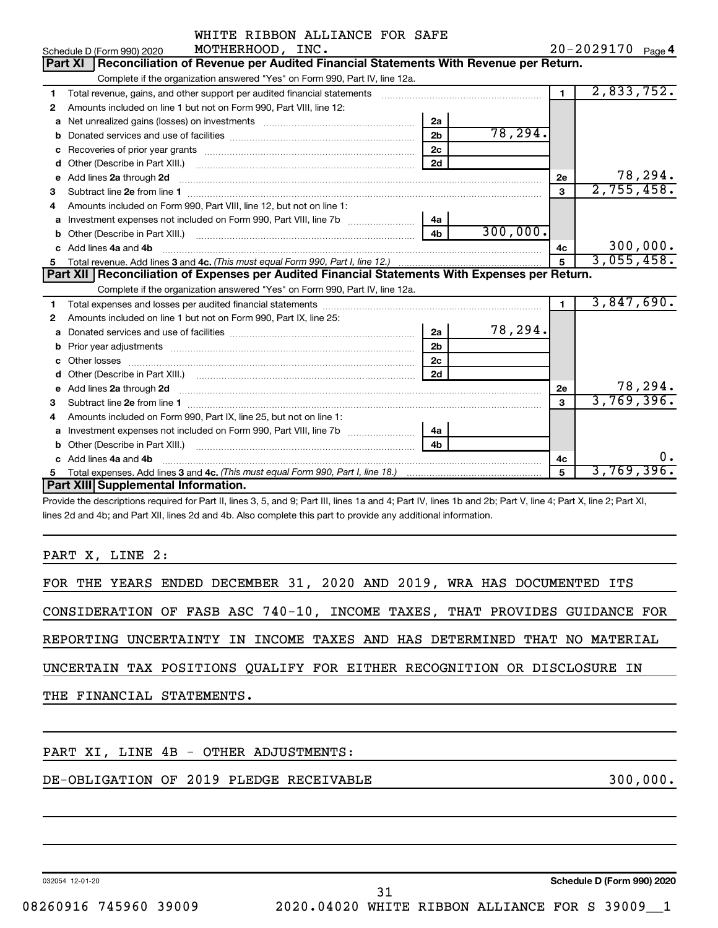|    | WAIIL RIDDUN ALLIANCE FUR SAFE                                                                                                                                                                                                      |                |          |                |                   |
|----|-------------------------------------------------------------------------------------------------------------------------------------------------------------------------------------------------------------------------------------|----------------|----------|----------------|-------------------|
|    | MOTHERHOOD, INC.<br>Schedule D (Form 990) 2020<br>Reconciliation of Revenue per Audited Financial Statements With Revenue per Return.                                                                                               |                |          |                | 20-2029170 Page 4 |
|    | <b>Part XI</b>                                                                                                                                                                                                                      |                |          |                |                   |
|    | Complete if the organization answered "Yes" on Form 990, Part IV, line 12a.                                                                                                                                                         |                |          |                |                   |
| 1  |                                                                                                                                                                                                                                     |                |          | $\blacksquare$ | 2,833,752.        |
| 2  | Amounts included on line 1 but not on Form 990, Part VIII, line 12:                                                                                                                                                                 |                |          |                |                   |
| a  | Net unrealized gains (losses) on investments [11] [11] Net unrealized gains (losses) on investments [11] [12]                                                                                                                       | 2a             |          |                |                   |
| b  |                                                                                                                                                                                                                                     | 2 <sub>b</sub> | 78, 294. |                |                   |
| с  |                                                                                                                                                                                                                                     | 2 <sub>c</sub> |          |                |                   |
| d  |                                                                                                                                                                                                                                     | 2d             |          |                |                   |
| е  | Add lines 2a through 2d                                                                                                                                                                                                             |                |          | 2е             | 78,294.           |
| з  | Subtract line 2e from line 1 <b>Manual Community of the Community of the Community Community</b> Subtract line 2e from line 1                                                                                                       |                |          | $\mathbf{3}$   | 2,755,458.        |
| 4  | Amounts included on Form 990, Part VIII, line 12, but not on line 1:                                                                                                                                                                |                |          |                |                   |
| a  | Investment expenses not included on Form 990, Part VIII, line 7b                                                                                                                                                                    | 4a             |          |                |                   |
| b  |                                                                                                                                                                                                                                     | 4 <sub>b</sub> | 300,000. |                |                   |
| c  | Add lines 4a and 4b                                                                                                                                                                                                                 |                |          | 4c             | 300,000.          |
| 5. |                                                                                                                                                                                                                                     |                |          |                | 3,055,458.        |
|    | Part XII   Reconciliation of Expenses per Audited Financial Statements With Expenses per Return.                                                                                                                                    |                |          |                |                   |
|    | Complete if the organization answered "Yes" on Form 990, Part IV, line 12a.                                                                                                                                                         |                |          |                |                   |
| 1  |                                                                                                                                                                                                                                     |                |          | $\blacksquare$ | 3,847,690.        |
| 2  | Amounts included on line 1 but not on Form 990, Part IX, line 25:                                                                                                                                                                   |                |          |                |                   |
| a  |                                                                                                                                                                                                                                     | 2a             | 78,294.  |                |                   |
| b  |                                                                                                                                                                                                                                     | 2 <sub>b</sub> |          |                |                   |
| c  |                                                                                                                                                                                                                                     | 2 <sub>c</sub> |          |                |                   |
| d  |                                                                                                                                                                                                                                     | 2d             |          |                |                   |
| е  | Add lines 2a through 2d <b>manufactures</b> and the contract of the contract of the contract of the contract of the contract of the contract of the contract of the contract of the contract of the contract of the contract of the |                |          | 2e             | 78,294.           |
| з  |                                                                                                                                                                                                                                     |                |          | $\mathbf{a}$   | 3,769,396.        |
| 4  | Amounts included on Form 990, Part IX, line 25, but not on line 1:                                                                                                                                                                  |                |          |                |                   |
| a  | Investment expenses not included on Form 990, Part VIII, line 7b                                                                                                                                                                    | 4a             |          |                |                   |
|    | Other (Describe in Part XIII.) [100] [100] [100] [100] [100] [100] [100] [100] [100] [100] [100] [100] [100] [                                                                                                                      | 4 <sub>h</sub> |          |                |                   |
|    | Add lines 4a and 4b                                                                                                                                                                                                                 |                |          | 4c             | 0.                |
| 5. | Total expenses. Add lines 3 and 4c. (This must equal Form 990, Part I, line 18.) <i>manumeronominal</i> manumeronominal                                                                                                             |                |          |                | 3,769,396.        |
|    | Part XIII Supplemental Information.                                                                                                                                                                                                 |                |          |                |                   |
|    |                                                                                                                                                                                                                                     |                |          |                |                   |

WHITE RIBBON ALLIANCE ROD CARE

Provide the descriptions required for Part II, lines 3, 5, and 9; Part III, lines 1a and 4; Part IV, lines 1b and 2b; Part V, line 4; Part X, line 2; Part XI, lines 2d and 4b; and Part XII, lines 2d and 4b. Also complete this part to provide any additional information.

PART X, LINE 2:

|  |                           |  |  |  | FOR THE YEARS ENDED DECEMBER 31, 2020 AND 2019, WRA HAS DOCUMENTED ITS     |  |  |  |
|--|---------------------------|--|--|--|----------------------------------------------------------------------------|--|--|--|
|  |                           |  |  |  | CONSIDERATION OF FASB ASC 740-10, INCOME TAXES, THAT PROVIDES GUIDANCE FOR |  |  |  |
|  |                           |  |  |  | REPORTING UNCERTAINTY IN INCOME TAXES AND HAS DETERMINED THAT NO MATERIAL  |  |  |  |
|  |                           |  |  |  | UNCERTAIN TAX POSITIONS OUALIFY FOR EITHER RECOGNITION OR DISCLOSURE IN    |  |  |  |
|  | THE FINANCIAL STATEMENTS. |  |  |  |                                                                            |  |  |  |
|  |                           |  |  |  |                                                                            |  |  |  |

PART XI, LINE 4B - OTHER ADJUSTMENTS:

## DE-OBLIGATION OF 2019 PLEDGE RECEIVABLE **1990** 1000.

032054 12-01-20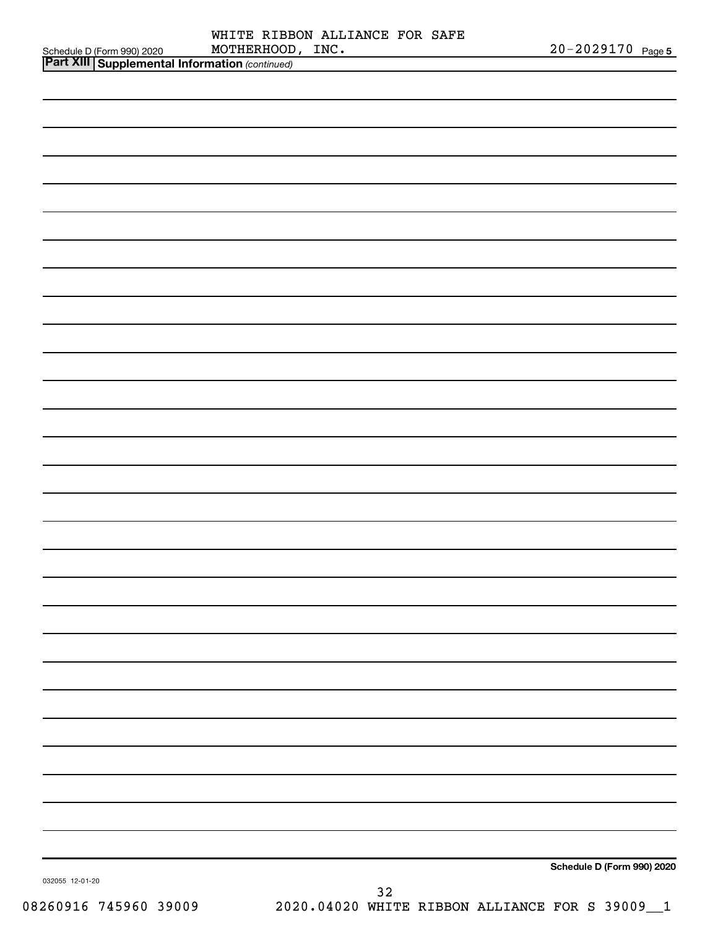|                 |                                                                                                | MOTHERHOOD, INC. |  | 20-2029170 Page 5          |
|-----------------|------------------------------------------------------------------------------------------------|------------------|--|----------------------------|
|                 | Schedule D (Form 990) 2020 MOTHERHOOD<br><b>Part XIII Supplemental Information</b> (continued) |                  |  |                            |
|                 |                                                                                                |                  |  |                            |
|                 |                                                                                                |                  |  |                            |
|                 |                                                                                                |                  |  |                            |
|                 |                                                                                                |                  |  |                            |
|                 |                                                                                                |                  |  |                            |
|                 |                                                                                                |                  |  |                            |
|                 |                                                                                                |                  |  |                            |
|                 |                                                                                                |                  |  |                            |
|                 |                                                                                                |                  |  |                            |
|                 |                                                                                                |                  |  |                            |
|                 |                                                                                                |                  |  |                            |
|                 |                                                                                                |                  |  |                            |
|                 |                                                                                                |                  |  |                            |
|                 |                                                                                                |                  |  |                            |
|                 |                                                                                                |                  |  |                            |
|                 |                                                                                                |                  |  |                            |
|                 |                                                                                                |                  |  |                            |
|                 |                                                                                                |                  |  |                            |
|                 |                                                                                                |                  |  |                            |
|                 |                                                                                                |                  |  |                            |
|                 |                                                                                                |                  |  |                            |
|                 |                                                                                                |                  |  |                            |
|                 |                                                                                                |                  |  |                            |
|                 |                                                                                                |                  |  |                            |
|                 |                                                                                                |                  |  |                            |
|                 |                                                                                                |                  |  |                            |
|                 |                                                                                                |                  |  |                            |
|                 |                                                                                                |                  |  |                            |
|                 |                                                                                                |                  |  |                            |
|                 |                                                                                                |                  |  |                            |
|                 |                                                                                                |                  |  |                            |
|                 |                                                                                                |                  |  |                            |
|                 |                                                                                                |                  |  |                            |
|                 |                                                                                                |                  |  |                            |
|                 |                                                                                                |                  |  |                            |
|                 |                                                                                                |                  |  |                            |
|                 |                                                                                                |                  |  |                            |
|                 |                                                                                                |                  |  |                            |
|                 |                                                                                                |                  |  |                            |
|                 |                                                                                                |                  |  |                            |
|                 |                                                                                                |                  |  |                            |
|                 |                                                                                                |                  |  |                            |
|                 |                                                                                                |                  |  |                            |
|                 |                                                                                                |                  |  |                            |
|                 |                                                                                                |                  |  |                            |
|                 |                                                                                                |                  |  |                            |
|                 |                                                                                                |                  |  |                            |
|                 |                                                                                                |                  |  | Schedule D (Form 990) 2020 |
| 032055 12-01-20 |                                                                                                |                  |  |                            |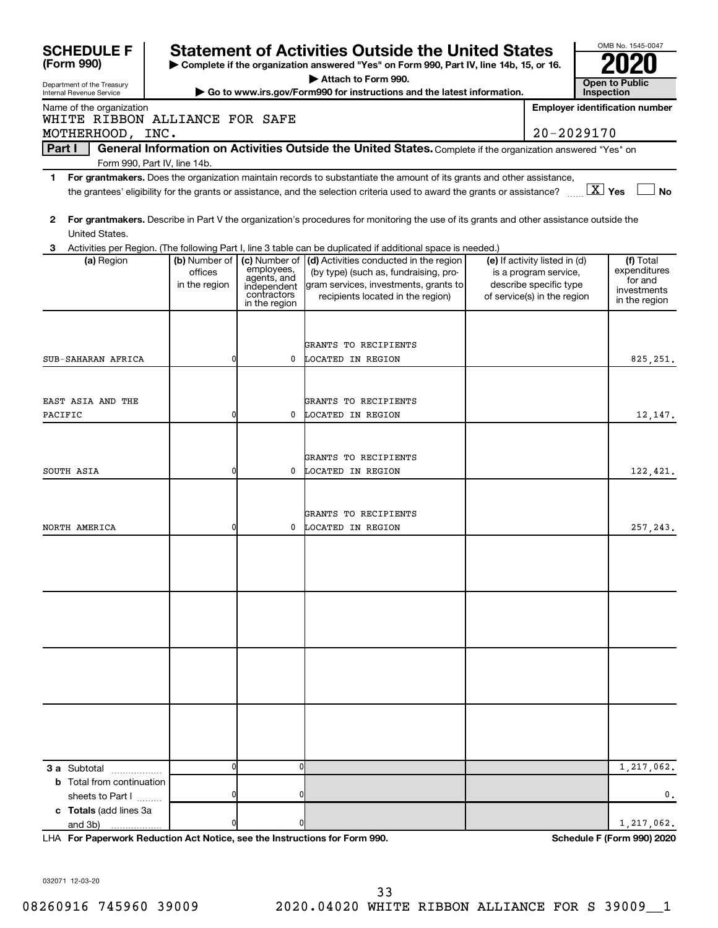| <b>SCHEDULE F</b>                                          |                          |                            | <b>Statement of Activities Outside the United States</b>                                                                                                                                                                                             |                                                 |                        | OMB No. 1545-0047                     |
|------------------------------------------------------------|--------------------------|----------------------------|------------------------------------------------------------------------------------------------------------------------------------------------------------------------------------------------------------------------------------------------------|-------------------------------------------------|------------------------|---------------------------------------|
| (Form 990)                                                 |                          |                            | Complete if the organization answered "Yes" on Form 990, Part IV, line 14b, 15, or 16.                                                                                                                                                               |                                                 |                        |                                       |
| Department of the Treasury                                 |                          |                            | Attach to Form 990.                                                                                                                                                                                                                                  |                                                 | <b>Open to Public</b>  |                                       |
| Internal Revenue Service                                   |                          |                            | Go to www.irs.gov/Form990 for instructions and the latest information.                                                                                                                                                                               |                                                 | Inspection             |                                       |
| Name of the organization<br>WHITE RIBBON ALLIANCE FOR SAFE |                          |                            |                                                                                                                                                                                                                                                      |                                                 |                        | <b>Employer identification number</b> |
| MOTHERHOOD, INC.                                           |                          |                            |                                                                                                                                                                                                                                                      | 20-2029170                                      |                        |                                       |
| Part I                                                     |                          |                            | General Information on Activities Outside the United States. Complete if the organization answered "Yes" on                                                                                                                                          |                                                 |                        |                                       |
| Form 990, Part IV, line 14b.                               |                          |                            |                                                                                                                                                                                                                                                      |                                                 |                        |                                       |
| 1.                                                         |                          |                            | For grantmakers. Does the organization maintain records to substantiate the amount of its grants and other assistance,<br>the grantees' eligibility for the grants or assistance, and the selection criteria used to award the grants or assistance? |                                                 | $\boxed{\text{X}}$ Yes | <b>No</b>                             |
| 2<br>United States.                                        |                          |                            | For grantmakers. Describe in Part V the organization's procedures for monitoring the use of its grants and other assistance outside the                                                                                                              |                                                 |                        |                                       |
| З.                                                         |                          |                            | Activities per Region. (The following Part I, line 3 table can be duplicated if additional space is needed.)                                                                                                                                         |                                                 |                        |                                       |
| (a) Region                                                 | (b) Number of            | employees,                 | (c) Number of (d) Activities conducted in the region                                                                                                                                                                                                 | (e) If activity listed in (d)                   |                        | (f) Total                             |
|                                                            | offices<br>in the region | agents, and                | (by type) (such as, fundraising, pro-<br>gram services, investments, grants to                                                                                                                                                                       | is a program service,<br>describe specific type |                        | expenditures<br>for and               |
|                                                            |                          | independent<br>contractors | recipients located in the region)                                                                                                                                                                                                                    | of service(s) in the region                     |                        | investments<br>in the region          |
|                                                            |                          | in the region              |                                                                                                                                                                                                                                                      |                                                 |                        |                                       |
|                                                            |                          |                            |                                                                                                                                                                                                                                                      |                                                 |                        |                                       |
|                                                            |                          |                            | GRANTS TO RECIPIENTS                                                                                                                                                                                                                                 |                                                 |                        |                                       |
| SUB-SAHARAN AFRICA                                         | $\overline{0}$           | 0                          | LOCATED IN REGION                                                                                                                                                                                                                                    |                                                 |                        | 825, 251.                             |
|                                                            |                          |                            |                                                                                                                                                                                                                                                      |                                                 |                        |                                       |
|                                                            |                          |                            |                                                                                                                                                                                                                                                      |                                                 |                        |                                       |
| EAST ASIA AND THE                                          |                          |                            | GRANTS TO RECIPIENTS                                                                                                                                                                                                                                 |                                                 |                        |                                       |
| PACIFIC                                                    | $\overline{0}$           | 0                          | LOCATED IN REGION                                                                                                                                                                                                                                    |                                                 |                        | 12,147.                               |
|                                                            |                          |                            |                                                                                                                                                                                                                                                      |                                                 |                        |                                       |
|                                                            |                          |                            | GRANTS TO RECIPIENTS                                                                                                                                                                                                                                 |                                                 |                        |                                       |
| SOUTH ASIA                                                 | $\overline{0}$           | 0                          | LOCATED IN REGION                                                                                                                                                                                                                                    |                                                 |                        | 122,421.                              |
|                                                            |                          |                            |                                                                                                                                                                                                                                                      |                                                 |                        |                                       |
|                                                            |                          |                            |                                                                                                                                                                                                                                                      |                                                 |                        |                                       |
|                                                            |                          |                            | GRANTS TO RECIPIENTS                                                                                                                                                                                                                                 |                                                 |                        |                                       |
| NORTH AMERICA                                              | $\overline{0}$           | 0                          | LOCATED IN REGION                                                                                                                                                                                                                                    |                                                 |                        | 257, 243.                             |
|                                                            |                          |                            |                                                                                                                                                                                                                                                      |                                                 |                        |                                       |
|                                                            |                          |                            |                                                                                                                                                                                                                                                      |                                                 |                        |                                       |
|                                                            |                          |                            |                                                                                                                                                                                                                                                      |                                                 |                        |                                       |
|                                                            |                          |                            |                                                                                                                                                                                                                                                      |                                                 |                        |                                       |
|                                                            |                          |                            |                                                                                                                                                                                                                                                      |                                                 |                        |                                       |
|                                                            |                          |                            |                                                                                                                                                                                                                                                      |                                                 |                        |                                       |
|                                                            |                          |                            |                                                                                                                                                                                                                                                      |                                                 |                        |                                       |
|                                                            |                          |                            |                                                                                                                                                                                                                                                      |                                                 |                        |                                       |
|                                                            |                          |                            |                                                                                                                                                                                                                                                      |                                                 |                        |                                       |
|                                                            |                          |                            |                                                                                                                                                                                                                                                      |                                                 |                        |                                       |
|                                                            |                          |                            |                                                                                                                                                                                                                                                      |                                                 |                        |                                       |
|                                                            |                          |                            |                                                                                                                                                                                                                                                      |                                                 |                        |                                       |
|                                                            |                          |                            |                                                                                                                                                                                                                                                      |                                                 |                        |                                       |
|                                                            |                          |                            |                                                                                                                                                                                                                                                      |                                                 |                        |                                       |
| 3 a Subtotal                                               | $\Omega$                 | $\Omega$                   |                                                                                                                                                                                                                                                      |                                                 |                        | 1,217,062.                            |
| <b>b</b> Total from continuation                           |                          |                            |                                                                                                                                                                                                                                                      |                                                 |                        |                                       |
| sheets to Part I<br>c Totals (add lines 3a                 |                          |                            |                                                                                                                                                                                                                                                      |                                                 |                        | 0.                                    |
| and 3b)<br>.                                               |                          |                            |                                                                                                                                                                                                                                                      |                                                 |                        | 1,217,062.                            |
|                                                            |                          |                            |                                                                                                                                                                                                                                                      |                                                 |                        |                                       |

**For Paperwork Reduction Act Notice, see the Instructions for Form 990. Schedule F (Form 990) 2020** LHA

032071 12-03-20

08260916 745960 39009 2020.04020 WHITE RIBBON ALLIANCE FOR S 39009\_1 33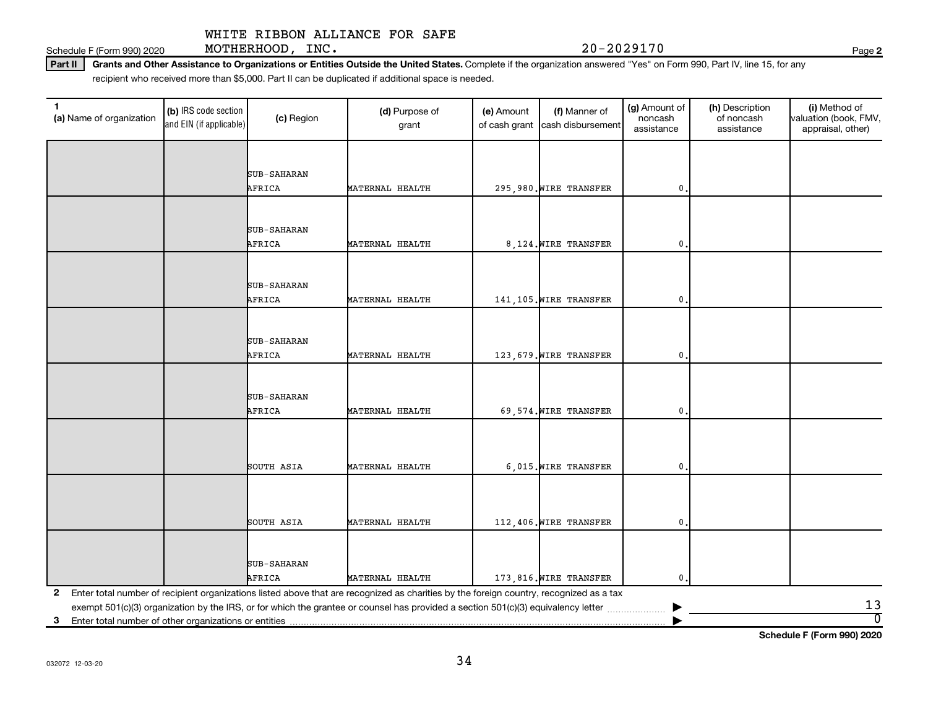Schedule F (Form 990) 2020  $MOTHERHOOD$ ,  $INC.$   $20-2029170$ 

Part II | Grants and Other Assistance to Organizations or Entities Outside the United States. Complete if the organization answered "Yes" on Form 990, Part IV, line 15, for any recipient who received more than \$5,000. Part II can be duplicated if additional space is needed.

| $\mathbf{1}$<br>(a) Name of organization                   | (b) IRS code section<br>and EIN (if applicable) | (c) Region            | (d) Purpose of<br>grant                                                                                                                                                                                                                                                      | (e) Amount<br>of cash grant | (f) Manner of<br>cash disbursement | (g) Amount of<br>noncash<br>assistance | (h) Description<br>of noncash<br>assistance | (i) Method of<br>valuation (book, FMV,<br>appraisal, other) |
|------------------------------------------------------------|-------------------------------------------------|-----------------------|------------------------------------------------------------------------------------------------------------------------------------------------------------------------------------------------------------------------------------------------------------------------------|-----------------------------|------------------------------------|----------------------------------------|---------------------------------------------|-------------------------------------------------------------|
|                                                            |                                                 |                       |                                                                                                                                                                                                                                                                              |                             |                                    |                                        |                                             |                                                             |
|                                                            |                                                 | <b>SUB-SAHARAN</b>    |                                                                                                                                                                                                                                                                              |                             |                                    |                                        |                                             |                                                             |
|                                                            |                                                 | AFRICA                | MATERNAL HEALTH                                                                                                                                                                                                                                                              |                             | 295,980. WIRE TRANSFER             | $\mathbf{0}$                           |                                             |                                                             |
|                                                            |                                                 |                       |                                                                                                                                                                                                                                                                              |                             |                                    |                                        |                                             |                                                             |
|                                                            |                                                 |                       |                                                                                                                                                                                                                                                                              |                             |                                    |                                        |                                             |                                                             |
|                                                            |                                                 | SUB-SAHARAN<br>AFRICA | MATERNAL HEALTH                                                                                                                                                                                                                                                              |                             | 8,124. WIRE TRANSFER               | $\mathbf{0}$                           |                                             |                                                             |
|                                                            |                                                 |                       |                                                                                                                                                                                                                                                                              |                             |                                    |                                        |                                             |                                                             |
|                                                            |                                                 |                       |                                                                                                                                                                                                                                                                              |                             |                                    |                                        |                                             |                                                             |
|                                                            |                                                 | SUB-SAHARAN           |                                                                                                                                                                                                                                                                              |                             |                                    |                                        |                                             |                                                             |
|                                                            |                                                 | AFRICA                | MATERNAL HEALTH                                                                                                                                                                                                                                                              |                             | 141,105. WIRE TRANSFER             | $\mathbf{0}$                           |                                             |                                                             |
|                                                            |                                                 |                       |                                                                                                                                                                                                                                                                              |                             |                                    |                                        |                                             |                                                             |
|                                                            |                                                 | SUB-SAHARAN           |                                                                                                                                                                                                                                                                              |                             |                                    |                                        |                                             |                                                             |
|                                                            |                                                 | AFRICA                | MATERNAL HEALTH                                                                                                                                                                                                                                                              |                             | 123,679. WIRE TRANSFER             | $\mathbf{0}$                           |                                             |                                                             |
|                                                            |                                                 |                       |                                                                                                                                                                                                                                                                              |                             |                                    |                                        |                                             |                                                             |
|                                                            |                                                 |                       |                                                                                                                                                                                                                                                                              |                             |                                    |                                        |                                             |                                                             |
|                                                            |                                                 | SUB-SAHARAN           |                                                                                                                                                                                                                                                                              |                             |                                    |                                        |                                             |                                                             |
|                                                            |                                                 | AFRICA                | MATERNAL HEALTH                                                                                                                                                                                                                                                              |                             | 69,574. WIRE TRANSFER              | $\mathbf{0}$                           |                                             |                                                             |
|                                                            |                                                 |                       |                                                                                                                                                                                                                                                                              |                             |                                    |                                        |                                             |                                                             |
|                                                            |                                                 |                       |                                                                                                                                                                                                                                                                              |                             |                                    |                                        |                                             |                                                             |
|                                                            |                                                 | SOUTH ASIA            | MATERNAL HEALTH                                                                                                                                                                                                                                                              |                             | 6,015. WIRE TRANSFER               | $\mathbf{0}$                           |                                             |                                                             |
|                                                            |                                                 |                       |                                                                                                                                                                                                                                                                              |                             |                                    |                                        |                                             |                                                             |
|                                                            |                                                 |                       |                                                                                                                                                                                                                                                                              |                             |                                    |                                        |                                             |                                                             |
|                                                            |                                                 | SOUTH ASIA            | MATERNAL HEALTH                                                                                                                                                                                                                                                              |                             | 112,406. WIRE TRANSFER             | $\mathbf{0}$                           |                                             |                                                             |
|                                                            |                                                 |                       |                                                                                                                                                                                                                                                                              |                             |                                    |                                        |                                             |                                                             |
|                                                            |                                                 |                       |                                                                                                                                                                                                                                                                              |                             |                                    |                                        |                                             |                                                             |
|                                                            |                                                 | SUB-SAHARAN           |                                                                                                                                                                                                                                                                              |                             |                                    |                                        |                                             |                                                             |
|                                                            |                                                 | AFRICA                | MATERNAL HEALTH                                                                                                                                                                                                                                                              |                             | 173,816. WIRE TRANSFER             | $\mathbf{0}$                           |                                             |                                                             |
| 2                                                          |                                                 |                       | Enter total number of recipient organizations listed above that are recognized as charities by the foreign country, recognized as a tax<br>exempt 501(c)(3) organization by the IRS, or for which the grantee or counsel has provided a section 501(c)(3) equivalency letter |                             |                                    |                                        |                                             | 13                                                          |
| Enter total number of other organizations or entities<br>3 |                                                 |                       |                                                                                                                                                                                                                                                                              |                             |                                    |                                        |                                             | $\overline{0}$                                              |

**Schedule F (Form 990) 2020**

**2**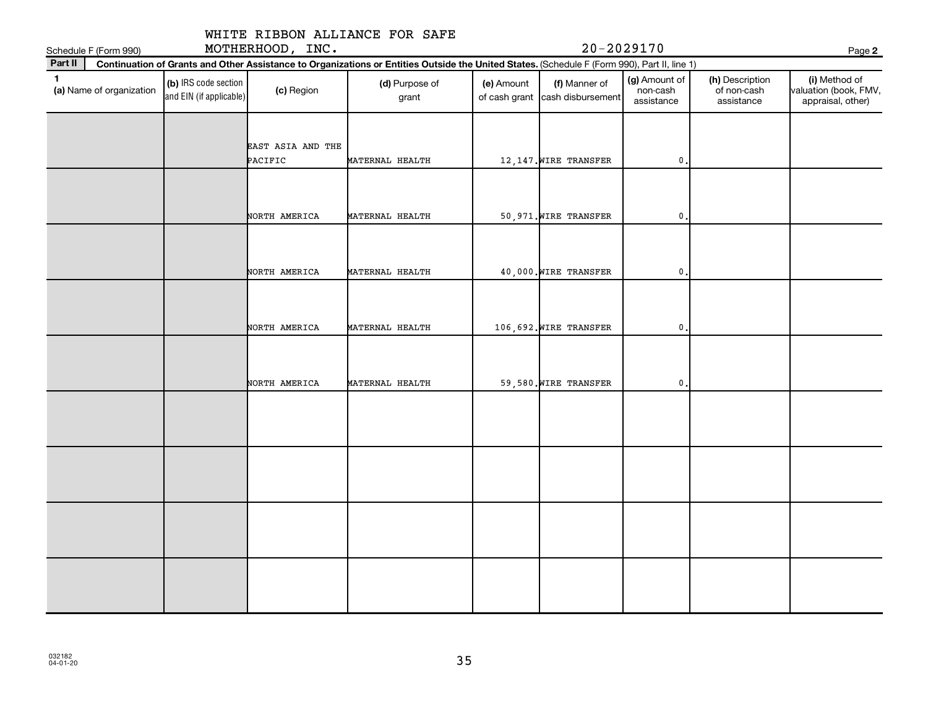|  | WHITE RIBBON ALLIANCE FOR SAFE |  |
|--|--------------------------------|--|
|  |                                |  |

| Schedule F (Form 990) |  |
|-----------------------|--|

| Schedule F (Form 990)                    |                                                 | MOTHERHOOD, INC.             |                                                                                                                                              |            | 20-2029170                                       |                                         |                                              | Page 2                                                      |
|------------------------------------------|-------------------------------------------------|------------------------------|----------------------------------------------------------------------------------------------------------------------------------------------|------------|--------------------------------------------------|-----------------------------------------|----------------------------------------------|-------------------------------------------------------------|
| Part II                                  |                                                 |                              | Continuation of Grants and Other Assistance to Organizations or Entities Outside the United States. (Schedule F (Form 990), Part II, line 1) |            |                                                  |                                         |                                              |                                                             |
| $\mathbf{1}$<br>(a) Name of organization | (b) IRS code section<br>and EIN (if applicable) | (c) Region                   | (d) Purpose of<br>grant                                                                                                                      | (e) Amount | (f) Manner of<br>of cash grant cash disbursement | (g) Amount of<br>non-cash<br>assistance | (h) Description<br>of non-cash<br>assistance | (i) Method of<br>valuation (book, FMV,<br>appraisal, other) |
|                                          |                                                 | EAST ASIA AND THE<br>PACIFIC | MATERNAL HEALTH                                                                                                                              |            | 12,147. WIRE TRANSFER                            | 0                                       |                                              |                                                             |
|                                          |                                                 | NORTH AMERICA                | MATERNAL HEALTH                                                                                                                              |            | 50,971. WIRE TRANSFER                            | $\mathbf 0$                             |                                              |                                                             |
|                                          |                                                 | NORTH AMERICA                | MATERNAL HEALTH                                                                                                                              |            | 40,000. WIRE TRANSFER                            | 0                                       |                                              |                                                             |
|                                          |                                                 | NORTH AMERICA                | MATERNAL HEALTH                                                                                                                              |            | 106,692. WIRE TRANSFER                           | 0                                       |                                              |                                                             |
|                                          |                                                 | NORTH AMERICA                | MATERNAL HEALTH                                                                                                                              |            | 59,580. WIRE TRANSFER                            | 0                                       |                                              |                                                             |
|                                          |                                                 |                              |                                                                                                                                              |            |                                                  |                                         |                                              |                                                             |
|                                          |                                                 |                              |                                                                                                                                              |            |                                                  |                                         |                                              |                                                             |
|                                          |                                                 |                              |                                                                                                                                              |            |                                                  |                                         |                                              |                                                             |
|                                          |                                                 |                              |                                                                                                                                              |            |                                                  |                                         |                                              |                                                             |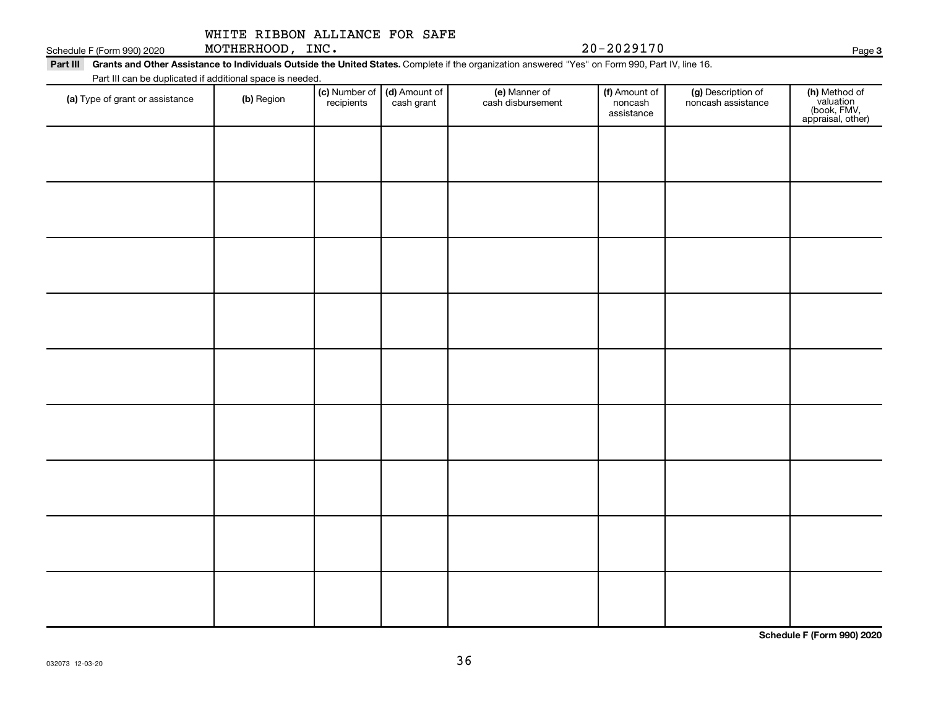#### 032073 12-03-20

## WHITE RIBBON ALLIANCE FOR SAFE

Schedule F (Form 990) 2020  $MOTHERHOOD$ ,  $INC.$   $20-2029170$ 

Part III Grants and Other Assistance to Individuals Outside the United States. Complete if the organization answered "Yes" on Form 990, Part IV, line 16. Part III can be duplicated if additional space is needed.

| (a) Type of grant or assistance | (b) Region | (c) Number of (d) Amount of recipients cash grant | (e) Manner of<br>cash disbursement | (f) Amount of<br>noncash<br>assistance | (g) Description of<br>noncash assistance | (h) Method of<br>valuation<br>(book, FMV,<br>appraisal, other) |
|---------------------------------|------------|---------------------------------------------------|------------------------------------|----------------------------------------|------------------------------------------|----------------------------------------------------------------|
|                                 |            |                                                   |                                    |                                        |                                          |                                                                |
|                                 |            |                                                   |                                    |                                        |                                          |                                                                |
|                                 |            |                                                   |                                    |                                        |                                          |                                                                |
|                                 |            |                                                   |                                    |                                        |                                          |                                                                |
|                                 |            |                                                   |                                    |                                        |                                          |                                                                |
|                                 |            |                                                   |                                    |                                        |                                          |                                                                |
|                                 |            |                                                   |                                    |                                        |                                          |                                                                |
|                                 |            |                                                   |                                    |                                        |                                          |                                                                |
|                                 |            |                                                   |                                    |                                        |                                          |                                                                |
|                                 |            |                                                   |                                    |                                        |                                          |                                                                |

**Schedule F (Form 990) 2020**

**3**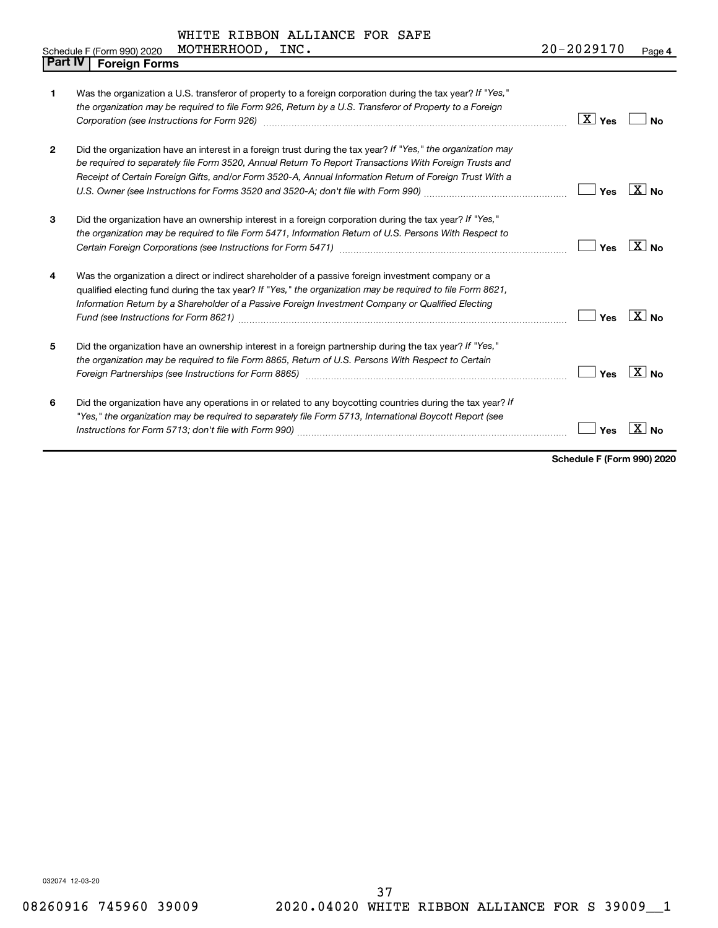| Part IV      | <b>Foreign Forms</b>                                                                                            |                        |                     |
|--------------|-----------------------------------------------------------------------------------------------------------------|------------------------|---------------------|
|              |                                                                                                                 |                        |                     |
| 1            | Was the organization a U.S. transferor of property to a foreign corporation during the tax year? If "Yes,"      |                        |                     |
|              | the organization may be required to file Form 926, Return by a U.S. Transferor of Property to a Foreign         |                        |                     |
|              | Corporation (see Instructions for Form 926) manufactured controller controller to the control of the control o  | $\vert X \vert$<br>Yes | N٥                  |
| $\mathbf{2}$ | Did the organization have an interest in a foreign trust during the tax year? If "Yes," the organization may    |                        |                     |
|              | be required to separately file Form 3520, Annual Return To Report Transactions With Foreign Trusts and          |                        |                     |
|              | Receipt of Certain Foreign Gifts, and/or Form 3520-A, Annual Information Return of Foreign Trust With a         |                        |                     |
|              | U.S. Owner (see Instructions for Forms 3520 and 3520-A; don't file with Form 990)                               | Yes                    | X∣No                |
| 3            | Did the organization have an ownership interest in a foreign corporation during the tax year? If "Yes,"         |                        |                     |
|              | the organization may be required to file Form 5471, Information Return of U.S. Persons With Respect to          |                        |                     |
|              |                                                                                                                 | Yes                    | $\overline{X}$ No   |
|              |                                                                                                                 |                        |                     |
| 4            | Was the organization a direct or indirect shareholder of a passive foreign investment company or a              |                        |                     |
|              | qualified electing fund during the tax year? If "Yes," the organization may be required to file Form 8621,      |                        |                     |
|              | Information Return by a Shareholder of a Passive Foreign Investment Company or Qualified Electing               |                        |                     |
|              |                                                                                                                 | Yes                    | $X \mid N_{\Omega}$ |
| 5            | Did the organization have an ownership interest in a foreign partnership during the tax year? If "Yes,"         |                        |                     |
|              | the organization may be required to file Form 8865, Return of U.S. Persons With Respect to Certain              |                        |                     |
|              | Foreign Partnerships (see Instructions for Form 8865) manufactured content to the content of the content of the | Yes                    | $\overline{X}$ No   |
| 6            | Did the organization have any operations in or related to any boycotting countries during the tax year? If      |                        |                     |
|              | "Yes," the organization may be required to separately file Form 5713, International Boycott Report (see         |                        |                     |
|              |                                                                                                                 | Yes                    |                     |
|              |                                                                                                                 |                        |                     |

**Schedule F (Form 990) 2020**

032074 12-03-20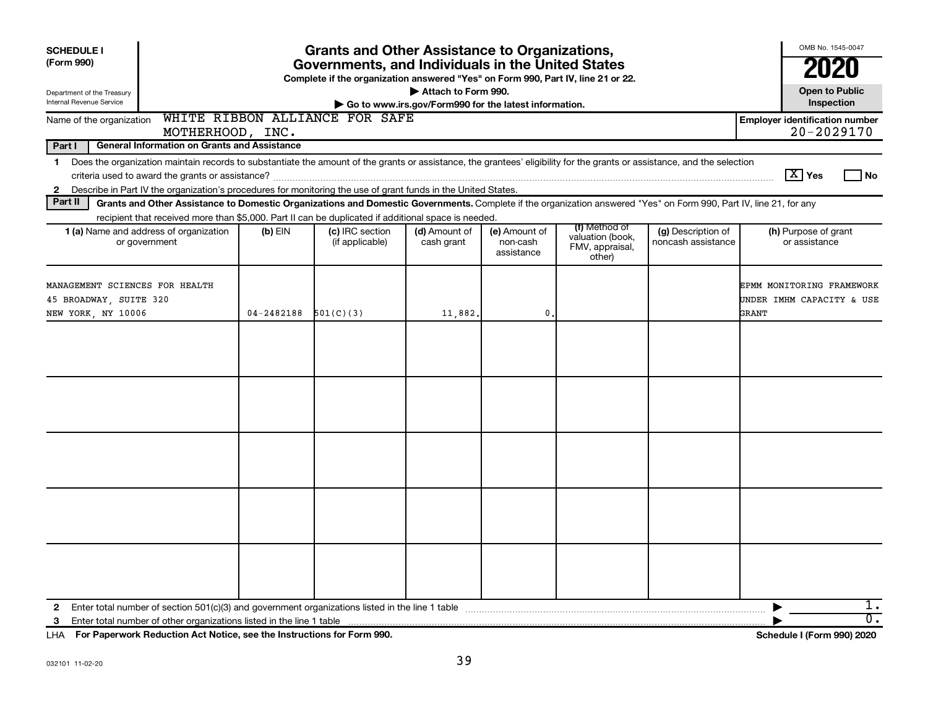| <b>Grants and Other Assistance to Organizations,</b><br><b>SCHEDULE I</b><br>(Form 990)<br>Governments, and Individuals in the United States<br>Complete if the organization answered "Yes" on Form 990, Part IV, line 21 or 22.<br>Attach to Form 990.<br>Department of the Treasury<br>Internal Revenue Service<br>Go to www.irs.gov/Form990 for the latest information. |                |                                    |                             |                                         |                                                                |                                          |                                                                 |  |  |  |
|----------------------------------------------------------------------------------------------------------------------------------------------------------------------------------------------------------------------------------------------------------------------------------------------------------------------------------------------------------------------------|----------------|------------------------------------|-----------------------------|-----------------------------------------|----------------------------------------------------------------|------------------------------------------|-----------------------------------------------------------------|--|--|--|
| Name of the organization                                                                                                                                                                                                                                                                                                                                                   |                | WHITE RIBBON ALLIANCE FOR SAFE     |                             |                                         |                                                                |                                          | Inspection<br><b>Employer identification number</b>             |  |  |  |
| MOTHERHOOD, INC.                                                                                                                                                                                                                                                                                                                                                           |                |                                    |                             |                                         |                                                                |                                          | 20-2029170                                                      |  |  |  |
| Part I<br><b>General Information on Grants and Assistance</b>                                                                                                                                                                                                                                                                                                              |                |                                    |                             |                                         |                                                                |                                          |                                                                 |  |  |  |
| Does the organization maintain records to substantiate the amount of the grants or assistance, the grantees' eligibility for the grants or assistance, and the selection<br>$\mathbf 1$<br>2 Describe in Part IV the organization's procedures for monitoring the use of grant funds in the United States.<br>Part II                                                      |                |                                    |                             |                                         |                                                                |                                          | $\sqrt{X}$ Yes<br>l No                                          |  |  |  |
| Grants and Other Assistance to Domestic Organizations and Domestic Governments. Complete if the organization answered "Yes" on Form 990, Part IV, line 21, for any                                                                                                                                                                                                         |                |                                    |                             |                                         |                                                                |                                          |                                                                 |  |  |  |
| recipient that received more than \$5,000. Part II can be duplicated if additional space is needed.<br>1 (a) Name and address of organization<br>or government                                                                                                                                                                                                             | $(b)$ EIN      | (c) IRC section<br>(if applicable) | (d) Amount of<br>cash grant | (e) Amount of<br>non-cash<br>assistance | (f) Method of<br>valuation (book,<br>FMV, appraisal,<br>other) | (g) Description of<br>noncash assistance | (h) Purpose of grant<br>or assistance                           |  |  |  |
| MANAGEMENT SCIENCES FOR HEALTH<br>45 BROADWAY, SUITE 320<br>NEW YORK, NY 10006                                                                                                                                                                                                                                                                                             | $04 - 2482188$ | 501(C)(3)                          | 11,882.                     | 0.                                      |                                                                |                                          | EPMM MONITORING FRAMEWORK<br>UNDER IMHM CAPACITY & USE<br>GRANT |  |  |  |
|                                                                                                                                                                                                                                                                                                                                                                            |                |                                    |                             |                                         |                                                                |                                          |                                                                 |  |  |  |
|                                                                                                                                                                                                                                                                                                                                                                            |                |                                    |                             |                                         |                                                                |                                          |                                                                 |  |  |  |
|                                                                                                                                                                                                                                                                                                                                                                            |                |                                    |                             |                                         |                                                                |                                          |                                                                 |  |  |  |
|                                                                                                                                                                                                                                                                                                                                                                            |                |                                    |                             |                                         |                                                                |                                          |                                                                 |  |  |  |
|                                                                                                                                                                                                                                                                                                                                                                            |                |                                    |                             |                                         |                                                                |                                          |                                                                 |  |  |  |
| $\mathbf{2}$                                                                                                                                                                                                                                                                                                                                                               |                |                                    |                             |                                         |                                                                |                                          | ı.<br>$\overline{0}$ .                                          |  |  |  |

**For Paperwork Reduction Act Notice, see the Instructions for Form 990. Schedule I (Form 990) 2020** LHA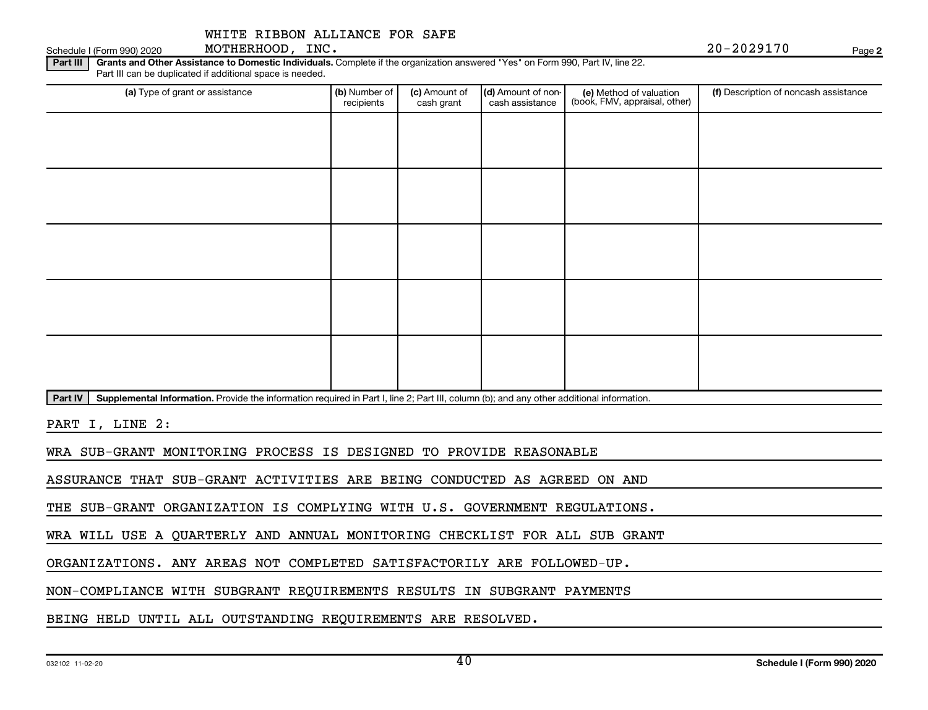Schedule I (Form 990) 2020 MOTHERHOOD, INC. And the state of the state of the state of the Page Page Page 20-2029170

**2**

Part III | Grants and Other Assistance to Domestic Individuals. Complete if the organization answered "Yes" on Form 990, Part IV, line 22. Part III can be duplicated if additional space is needed.

| (a) Type of grant or assistance | (b) Number of<br>recipients | (c) Amount of<br>cash grant | (d) Amount of non-<br>cash assistance | (e) Method of valuation<br>(book, FMV, appraisal, other) | (f) Description of noncash assistance |
|---------------------------------|-----------------------------|-----------------------------|---------------------------------------|----------------------------------------------------------|---------------------------------------|
|                                 |                             |                             |                                       |                                                          |                                       |
|                                 |                             |                             |                                       |                                                          |                                       |
|                                 |                             |                             |                                       |                                                          |                                       |
|                                 |                             |                             |                                       |                                                          |                                       |
|                                 |                             |                             |                                       |                                                          |                                       |
|                                 |                             |                             |                                       |                                                          |                                       |
|                                 |                             |                             |                                       |                                                          |                                       |
|                                 |                             |                             |                                       |                                                          |                                       |
|                                 |                             |                             |                                       |                                                          |                                       |
|                                 |                             |                             |                                       |                                                          |                                       |

Part IV | Supplemental Information. Provide the information required in Part I, line 2; Part III, column (b); and any other additional information.

PART I, LINE 2:

WRA SUB-GRANT MONITORING PROCESS IS DESIGNED TO PROVIDE REASONABLE

ASSURANCE THAT SUB-GRANT ACTIVITIES ARE BEING CONDUCTED AS AGREED ON AND

THE SUB-GRANT ORGANIZATION IS COMPLYING WITH U.S. GOVERNMENT REGULATIONS.

WRA WILL USE A QUARTERLY AND ANNUAL MONITORING CHECKLIST FOR ALL SUB GRANT

ORGANIZATIONS. ANY AREAS NOT COMPLETED SATISFACTORILY ARE FOLLOWED-UP.

NON-COMPLIANCE WITH SUBGRANT REQUIREMENTS RESULTS IN SUBGRANT PAYMENTS

BEING HELD UNTIL ALL OUTSTANDING REQUIREMENTS ARE RESOLVED.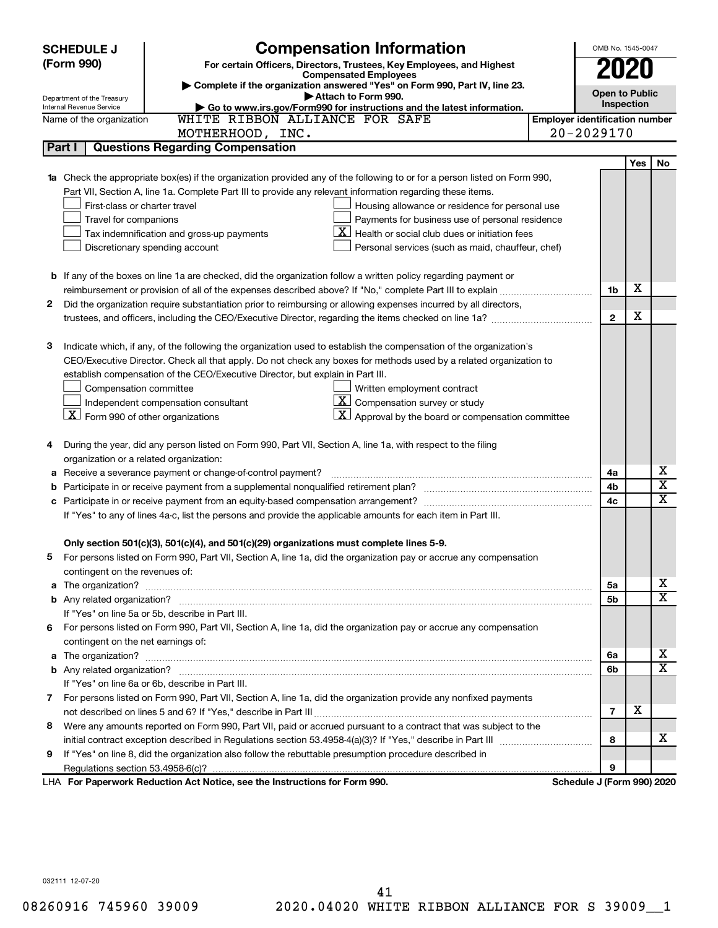|    | <b>Compensation Information</b><br><b>SCHEDULE J</b>                                                                            |                                       | OMB No. 1545-0047     |            |                              |  |
|----|---------------------------------------------------------------------------------------------------------------------------------|---------------------------------------|-----------------------|------------|------------------------------|--|
|    | (Form 990)<br>For certain Officers, Directors, Trustees, Key Employees, and Highest                                             |                                       |                       |            |                              |  |
|    | <b>Compensated Employees</b>                                                                                                    |                                       | 2020                  |            |                              |  |
|    | Complete if the organization answered "Yes" on Form 990, Part IV, line 23.<br>Attach to Form 990.<br>Department of the Treasury |                                       | <b>Open to Public</b> |            |                              |  |
|    | Go to www.irs.gov/Form990 for instructions and the latest information.<br>Internal Revenue Service                              |                                       | Inspection            |            |                              |  |
|    | WHITE RIBBON ALLIANCE FOR SAFE<br>Name of the organization                                                                      | <b>Employer identification number</b> |                       |            |                              |  |
|    | MOTHERHOOD, INC.                                                                                                                | $20 - 2029170$                        |                       |            |                              |  |
|    | <b>Questions Regarding Compensation</b><br>Part I                                                                               |                                       |                       |            |                              |  |
|    |                                                                                                                                 |                                       |                       | <b>Yes</b> | No                           |  |
|    | Check the appropriate box(es) if the organization provided any of the following to or for a person listed on Form 990,          |                                       |                       |            |                              |  |
|    | Part VII, Section A, line 1a. Complete Part III to provide any relevant information regarding these items.                      |                                       |                       |            |                              |  |
|    | First-class or charter travel<br>Housing allowance or residence for personal use                                                |                                       |                       |            |                              |  |
|    | Payments for business use of personal residence<br>Travel for companions                                                        |                                       |                       |            |                              |  |
|    | X.<br>Health or social club dues or initiation fees<br>Tax indemnification and gross-up payments                                |                                       |                       |            |                              |  |
|    | Discretionary spending account<br>Personal services (such as maid, chauffeur, chef)                                             |                                       |                       |            |                              |  |
|    |                                                                                                                                 |                                       |                       |            |                              |  |
|    | <b>b</b> If any of the boxes on line 1a are checked, did the organization follow a written policy regarding payment or          |                                       |                       | X          |                              |  |
|    |                                                                                                                                 |                                       | 1b                    |            |                              |  |
| 2  | Did the organization require substantiation prior to reimbursing or allowing expenses incurred by all directors,                |                                       |                       | X          |                              |  |
|    |                                                                                                                                 |                                       | $\mathbf{2}$          |            |                              |  |
|    |                                                                                                                                 |                                       |                       |            |                              |  |
| З  | Indicate which, if any, of the following the organization used to establish the compensation of the organization's              |                                       |                       |            |                              |  |
|    | CEO/Executive Director. Check all that apply. Do not check any boxes for methods used by a related organization to              |                                       |                       |            |                              |  |
|    | establish compensation of the CEO/Executive Director, but explain in Part III.                                                  |                                       |                       |            |                              |  |
|    | Compensation committee<br>Written employment contract                                                                           |                                       |                       |            |                              |  |
|    | $ \mathbf{X} $ Compensation survey or study<br>Independent compensation consultant                                              |                                       |                       |            |                              |  |
|    | $ \mathbf{X} $ Form 990 of other organizations<br>$ \mathbf{X} $ Approval by the board or compensation committee                |                                       |                       |            |                              |  |
|    |                                                                                                                                 |                                       |                       |            |                              |  |
|    | During the year, did any person listed on Form 990, Part VII, Section A, line 1a, with respect to the filing                    |                                       |                       |            |                              |  |
|    | organization or a related organization:                                                                                         |                                       |                       |            |                              |  |
| а  | Receive a severance payment or change-of-control payment?                                                                       |                                       | 4a<br>4b              |            | х<br>$\overline{\textbf{x}}$ |  |
|    | b                                                                                                                               |                                       |                       |            |                              |  |
|    | 4c<br>If "Yes" to any of lines 4a-c, list the persons and provide the applicable amounts for each item in Part III.             |                                       |                       |            |                              |  |
|    |                                                                                                                                 |                                       |                       |            |                              |  |
|    | Only section 501(c)(3), 501(c)(4), and 501(c)(29) organizations must complete lines 5-9.                                        |                                       |                       |            |                              |  |
| b. | For persons listed on Form 990, Part VII, Section A, line 1a, did the organization pay or accrue any compensation               |                                       |                       |            |                              |  |
|    | contingent on the revenues of:                                                                                                  |                                       |                       |            |                              |  |
| a  |                                                                                                                                 |                                       | 5a                    |            | х                            |  |
|    |                                                                                                                                 |                                       | 5b                    |            | X                            |  |
|    | If "Yes" on line 5a or 5b, describe in Part III.                                                                                |                                       |                       |            |                              |  |
| 6. | For persons listed on Form 990, Part VII, Section A, line 1a, did the organization pay or accrue any compensation               |                                       |                       |            |                              |  |
|    | contingent on the net earnings of:                                                                                              |                                       |                       |            |                              |  |
| a  |                                                                                                                                 |                                       | 6a                    |            | х                            |  |
|    |                                                                                                                                 |                                       | 6b                    |            | X                            |  |
|    | If "Yes" on line 6a or 6b, describe in Part III.                                                                                |                                       |                       |            |                              |  |
|    | 7 For persons listed on Form 990, Part VII, Section A, line 1a, did the organization provide any nonfixed payments              |                                       |                       |            |                              |  |
|    |                                                                                                                                 |                                       | $\overline{7}$        | X          |                              |  |
| 8  | Were any amounts reported on Form 990, Part VII, paid or accrued pursuant to a contract that was subject to the                 |                                       |                       |            |                              |  |
|    |                                                                                                                                 |                                       | 8                     |            | x.                           |  |
| 9  | If "Yes" on line 8, did the organization also follow the rebuttable presumption procedure described in                          |                                       |                       |            |                              |  |
|    |                                                                                                                                 |                                       | 9                     |            |                              |  |
|    | LHA For Paperwork Reduction Act Notice, see the Instructions for Form 990.                                                      | Schedule J (Form 990) 2020            |                       |            |                              |  |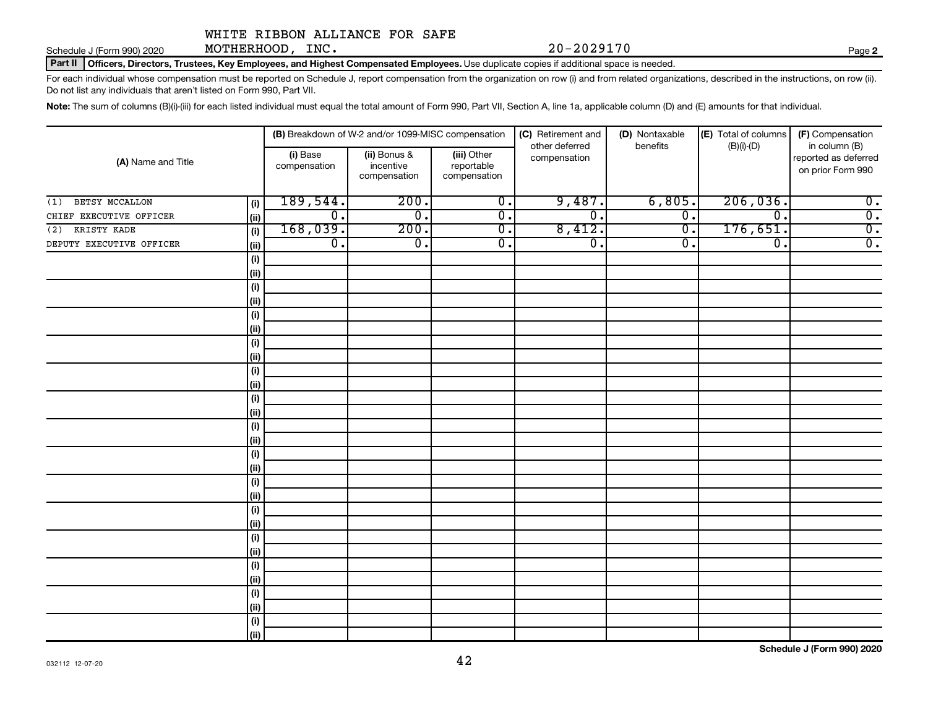Schedule J (Form 990) 2020  $MOTHERHOOD$ ,  $INC.$   $20-2029170$ 

Part II | Officers, Directors, Trustees, Key Employees, and Highest Compensated Employees. Use duplicate copies if additional space is needed.

For each individual whose compensation must be reported on Schedule J, report compensation from the organization on row (i) and from related organizations, described in the instructions, on row (ii). Do not list any individuals that aren't listed on Form 990, Part VII.

Note: The sum of columns (B)(i)-(iii) for each listed individual must equal the total amount of Form 990, Part VII, Section A, line 1a, applicable column (D) and (E) amounts for that individual.

|                          |                          |                                           | (B) Breakdown of W-2 and/or 1099-MISC compensation |                                | (C) Retirement and          | (D) Nontaxable   | (E) Total of columns                                       | (F) Compensation |
|--------------------------|--------------------------|-------------------------------------------|----------------------------------------------------|--------------------------------|-----------------------------|------------------|------------------------------------------------------------|------------------|
| (A) Name and Title       | (i) Base<br>compensation | (ii) Bonus &<br>incentive<br>compensation | (iii) Other<br>reportable<br>compensation          | other deferred<br>compensation | benefits                    | $(B)(i)$ - $(D)$ | in column (B)<br>reported as deferred<br>on prior Form 990 |                  |
| BETSY MCCALLON<br>(1)    | (i)                      | 189,544.                                  | 200.                                               | $\overline{0}$ .               | 9,487.                      | 6,805.           | 206,036.                                                   | $0$ .            |
| CHIEF EXECUTIVE OFFICER  | $\vert$ (ii)             | $\overline{0}$ .                          | $\overline{0}$ .                                   | $\overline{0}$ .               | $\overline{\mathfrak{o}}$ . | $\overline{0}$ . | $\overline{\mathfrak{o}}$ .                                | $\overline{0}$ . |
| KRISTY KADE<br>(2)       | (i)                      | 168,039.                                  | 200.                                               | $\overline{0}$ .               | 8,412.                      | $\overline{0}$ . | 176,651.                                                   | $\overline{0}$ . |
| DEPUTY EXECUTIVE OFFICER | $\vert$ (ii)             | $\overline{0}$ .                          | $\overline{0}$ .                                   | 0.                             | $\overline{\mathfrak{o}}$ . | $\overline{0}$ . | $\overline{\mathfrak{o}}$ .                                | $\overline{0}$ . |
|                          | (i)                      |                                           |                                                    |                                |                             |                  |                                                            |                  |
|                          | <u>(ii)</u>              |                                           |                                                    |                                |                             |                  |                                                            |                  |
|                          | (i)                      |                                           |                                                    |                                |                             |                  |                                                            |                  |
|                          | <u>(ii)</u>              |                                           |                                                    |                                |                             |                  |                                                            |                  |
|                          | (i)                      |                                           |                                                    |                                |                             |                  |                                                            |                  |
|                          | <u>(ii)</u>              |                                           |                                                    |                                |                             |                  |                                                            |                  |
|                          | (i)                      |                                           |                                                    |                                |                             |                  |                                                            |                  |
|                          | <u>(ii)</u>              |                                           |                                                    |                                |                             |                  |                                                            |                  |
|                          | (i)                      |                                           |                                                    |                                |                             |                  |                                                            |                  |
|                          | (ii)                     |                                           |                                                    |                                |                             |                  |                                                            |                  |
|                          | (i)                      |                                           |                                                    |                                |                             |                  |                                                            |                  |
|                          | $\vert$ (ii)             |                                           |                                                    |                                |                             |                  |                                                            |                  |
|                          | (i)                      |                                           |                                                    |                                |                             |                  |                                                            |                  |
|                          | $\vert$ (ii)<br>(i)      |                                           |                                                    |                                |                             |                  |                                                            |                  |
|                          | <u>(ii)</u>              |                                           |                                                    |                                |                             |                  |                                                            |                  |
|                          | (i)                      |                                           |                                                    |                                |                             |                  |                                                            |                  |
|                          | <u>(ii)</u>              |                                           |                                                    |                                |                             |                  |                                                            |                  |
|                          | (i)                      |                                           |                                                    |                                |                             |                  |                                                            |                  |
|                          | <u>(ii)</u>              |                                           |                                                    |                                |                             |                  |                                                            |                  |
|                          | (i)                      |                                           |                                                    |                                |                             |                  |                                                            |                  |
|                          | (ii)                     |                                           |                                                    |                                |                             |                  |                                                            |                  |
|                          | (i)                      |                                           |                                                    |                                |                             |                  |                                                            |                  |
|                          | $\vert$ (ii)             |                                           |                                                    |                                |                             |                  |                                                            |                  |
|                          | (i)                      |                                           |                                                    |                                |                             |                  |                                                            |                  |
|                          | $\vert$ (ii)             |                                           |                                                    |                                |                             |                  |                                                            |                  |
|                          | (i)                      |                                           |                                                    |                                |                             |                  |                                                            |                  |
|                          | (ii)                     |                                           |                                                    |                                |                             |                  |                                                            |                  |

**2**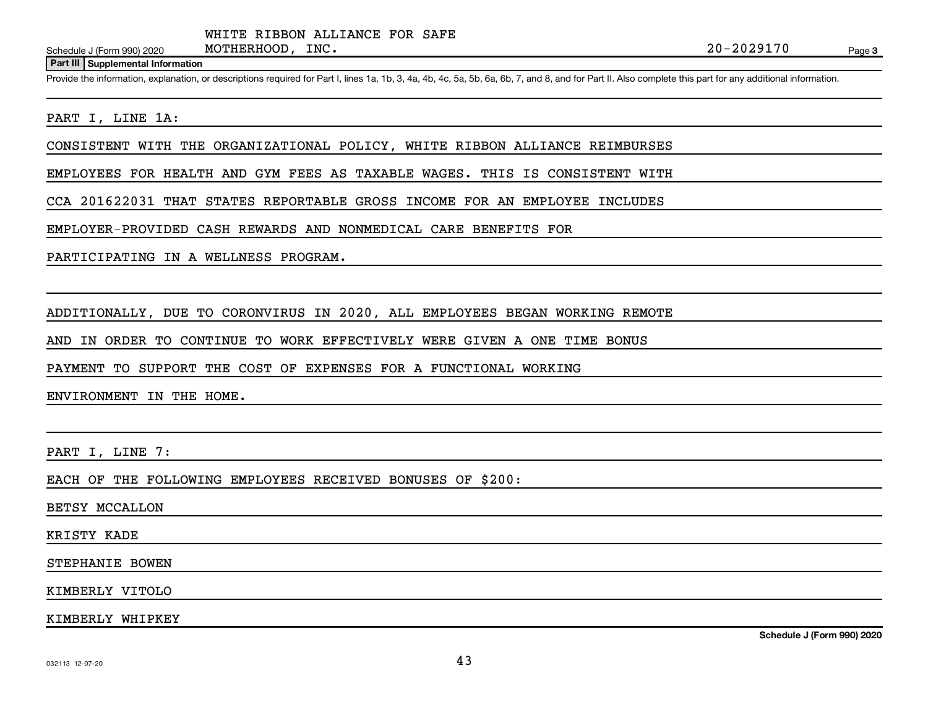#### **Part III Supplemental Information**

Provide the information, explanation, or descriptions required for Part I, lines 1a, 1b, 3, 4a, 4b, 4c, 5a, 5b, 6a, 6b, 7, and 8, and for Part II. Also complete this part for any additional information.

#### PART I, LINE 1A:

CONSISTENT WITH THE ORGANIZATIONAL POLICY, WHITE RIBBON ALLIANCE REIMBURSES

EMPLOYEES FOR HEALTH AND GYM FEES AS TAXABLE WAGES. THIS IS CONSISTENT WITH

CCA 201622031 THAT STATES REPORTABLE GROSS INCOME FOR AN EMPLOYEE INCLUDES

EMPLOYER-PROVIDED CASH REWARDS AND NONMEDICAL CARE BENEFITS FOR

PARTICIPATING IN A WELLNESS PROGRAM.

ADDITIONALLY, DUE TO CORONVIRUS IN 2020, ALL EMPLOYEES BEGAN WORKING REMOTE

AND IN ORDER TO CONTINUE TO WORK EFFECTIVELY WERE GIVEN A ONE TIME BONUS

PAYMENT TO SUPPORT THE COST OF EXPENSES FOR A FUNCTIONAL WORKING

ENVIRONMENT IN THE HOME.

PART I, LINE 7:

EACH OF THE FOLLOWING EMPLOYEES RECEIVED BONUSES OF \$200:

BETSY MCCALLON

#### KRISTY KADE

#### STEPHANIE BOWEN

KIMBERLY VITOLO

#### KIMBERLY WHIPKEY

**Schedule J (Form 990) 2020**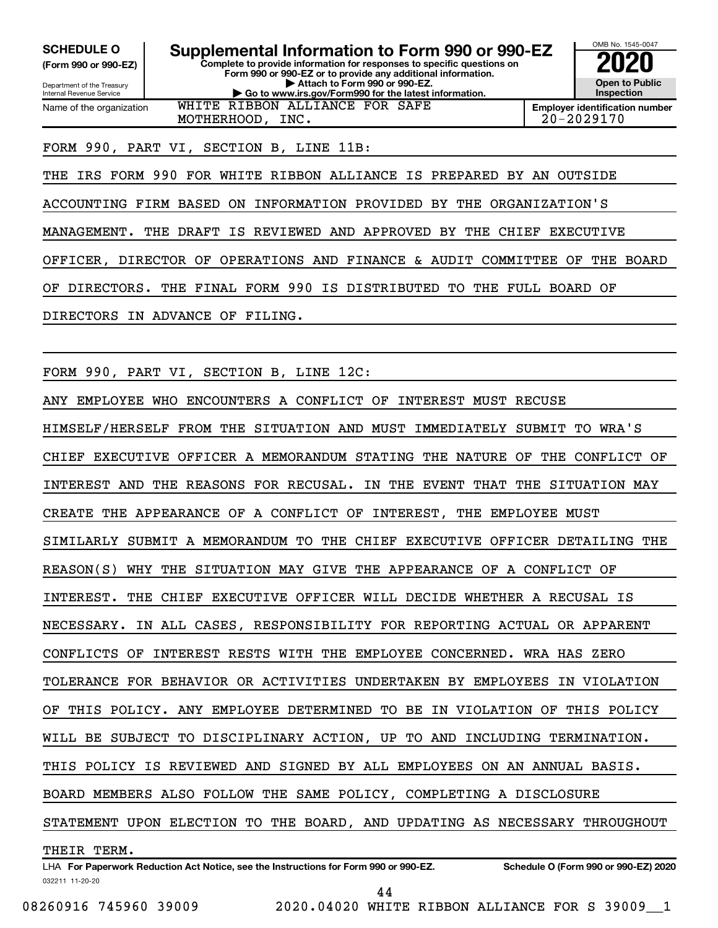Internal Revenue Service

Department of the Treasury **(Form 990 or 990-EZ)**

Name of the organization

**Complete to provide information for responses to specific questions on Form 990 or 990-EZ or to provide any additional information. | Attach to Form 990 or 990-EZ. | Go to www.irs.gov/Form990 for the latest information. SCHEDULE O Supplemental Information to Form 990 or 990-EZ 2020**<br>(Form 990 or 990-EZ) Complete to provide information for responses to specific questions on



**Employer identification number** MOTHERHOOD, INC. 20-2029170

#### FORM 990, PART VI, SECTION B, LINE 11B:

THE IRS FORM 990 FOR WHITE RIBBON ALLIANCE IS PREPARED BY AN OUTSIDE

WHITE RIBBON ALLIANCE FOR SAFE

ACCOUNTING FIRM BASED ON INFORMATION PROVIDED BY THE ORGANIZATION'S

MANAGEMENT. THE DRAFT IS REVIEWED AND APPROVED BY THE CHIEF EXECUTIVE

OFFICER, DIRECTOR OF OPERATIONS AND FINANCE & AUDIT COMMITTEE OF THE BOARD

OF DIRECTORS. THE FINAL FORM 990 IS DISTRIBUTED TO THE FULL BOARD OF

DIRECTORS IN ADVANCE OF FILING.

FORM 990, PART VI, SECTION B, LINE 12C:

ANY EMPLOYEE WHO ENCOUNTERS A CONFLICT OF INTEREST MUST RECUSE

HIMSELF/HERSELF FROM THE SITUATION AND MUST IMMEDIATELY SUBMIT TO WRA'S CHIEF EXECUTIVE OFFICER A MEMORANDUM STATING THE NATURE OF THE CONFLICT OF INTEREST AND THE REASONS FOR RECUSAL. IN THE EVENT THAT THE SITUATION MAY CREATE THE APPEARANCE OF A CONFLICT OF INTEREST, THE EMPLOYEE MUST SIMILARLY SUBMIT A MEMORANDUM TO THE CHIEF EXECUTIVE OFFICER DETAILING THE REASON(S) WHY THE SITUATION MAY GIVE THE APPEARANCE OF A CONFLICT OF INTEREST. THE CHIEF EXECUTIVE OFFICER WILL DECIDE WHETHER A RECUSAL IS NECESSARY. IN ALL CASES, RESPONSIBILITY FOR REPORTING ACTUAL OR APPARENT CONFLICTS OF INTEREST RESTS WITH THE EMPLOYEE CONCERNED. WRA HAS ZERO TOLERANCE FOR BEHAVIOR OR ACTIVITIES UNDERTAKEN BY EMPLOYEES IN VIOLATION OF THIS POLICY. ANY EMPLOYEE DETERMINED TO BE IN VIOLATION OF THIS POLICY WILL BE SUBJECT TO DISCIPLINARY ACTION, UP TO AND INCLUDING TERMINATION. THIS POLICY IS REVIEWED AND SIGNED BY ALL EMPLOYEES ON AN ANNUAL BASIS. BOARD MEMBERS ALSO FOLLOW THE SAME POLICY, COMPLETING A DISCLOSURE STATEMENT UPON ELECTION TO THE BOARD, AND UPDATING AS NECESSARY THROUGHOUT

#### THEIR TERM.

08260916 745960 39009 2020.04020 WHITE RIBBON ALLIANCE FOR S 39009 1